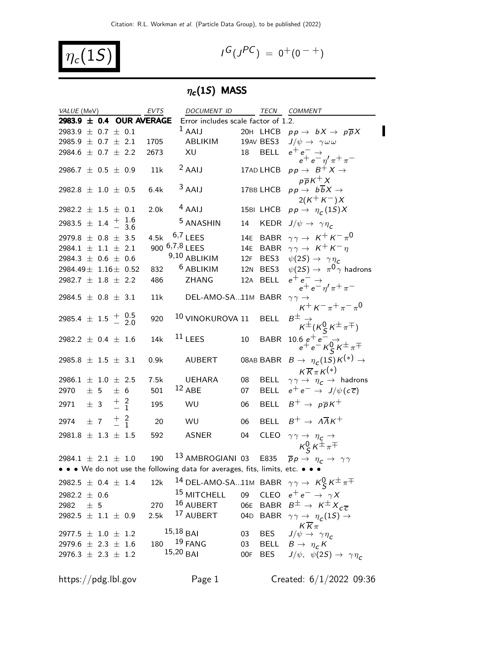$$
\eta_c(1S)
$$

$$
I^G(J^{PC}) = 0^+(0^{-+})
$$

### $\eta_{\bm{c}}(1S)$  MASS

| VALUE (MeV)                                      |                 |  | <b>EVTS</b>              | DOCUMENT ID                                                                   |    |             | TECN COMMENT                                                                            |
|--------------------------------------------------|-----------------|--|--------------------------|-------------------------------------------------------------------------------|----|-------------|-----------------------------------------------------------------------------------------|
|                                                  |                 |  | 2983.9 ± 0.4 OUR AVERAGE | Error includes scale factor of 1.2.                                           |    |             |                                                                                         |
| 2983.9 $\pm$ 0.7 $\pm$ 0.1                       |                 |  |                          | $1$ AAIJ                                                                      |    |             | 20H LHCB $pp \rightarrow bX \rightarrow p\overline{p}X$                                 |
| 2985.9 $\pm$ 0.7 $\pm$ 2.1                       |                 |  | 1705                     | ABLIKIM                                                                       |    |             | 19AV BES3 $J/\psi \rightarrow \gamma \omega \omega$                                     |
| 2984.6 $\pm$ 0.7 $\pm$ 2.2                       |                 |  | 2673                     | XU                                                                            | 18 |             | BELL $e^+e^- \rightarrow$<br>$e^+e^-\eta^{\prime}\pi^+\pi^-$                            |
| 2986.7 $\pm$ 0.5 $\pm$ 0.9                       |                 |  | 11k                      | $2$ AAIJ                                                                      |    | 17AD LHCB   | $pp \rightarrow B^+ X \rightarrow$<br>$p\overline{p}K^+X$                               |
| 2982.8 $\pm$ 1.0 $\pm$ 0.5                       |                 |  | 6.4k                     | $3$ AAIJ                                                                      |    | 17BB LHCB   | $pp \rightarrow b\overline{b}X \rightarrow$<br>$2(K^+K^-)X$                             |
| 2982.2 $\pm$ 1.5 $\pm$ 0.1                       |                 |  | 2.0 <sub>k</sub>         | $4$ AAIJ                                                                      |    |             | 15BI LHCB $pp \rightarrow \eta_c(1S)X$                                                  |
| 2983.5 $\pm$ 1.4 $\frac{+}{-}$ 1.6               |                 |  |                          | <sup>5</sup> ANASHIN                                                          | 14 |             | KEDR $J/\psi \rightarrow \gamma \eta_c$                                                 |
| 2979.8 $\pm$ 0.8 $\pm$ 3.5                       |                 |  | 4.5k                     | $6,7$ LEES                                                                    |    |             | 14E BABR $\gamma \gamma \rightarrow K^+ K^- \pi^0$                                      |
| $2984.1 \pm 1.1 \pm 2.1$                         |                 |  |                          | 900 6,7,8 LEES                                                                |    |             | 14E BABR $\gamma \gamma \rightarrow K^+ K^- \eta$                                       |
| 2984.3 $\pm$ 0.6 $\pm$ 0.6                       |                 |  |                          | 9,10 ABLIKIM                                                                  |    |             | 12F BES3 $\psi(2S) \rightarrow \gamma \eta_c$                                           |
| 2984.49 $\pm$ 1.16 $\pm$ 0.52                    |                 |  | 832                      | <sup>6</sup> ABLIKIM                                                          |    | 12N BES3    | $\psi(2\mathcal{S}) \rightarrow \; \pi^{\mathbf{0}}\gamma$ hadrons                      |
| 2982.7 $\pm$ 1.8 $\pm$ 2.2                       |                 |  | 486                      | <b>ZHANG</b>                                                                  |    | 12A BELL    |                                                                                         |
|                                                  |                 |  |                          |                                                                               |    |             | $e^+e^-\rightarrow \nonumber\\ e^+e^-\eta^{\prime}\pi^+\pi^-$                           |
| 2984.5 $\pm$ 0.8 $\pm$ 3.1                       |                 |  | 11k                      | DEL-AMO-SA11M BABR                                                            |    |             | $\gamma \gamma \rightarrow$<br>$K^+ K^- \pi^+ \pi^- \pi^0$                              |
| 2985.4 $\pm$ 1.5 $\frac{+}{-}$ $\frac{0.5}{2.0}$ |                 |  | 920                      | 10 VINOKUROVA 11                                                              |    | <b>BELL</b> | $B^\pm_{\ \ \ \kappa^\pm(\kappa_S^0\, \kappa^\pm\pi^\mp)}$                              |
| 2982.2 $\pm$ 0.4 $\pm$ 1.6                       |                 |  | 14k                      | $11$ LEES                                                                     | 10 | <b>BABR</b> | $\begin{array}{c} 10.6\ \ e^+e^-\to\\ e^+e^-K^0_S K^\pm\pi^\mp \end{array}$             |
| 2985.8 $\pm$ 1.5 $\pm$ 3.1                       |                 |  | 0.9k                     | <b>AUBERT</b>                                                                 |    | 08AB BABR   | $B\to~\eta^{}_{\mathcal{C}}(1S)\, \mathcal{K}^{(*)}\to$<br>$K \overline{K} \pi K^{(*)}$ |
| 2986.1 $\pm$ 1.0 $\pm$ 2.5                       |                 |  | 7.5k                     | <b>UEHARA</b>                                                                 | 08 | <b>BELL</b> | $\gamma\gamma\rightarrow$ $\eta_c\rightarrow$ hadrons                                   |
| 2970                                             | $\pm$ 5 $\pm$ 6 |  | 501                      | $12$ ABE                                                                      | 07 |             | BELL $e^+e^- \rightarrow J/\psi(c\overline{c})$                                         |
| 2971 $\pm$ 3 $\frac{+}{-}$ 2                     |                 |  | 195                      | WU                                                                            | 06 |             | BELL $B^+ \rightarrow p\overline{p}K^+$                                                 |
| 2974                                             | $\pm$ 7 $\pm$ 2 |  | 20                       | <b>WU</b>                                                                     | 06 |             | BELL $B^+ \rightarrow A\overline{A}K^+$                                                 |
| 2981.8 $\pm$ 1.3 $\pm$ 1.5                       |                 |  | 592                      | ASNER                                                                         | 04 | <b>CLEO</b> |                                                                                         |
|                                                  |                 |  |                          |                                                                               |    |             | $\gamma \gamma \rightarrow \eta_c \rightarrow$<br>$K_S^0 K^{\pm} \pi^{\mp}$             |
| $2984.1 \pm 2.1 \pm 1.0$                         |                 |  | 190                      | <sup>13</sup> AMBROGIANI 03                                                   |    | E835        | $\overline{p}p \rightarrow \eta_c \rightarrow \gamma \gamma$                            |
|                                                  |                 |  |                          | • • • We do not use the following data for averages, fits, limits, etc. • • • |    |             |                                                                                         |
| 2982.5 $\pm$ 0.4 $\pm$ 1.4                       |                 |  | 12k                      |                                                                               |    |             | 14 DEL-AMO-SA11M BABR $\gamma \gamma \rightarrow K_S^0 K^{\pm} \pi^{\mp}$               |
| 2982.2 $\pm$ 0.6                                 |                 |  |                          | <sup>15</sup> MITCHELL                                                        |    |             | 09 CLEO $e^+e^- \rightarrow \gamma X$                                                   |
| 2982                                             | ± 5             |  | 270                      | 16 AUBERT                                                                     |    |             | 06E BABR $B^{\pm} \rightarrow K^{\pm} X_{c\overline{c}}$                                |
| 2982.5 $\pm$ 1.1 $\pm$ 0.9                       |                 |  | 2.5k                     | 17 AUBERT                                                                     |    |             | 04D BABR $\gamma \gamma \rightarrow \eta_c(1S) \rightarrow$                             |
| 2977.5 $\pm$ 1.0 $\pm$ 1.2                       |                 |  |                          | $15,18$ BAI                                                                   | 03 |             | $K\overline{K}\pi$<br>BES $J/\psi \rightarrow \gamma \eta_c$                            |
| 2979.6 $\pm$ 2.3 $\pm$ 1.6                       |                 |  |                          | 180 <sup>19</sup> FANG                                                        | 03 |             | BELL $B \to \eta_c K$                                                                   |
| 2976.3 $\pm$ 2.3 $\pm$ 1.2                       |                 |  |                          | $15,20$ BAI                                                                   |    |             | OOF BES $J/\psi$ , $\psi(2S) \rightarrow \gamma \eta_c$                                 |
|                                                  |                 |  |                          |                                                                               |    |             |                                                                                         |

https://pdg.lbl.gov Page 1 Created:  $6/1/2022$  09:36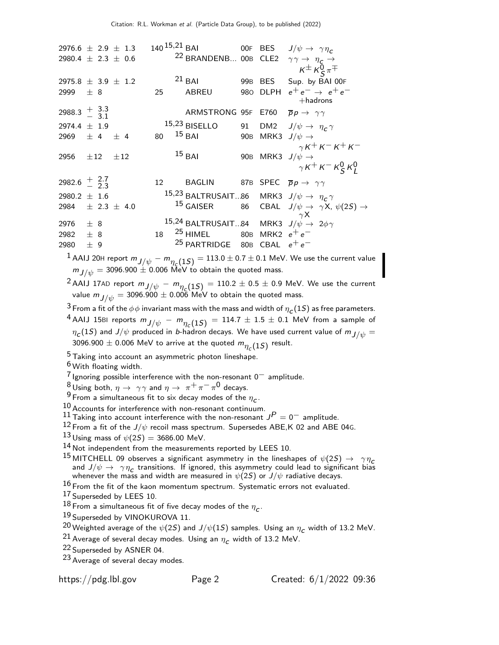| <sup>22</sup> BRANDENB 00B CLE2 $\gamma \gamma \rightarrow \eta_c \rightarrow$<br>2980.4 $\pm$ 2.3 $\pm$ 0.6<br>$K^{\pm} K^{\overline{0}}_{\overline{S}} \pi^{\mp}$<br>$21$ BAI<br>2975.8 $\pm$ 3.9 $\pm$ 1.2<br>99B BES<br>Sup. by BAI 00F<br>$e^+e^- \rightarrow e^+e^-$<br>980 DLPH<br>2999 $\pm$ 8<br>25<br>ABREU<br>$+$ hadrons<br>2988.3 $\frac{+}{-}$ 3.3<br>ARMSTRONG 95F E760 $\overline{p}p \rightarrow \gamma\gamma$<br>$15,23$ BISELLO<br>91 DM2 $J/\psi \rightarrow \eta_c \gamma$<br>2974.4 $\pm$ 1.9<br>$15$ BAI<br>80<br>90B MRK3 $J/\psi \rightarrow$<br>2969 $\pm$ 4 $\pm$ 4<br>$\gamma$ K <sup>+</sup> K <sup>-</sup> K <sup>+</sup> K <sup>-</sup><br>$15$ BAI<br>90B MRK3 $J/\psi \rightarrow$<br>2956 $\pm 12$ $\pm 12$<br>$\gamma$ K <sup>+</sup> K <sup>-</sup> K <sup>0</sup> <sub>S</sub> K <sup>0</sup> <sub>I</sub><br>2982.6 $\frac{+}{2}$ $\frac{2.7}{3}$<br>BAGLIN 87B SPEC $\overline{p}p \rightarrow \gamma\gamma$<br>12<br>15,23 BALTRUSAIT86 MRK3 $J/\psi \rightarrow \eta_c \gamma$<br>2980.2 $\pm$ 1.6<br>$15$ GAISER<br>86 CBAL $J/\psi \rightarrow \gamma X$ , $\psi(2S) \rightarrow$<br>2984 $\pm$ 2.3 $\pm$ 4.0<br>$\gamma$ X<br>15,24 BALTRUSAIT84 MRK3 $J/\psi \rightarrow 2\phi\gamma$<br>2976 $\pm$ 8<br><sup>25</sup> HIMEL 80B MRK2 $e^+e^-$<br>18<br>2982<br>$\pm$ 8<br><sup>25</sup> PARTRIDGE 80B CBAL $e^+e^-$<br>2980<br>±9 | 2976.6 $\pm$ 2.9 $\pm$ 1.3 |  | $140^{15,21}$ BAI |  |  | OOF BES $J/\psi \rightarrow \gamma \eta_c$ |
|---------------------------------------------------------------------------------------------------------------------------------------------------------------------------------------------------------------------------------------------------------------------------------------------------------------------------------------------------------------------------------------------------------------------------------------------------------------------------------------------------------------------------------------------------------------------------------------------------------------------------------------------------------------------------------------------------------------------------------------------------------------------------------------------------------------------------------------------------------------------------------------------------------------------------------------------------------------------------------------------------------------------------------------------------------------------------------------------------------------------------------------------------------------------------------------------------------------------------------------------------------------------------------------------------------------------------------------------------------------------------------|----------------------------|--|-------------------|--|--|--------------------------------------------|
|                                                                                                                                                                                                                                                                                                                                                                                                                                                                                                                                                                                                                                                                                                                                                                                                                                                                                                                                                                                                                                                                                                                                                                                                                                                                                                                                                                                 |                            |  |                   |  |  |                                            |
|                                                                                                                                                                                                                                                                                                                                                                                                                                                                                                                                                                                                                                                                                                                                                                                                                                                                                                                                                                                                                                                                                                                                                                                                                                                                                                                                                                                 |                            |  |                   |  |  |                                            |
|                                                                                                                                                                                                                                                                                                                                                                                                                                                                                                                                                                                                                                                                                                                                                                                                                                                                                                                                                                                                                                                                                                                                                                                                                                                                                                                                                                                 |                            |  |                   |  |  |                                            |
|                                                                                                                                                                                                                                                                                                                                                                                                                                                                                                                                                                                                                                                                                                                                                                                                                                                                                                                                                                                                                                                                                                                                                                                                                                                                                                                                                                                 |                            |  |                   |  |  |                                            |
|                                                                                                                                                                                                                                                                                                                                                                                                                                                                                                                                                                                                                                                                                                                                                                                                                                                                                                                                                                                                                                                                                                                                                                                                                                                                                                                                                                                 |                            |  |                   |  |  |                                            |
|                                                                                                                                                                                                                                                                                                                                                                                                                                                                                                                                                                                                                                                                                                                                                                                                                                                                                                                                                                                                                                                                                                                                                                                                                                                                                                                                                                                 |                            |  |                   |  |  |                                            |
|                                                                                                                                                                                                                                                                                                                                                                                                                                                                                                                                                                                                                                                                                                                                                                                                                                                                                                                                                                                                                                                                                                                                                                                                                                                                                                                                                                                 |                            |  |                   |  |  |                                            |
|                                                                                                                                                                                                                                                                                                                                                                                                                                                                                                                                                                                                                                                                                                                                                                                                                                                                                                                                                                                                                                                                                                                                                                                                                                                                                                                                                                                 |                            |  |                   |  |  |                                            |
|                                                                                                                                                                                                                                                                                                                                                                                                                                                                                                                                                                                                                                                                                                                                                                                                                                                                                                                                                                                                                                                                                                                                                                                                                                                                                                                                                                                 |                            |  |                   |  |  |                                            |
|                                                                                                                                                                                                                                                                                                                                                                                                                                                                                                                                                                                                                                                                                                                                                                                                                                                                                                                                                                                                                                                                                                                                                                                                                                                                                                                                                                                 |                            |  |                   |  |  |                                            |

 $^1$  AAIJ 20H report  $m_{J/\psi} - m_{\eta_c(1S)} = 113.0 \pm 0.7 \pm 0.1$  MeV. We use the current value  $m_{J/\psi} = 3096.900 \pm 0.006$  MeV to obtain the quoted mass.

 $^2$  AAIJ 17AD report  $m_{J/\psi}$   $m_{\eta_{\mathcal{L}}}(1S)$   $= 110.2 \pm 0.5 \pm 0.9$  MeV. We use the current value  $m_{\small{J/\psi}} =$  3096.900  $\pm$  0.006 MeV to obtain the quoted mass.

 $^3$  From a fit of the  $\phi\phi$  invariant mass with the mass and width of  $\eta_{\bm{c}}(1S)$  as free parameters.

 $^4$  AAIJ 15BI reports  $m_{J/\psi}$  -  $m_{\eta_c}(1S)$  = 114.7  $\pm$  1.5  $\pm$  0.1 MeV from a sample of  $\eta_{\bm c}(1S)$  and  $J/\psi$  produced in *b*-hadron decays. We have used current value of  $m_{\small{J/\psi}}=0$ 3096.900  $\pm$  0.006 MeV to arrive at the quoted  $m_{\eta_c(1S)}$  result.

<sup>5</sup> Taking into account an asymmetric photon lineshape.

6 With floating width.

 $7$  Ignoring possible interference with the non-resonant  $0^-$  amplitude.

 $8 \text{ Using both, } \eta \to \gamma \gamma$  and  $\eta \to \pi^+ \pi^- \pi^0$  decays.

<sup>9</sup> From a simultaneous fit to six decay modes of the  $\eta_c$ .

 $10$  Accounts for interference with non-resonant continuum.

11 Taking into account interference with the non-resonant  $J<sup>P</sup> = 0^-$  amplitude.

 $^{12}$  From a fit of the  $J/\psi$  recoil mass spectrum. Supersedes ABE, K 02 and ABE 04G.

 $13$  Using mass of  $\psi(2S) = 3686.00$  MeV.

14 Not independent from the measurements reported by LEES 10.

15 MITCHELL 09 observes a significant asymmetry in the lineshapes of  $\psi(2S) \rightarrow \gamma \eta_c$ and  $J/\psi \rightarrow \gamma \eta_c$  transitions. If ignored, this asymmetry could lead to significant bias whenever the mass and width are measured in  $\psi(2S)$  or  $J/\psi$  radiative decays.

 $16$  From the fit of the kaon momentum spectrum. Systematic errors not evaluated.

17 Superseded by LEES 10.

 $^{18}$  From a simultaneous fit of five decay modes of the  $\eta_c$ .

19 Superseded by VINOKUROVA 11.

 $^{20}$ Weighted average of the  $\psi(2S)$  and  $J/\psi(1S)$  samples. Using an  $\eta_c$  width of 13.2 MeV.

<sup>21</sup> Average of several decay modes. Using an  $\eta_c$  width of 13.2 MeV.

22 Superseded by ASNER 04.

23 Average of several decay modes.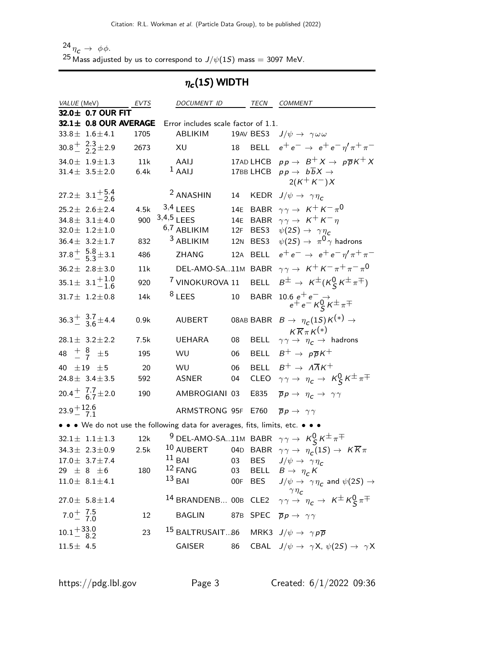$\frac{24}{10} \eta_c \rightarrow \phi \phi$ . <sup>25</sup> Mass adjusted by us to correspond to  $J/\psi(1S)$  mass = 3097 MeV.

### $\eta_c(1S)$  WIDTH

|                          | <i>VALUE</i> (MeV)                         | EVTS | DOCUMENT ID TECN COMMENT                                                         |    |             |                                                                                                                             |
|--------------------------|--------------------------------------------|------|----------------------------------------------------------------------------------|----|-------------|-----------------------------------------------------------------------------------------------------------------------------|
|                          | 32.0± 0.7 OUR FIT                          |      |                                                                                  |    |             |                                                                                                                             |
|                          | 32.1± 0.8 OUR AVERAGE                      |      | Error includes scale factor of 1.1.                                              |    |             |                                                                                                                             |
|                          | $33.8 \pm 1.6 \pm 4.1$                     | 1705 | ABLIKIM                                                                          |    | 19AV BES3   | $J/\psi \rightarrow \gamma \omega \omega$                                                                                   |
|                          | $30.8 \frac{+}{0}$ $2.3 \pm 2.9$           | 2673 | XU                                                                               | 18 |             | BELL $e^+e^- \rightarrow e^+e^-\eta^{\prime}\pi^+\pi^-$                                                                     |
|                          | $34.0 \pm 1.9 \pm 1.3$                     | 11k  | AAIJ                                                                             |    |             | 17AD LHCB $pp \rightarrow B^+ X \rightarrow p\overline{p}K^+ X$                                                             |
|                          | $31.4 \pm 3.5 \pm 2.0$                     | 6.4k | $1$ AAIJ                                                                         |    |             | 17BB LHCB $pp \rightarrow b\overline{b}X \rightarrow$                                                                       |
|                          |                                            |      |                                                                                  |    |             | $2(K^+ K^-)X$                                                                                                               |
|                          | $27.2 \pm 3.1^{+5.4}_{-2.6}$               |      | <sup>2</sup> ANASHIN                                                             |    |             | 14 KEDR $J/\psi \rightarrow \gamma \eta_c$                                                                                  |
|                          | $25.2 \pm 2.6 \pm 2.4$                     | 4.5k | $3,4$ LEES                                                                       |    |             | 14E BABR $\gamma \gamma \rightarrow K^+ K^- \pi^0$                                                                          |
|                          | $34.8 \pm 3.1 \pm 4.0$                     | 900  | $3,4,5$ LEES                                                                     |    |             | 14E BABR $\gamma \gamma \rightarrow K^+ K^- \eta$                                                                           |
|                          | $32.0 \pm 1.2 \pm 1.0$                     |      | 6,7 ABLIKIM                                                                      |    | 12F BES3    | $\psi(2S) \rightarrow \gamma \eta_c$                                                                                        |
|                          | $36.4 \pm 3.2 \pm 1.7$                     | 832  | <sup>3</sup> ABLIKIM                                                             |    | 12N BES3    | $\psi(2S) \rightarrow \pi^0 \gamma$ hadrons                                                                                 |
|                          | $37.8^{+}_{-}$ $\frac{5.8}{5.3}$ $\pm$ 3.1 | 486  | <b>ZHANG</b>                                                                     |    | 12A BELL    | $e^+e^- \rightarrow e^+e^-\eta^{\prime}\pi^+\pi^-$                                                                          |
|                          | $36.2 \pm 2.8 \pm 3.0$                     | 11k  | DEL-AMO-SA11M BABR                                                               |    |             | $\gamma \gamma \rightarrow K^+ K^- \pi^+ \pi^- \pi^0$                                                                       |
|                          | $35.1 \pm 3.1_{-1.6}^{+1.0}$               | 920  | <sup>7</sup> VINOKUROVA 11                                                       |    | <b>BELL</b> | $B^{\pm} \rightarrow K^{\pm} (K_S^0 K^{\pm} \pi^{\mp})$                                                                     |
|                          | $31.7 \pm 1.2 \pm 0.8$                     | 14k  | $8$ LEES                                                                         | 10 | <b>BABR</b> | $\begin{array}{c} 10.6\ e^+e^-\to\\ e^+e^- \, {\cal K}^0_S\, {\cal K}^\pm\, \pi^\mp \end{array}$                            |
|                          |                                            |      |                                                                                  |    |             |                                                                                                                             |
|                          | $36.3^{+}$ $3.7$ $\pm$ 4.4                 | 0.9k | <b>AUBERT</b>                                                                    |    |             | 08AB BABR $B \to \eta_c(1S)K^{(*)} \to$                                                                                     |
|                          |                                            |      |                                                                                  |    |             | $K\overline{K}\pi K^{(*)}$                                                                                                  |
|                          | $28.1 \pm 3.2 \pm 2.2$                     | 7.5k | <b>UEHARA</b>                                                                    | 08 | <b>BELL</b> | $\gamma \gamma \rightarrow \eta_c \rightarrow$ hadrons                                                                      |
|                          | 48 $\frac{+}{-}$ $\frac{8}{7}$ $\pm$ 5     | 195  | WU                                                                               | 06 | BELL        | $B^+ \rightarrow p\overline{p}K^+$                                                                                          |
| 40 $\pm 19$ $\pm 5$      |                                            | 20   | WU                                                                               | 06 | <b>BELL</b> | $B^+ \rightarrow A\overline{A}K^+$                                                                                          |
|                          | 24.8 $\pm$ 3.4 $\pm$ 3.5                   | 592  | <b>ASNER</b>                                                                     | 04 | <b>CLEO</b> | $\gamma \gamma \rightarrow \eta_c \rightarrow K_S^0 K^{\pm} \pi^{\mp}$                                                      |
|                          | $20.4 + \frac{7.7}{6.7} \pm 2.0$           | 190  | AMBROGIANI 03                                                                    |    | E835        | $\overline{p}p \rightarrow \eta_c \rightarrow \gamma \gamma$                                                                |
| $23.9 + 12.6$            |                                            |      | ARMSTRONG 95F                                                                    |    | E760        | $\overline{p}p \rightarrow \gamma \gamma$                                                                                   |
|                          |                                            |      | • • • We do not use the following data for averages, fits, limits, etc. • • •    |    |             |                                                                                                                             |
|                          | $32.1 \pm 1.1 \pm 1.3$                     | 12k  |                                                                                  |    |             | <sup>9</sup> DEL-AMO-SA11M BABR $\gamma \gamma \rightarrow K_S^0 K^{\pm} \pi^{\mp}$                                         |
|                          | $34.3 \pm 2.3 \pm 0.9$                     | 2.5k |                                                                                  |    |             | 10 AUBERT 04D BABR $\gamma \gamma \rightarrow \eta_c(1S) \rightarrow K \overline{K} \pi$                                    |
|                          | $17.0 \pm 3.7 \pm 7.4$                     |      | <sup>11</sup> BAI 03 BES $J/\psi \rightarrow \gamma \eta_c$                      |    |             |                                                                                                                             |
|                          | $29 \pm 8 \pm 6$                           | 180  | $12$ FANG                                                                        |    |             | 03 BELL $B \to \eta_c K$                                                                                                    |
|                          | $11.0 \pm 8.1 \pm 4.1$                     |      | $13$ BAI                                                                         |    |             | OOF BES $J/\psi \rightarrow \gamma \eta_c$ and $\psi(2S) \rightarrow$                                                       |
|                          |                                            |      |                                                                                  |    |             |                                                                                                                             |
|                          | $27.0 \pm 5.8 \pm 1.4$                     |      |                                                                                  |    |             | <sup>77</sup> / <sub>c</sub><br>14 BRANDENB 00B CLE2 $\gamma \gamma \rightarrow \eta_c \rightarrow K^{\pm} K_S^0 \pi^{\mp}$ |
| $7.0^{+}$ $7.5$<br>$7.0$ |                                            | 12   | <b>BAGLIN</b>                                                                    |    |             | 87B SPEC $\overline{p}p \rightarrow \gamma \gamma$                                                                          |
| $10.1 + 33.0$<br>$8.2$   |                                            | 23   | <sup>15</sup> BALTRUSAIT86 MRK3 $J/\psi \rightarrow \gamma \rho \overline{\rho}$ |    |             |                                                                                                                             |
| $11.5 \pm 4.5$           |                                            |      | GAISER                                                                           |    |             | 86 CBAL $J/\psi \rightarrow \gamma X$ , $\psi(2S) \rightarrow \gamma X$                                                     |
|                          |                                            |      |                                                                                  |    |             |                                                                                                                             |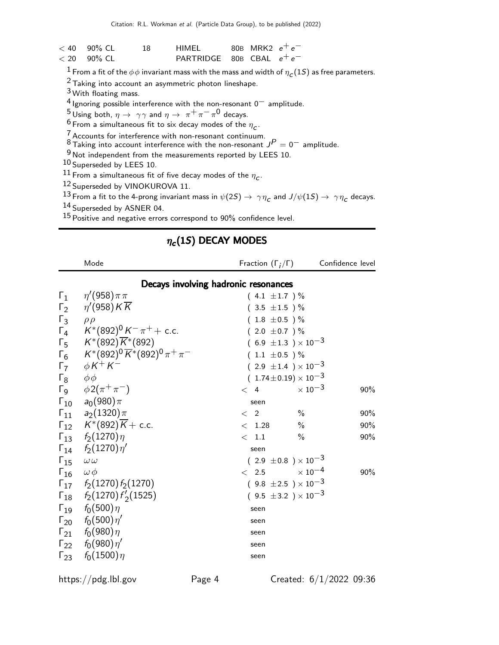| $< 40$ 90% CL | 18. | HIMFI                       | 80B MRK2 $e^+e^-$ |  |
|---------------|-----|-----------------------------|-------------------|--|
| $< 20$ 90% CL |     | PARTRIDGE 80B CBAL $e^+e^-$ |                   |  |

 $1$  From a fit of the  $\phi\phi$  invariant mass with the mass and width of  $\eta_{\bm{C}}(1S)$  as free parameters.

2 Taking into account an asymmetric photon lineshape.

3 With floating mass.

4 Ignoring possible interference with the non-resonant 0− amplitude.

 $^5$ Using both,  $\eta \rightarrow \gamma \gamma$  and  $\eta \rightarrow \pi^+ \pi^- \pi^0$  decays.

 $\frac{6}{5}$  From a simultaneous fit to six decay modes of the  $\eta_c$ .

 $\frac{7}{6}$  Accounts for interference with non-resonant continuum.

 $8$  Taking into account interference with the non-resonant  $J<sup>P</sup> = 0^-$  amplitude.

 $9<sup>9</sup>$  Not independent from the measurements reported by LEES 10.

10 Superseded by LEES 10.

 $^{11}$  From a simultaneous fit of five decay modes of the  $\eta_c$ .

12 Superseded by VINOKUROVA 11.

 $^{13}$  From a fit to the 4-prong invariant mass in  $\psi(2S)\to~\gamma\,\eta_{\tt C}$  and  $J/\psi(1S)\to~\gamma\,\eta_{\tt C}$  decays.

14 Superseded by ASNER 04.

15 Positive and negative errors correspond to 90% confidence level.

### $\eta_c(1S)$  DECAY MODES

|                               | Mode                                                                                               | Fraction $(\Gamma_i/\Gamma)$ Confidence level |                     |     |
|-------------------------------|----------------------------------------------------------------------------------------------------|-----------------------------------------------|---------------------|-----|
|                               |                                                                                                    | Decays involving hadronic resonances          |                     |     |
|                               | $\Gamma_1 \ \eta'(958) \pi \pi$                                                                    | $(4.1 \pm 1.7)$ %                             |                     |     |
|                               | $\Gamma_2$ $\eta'(958)K\overline{K}$                                                               | $(3.5 \pm 1.5)$ %                             |                     |     |
| $\Gamma_3$ $\rho \rho$        |                                                                                                    | $(1.8 \pm 0.5)$ %                             |                     |     |
|                               | $\Gamma_4$ $K^*(892)^0 K^- \pi^+$ + c.c.                                                           | $(2.0 \pm 0.7)$ %                             |                     |     |
|                               |                                                                                                    | $(6.9 \pm 1.3) \times 10^{-3}$                |                     |     |
|                               | $\Gamma_5$ $K^*(892)\overline{K}^*(892)$<br>$\Gamma_6$ $K^*(892)^0\overline{K}^*(892)^0\pi^+\pi^-$ | $(1.1 \pm 0.5) \%$                            |                     |     |
|                               | $\Gamma_7$ $\phi K^+ K^-$                                                                          | $(2.9 \pm 1.4) \times 10^{-3}$                |                     |     |
| $\Gamma_8$ $\phi\phi$         |                                                                                                    | $(1.74 \pm 0.19) \times 10^{-3}$              |                     |     |
|                               | $\Gamma_9$ $\phi 2(\pi^+\pi^-)$                                                                    | < 4                                           | $\times$ 10 $^{-3}$ | 90% |
|                               | $\Gamma_{10}$ $a_0(980)\pi$                                                                        | seen                                          |                     |     |
|                               | $\Gamma_{11}$ $a_2(1320)\pi$                                                                       | $\langle 2 \rangle$                           | $\frac{0}{0}$       | 90% |
|                               | $\Gamma_{12}$ $K^*(892)\overline{K}$ + c.c.                                                        | $<$ 1.28                                      | $\frac{0}{0}$       | 90% |
|                               | $\Gamma_{13}$ $f_2(1270)\eta$                                                                      | $<$ 1.1                                       | $\%$                | 90% |
|                               | $\Gamma_{14}$ $f_2(1270)\eta'$                                                                     | seen                                          |                     |     |
| $\Gamma_{15}$ $\omega \omega$ |                                                                                                    | $(2.9 \pm 0.8) \times 10^{-3}$                |                     |     |
| $\Gamma_{16}$ $\omega \phi$   |                                                                                                    | $<$ 2.5 $\times 10^{-4}$                      |                     | 90% |
|                               | $\Gamma_{17}$ $f_2(1270) f_2(1270)$                                                                | $(9.8 \pm 2.5) \times 10^{-3}$                |                     |     |
|                               | $\Gamma_{18}$ $f_2(1270) f'_2(1525)$                                                               | $(9.5 \pm 3.2) \times 10^{-3}$                |                     |     |
|                               | $\Gamma_{19}$ $f_0(500)\eta$                                                                       | seen                                          |                     |     |
|                               | $\Gamma_{20}$ $f_0(500)\,\eta'$                                                                    | seen                                          |                     |     |
|                               | $\Gamma_{21}$ $f_0(980)\eta$                                                                       | seen                                          |                     |     |
|                               | $\Gamma_{22}$ $f_0(980)\eta'$                                                                      | seen                                          |                     |     |
|                               | $\Gamma_{23}$ $f_0(1500)\eta$                                                                      | seen                                          |                     |     |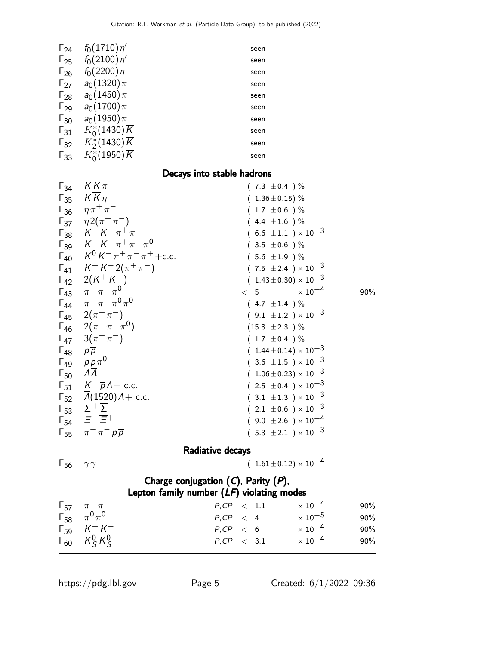| $\Gamma_{24}$ | $f_0(1710)\eta'$          | seen |
|---------------|---------------------------|------|
| $\Gamma_{25}$ | $f_0(2100)\eta'$          | seen |
| $\Gamma_{26}$ | $f_0(2200)\eta$           | seen |
| $\Gamma_{27}$ | $a_0(1320)\pi$            | seen |
| $\Gamma_{28}$ | $a_0(1450)\pi$            | seen |
| $\Gamma_{29}$ | $a_0(1700)\pi$            | seen |
| $\Gamma_{30}$ | $a_0(1950)\pi$            | seen |
| $\Gamma_{31}$ | $K_0^*(1430)\overline{K}$ | seen |
| $\Gamma_{32}$ | $K_2^*(1430)\overline{K}$ | seen |
| $\Gamma_{33}$ | $K_0^*(1950)\overline{K}$ | seen |
|               |                           |      |

### Decays into stable hadrons

| $\Gamma_{34}$                              | $K\overline{K}\pi$                               | $(7.3 \pm 0.4) \%$               |     |
|--------------------------------------------|--------------------------------------------------|----------------------------------|-----|
| $\Gamma_{35}$                              | $K\overline{K}\eta$                              | $(1.36 \pm 0.15)\%$              |     |
|                                            | $\Gamma_{36}$ $\eta \pi^{+} \pi^{-}$             | $(1.7 \pm 0.6) \%$               |     |
|                                            | $\Gamma_{37}$ $\eta 2(\pi^+\pi^-)$               | $(4.4 \pm 1.6) \%$               |     |
|                                            | $\Gamma_{38}$ $K^+ K^- \pi^+ \pi^-$              | $(6.6 \pm 1.1) \times 10^{-3}$   |     |
|                                            | $\Gamma_{39}$ $K^+ K^- \pi^+ \pi^- \pi^0$        | $(3.5 \pm 0.6)$ %                |     |
|                                            | $\Gamma_{40}$ $K^0 K^- \pi^+ \pi^- \pi^+ + c.c.$ | $(5.6 \pm 1.9)$ %                |     |
|                                            | $\Gamma_{41}$ $K^+ K^- 2(\pi^+ \pi^-)$           | $(7.5 \pm 2.4) \times 10^{-3}$   |     |
|                                            | $\Gamma_{42}$ 2(K <sup>+</sup> K <sup>-</sup> )  | $(1.43\pm0.30)\times10^{-3}$     |     |
|                                            | $\Gamma_{43}$ $\pi^{+}\pi^{-}\pi^{0}$            | $\times$ 10 $^{-4}$<br>< 5       | 90% |
|                                            | $\Gamma_{44}$ $\pi^{+}\pi^{-}\pi^{0}\pi^{0}$     | $(4.7 \pm 1.4) \%$               |     |
|                                            | $\Gamma_{45}$ 2( $\pi^{+}\pi^{-}$ )              | $(9.1 \pm 1.2) \times 10^{-3}$   |     |
|                                            | $\Gamma_{46}$ $2(\pi^{+}\pi^{-}\pi^{0})$         | $(15.8 \pm 2.3)$ %               |     |
|                                            | $\Gamma_{47}$ 3( $\pi^{+}\pi^{-}$ )              | $(1.7 \pm 0.4) \%$               |     |
| $\Gamma_{48}$ $p\overline{p}$              |                                                  | $(1.44 \pm 0.14) \times 10^{-3}$ |     |
|                                            | $\Gamma_{49}$ $\rho \overline{p} \pi^0$          | $(3.6 \pm 1.5) \times 10^{-3}$   |     |
| $\Gamma_{50}$ $\Lambda \overline{\Lambda}$ |                                                  | $(1.06 \pm 0.23) \times 10^{-3}$ |     |
|                                            | $\Gamma_{51}$ $K^+\overline{p}A+$ c.c.           | $(2.5 \pm 0.4) \times 10^{-3}$   |     |
|                                            | $\Gamma_{52}$ $A(1520)A + c.c.$                  | $(3.1 \pm 1.3) \times 10^{-3}$   |     |
|                                            | $\Gamma_{53}$ $\Sigma^+\overline{\Sigma}^-$      | $(2.1 \pm 0.6) \times 10^{-3}$   |     |
|                                            | $\Gamma_{54}$ $\equiv$ $\equiv$ $\equiv$ $+$     | $(9.0 \pm 2.6) \times 10^{-4}$   |     |
|                                            | $\Gamma_{55}$ $\pi^{+}\pi^{-}p\overline{p}$      | $(5.3 \pm 2.1) \times 10^{-3}$   |     |
|                                            |                                                  | Radiative decays                 |     |

 $\sqrt{7}$  (  $1.61 \pm 0.12$ ) ×  $10^{-4}$ 

### Charge conjugation  $(C)$ , Parity  $(P)$ , Lepton family number  $(LF)$  violating modes

| $\Gamma_{57}$ $\pi^{+}\pi^{-}$ | $P, CP \leq 1.1$ | $\times$ 10 $^{-4}$ | $90\%$ |
|--------------------------------|------------------|---------------------|--------|
| $\Gamma_{58}$ $\pi^{0}\pi^{0}$ | $P, CP \leq 4$   | $\times$ 10 $^{-5}$ | $90\%$ |
| $\Gamma_{59}$ $K^{+}K^{-}$     | $P, CP \leq 6$   | $\times$ 10 $^{-4}$ | $90\%$ |
| $\Gamma_{60}$ $K_S^0 K_S^0$    | $P, CP \leq 3.1$ | $\times$ 10 $^{-4}$ | $90\%$ |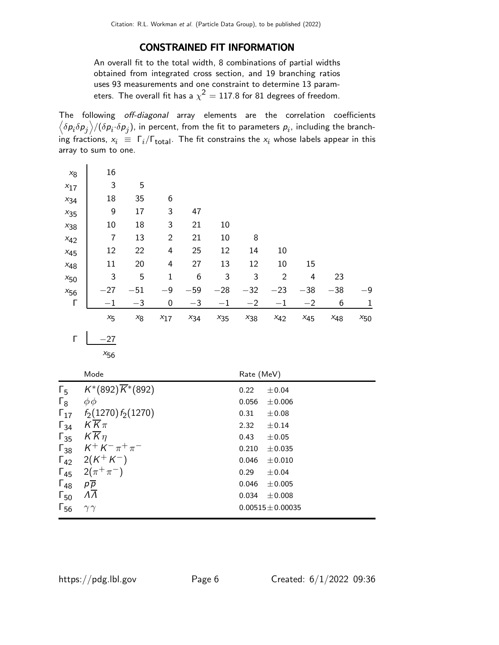### CONSTRAINED FIT INFORMATION

An overall fit to the total width, 8 combinations of partial widths obtained from integrated cross section, and 19 branching ratios uses 93 measurements and one constraint to determine 13 parameters. The overall fit has a  $\chi^2 = 117.8$  for 81 degrees of freedom.

The following off-diagonal array elements are the correlation coefficients  $\left<\delta p_i\delta p_j\right>$ / $(\delta p_i\cdot\delta p_j)$ , in percent, from the fit to parameters  $p_i$ , including the branching fractions,  $x_i \equiv \Gamma_i/\Gamma_{\rm total}$ . The fit constrains the  $x_i$  whose labels appear in this array to sum to one.

| $x_8$    | 16      |       |                  |          |          |          |                |          |          |          |
|----------|---------|-------|------------------|----------|----------|----------|----------------|----------|----------|----------|
| $x_{17}$ | 3       | 5     |                  |          |          |          |                |          |          |          |
| $x_{34}$ | 18      | 35    | 6                |          |          |          |                |          |          |          |
| $x_{35}$ | 9       | 17    | 3                | 47       |          |          |                |          |          |          |
| $x_{38}$ | 10      | 18    | 3                | 21       | 10       |          |                |          |          |          |
| $x_{42}$ | 7       | 13    | $\overline{2}$   | 21       | 10       | 8        |                |          |          |          |
| $x_{45}$ | 12      | 22    | 4                | 25       | 12       | 14       | 10             |          |          |          |
| $x_{48}$ | 11      | 20    | 4                | 27       | 13       | 12       | 10             | 15       |          |          |
| $x_{50}$ | 3       | 5     | 1                | 6        | 3        | 3        | $\overline{2}$ | 4        | 23       |          |
| $x_{56}$ | $-27$   | $-51$ | $-9$             | $-59$    | $-28$    | $-32$    | $-23$          | $-38$    | $-38$    | $-9$     |
| Г        | $-1$    | $-3$  | $\boldsymbol{0}$ | $-3$     | $^{-1}$  | $-2$     | $-1$           | $-2$     | 6        | 1        |
|          | $x_{5}$ | $x_8$ | $x_{17}$         | $x_{34}$ | $x_{35}$ | $x_{38}$ | $x_{42}$       | $x_{45}$ | $x_{48}$ | $x_{50}$ |

 $\begin{array}{|c|c|c|}\n\hline\n\end{array}$   $\begin{array}{|c|c|}\n-27\n\end{array}$ 

 $\ddot{\phantom{a}}$ 

|               | Mode                                            | Rate (MeV)            |
|---------------|-------------------------------------------------|-----------------------|
| $\Gamma_5$    | $K^*(892)\overline{K}^*(892)$                   | 0.22<br>±0.04         |
| $\Gamma_8$    | $\phi\phi$                                      | 0.056<br>$\pm 0.006$  |
| $\Gamma_{17}$ | $f_2(1270) f_2(1270)$                           | 0.31<br>$\pm 0.08$    |
| $\Gamma_{34}$ | $K$ $K$ $\pi$                                   | 2.32<br>$\pm 0.14$    |
| $\Gamma_{35}$ | $KK\eta$                                        | 0.43<br>$\pm 0.05$    |
|               | $\Gamma_{38}$ $K^+ K^- \pi^+ \pi^-$             | 0.210<br>$\pm 0.035$  |
|               | $\Gamma_{42}$ 2(K <sup>+</sup> K <sup>-</sup> ) | 0.046<br>$\pm 0.010$  |
|               | $\Gamma_{45}$ 2( $\pi^{+}\pi^{-}$ )             | 0.29<br>±0.04         |
| $\Gamma_{48}$ | $p\overline{p}$                                 | 0.046<br>$\pm 0.005$  |
| $\Gamma_{50}$ | $\Lambda\Lambda$                                | 0.034<br>$\pm 0.008$  |
| $\Gamma_{56}$ | $\gamma\gamma$                                  | $0.00515 \pm 0.00035$ |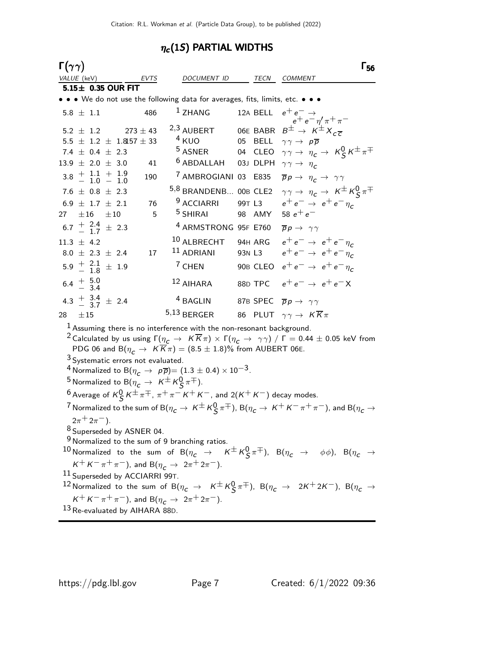## $\eta_c(1S)$  PARTIAL WIDTHS

| $\Gamma(\gamma\gamma)$ |                                           |                                                               |  |  |                                                                                                                                 |  |                                                                                                                                                              |        |         | Г56                                                                                                                                                          |
|------------------------|-------------------------------------------|---------------------------------------------------------------|--|--|---------------------------------------------------------------------------------------------------------------------------------|--|--------------------------------------------------------------------------------------------------------------------------------------------------------------|--------|---------|--------------------------------------------------------------------------------------------------------------------------------------------------------------|
| VALUE (keV)            |                                           |                                                               |  |  | EVTS                                                                                                                            |  | DOCUMENT ID                                                                                                                                                  |        | TECN    | <b>COMMENT</b>                                                                                                                                               |
|                        | 5.15± 0.35 OUR FIT                        |                                                               |  |  |                                                                                                                                 |  |                                                                                                                                                              |        |         |                                                                                                                                                              |
|                        |                                           |                                                               |  |  |                                                                                                                                 |  | • • • We do not use the following data for averages, fits, limits, etc. • • •                                                                                |        |         |                                                                                                                                                              |
| $5.8 \pm 1.1$          |                                           |                                                               |  |  | 486                                                                                                                             |  | $1$ ZHANG                                                                                                                                                    |        |         | 12A BELL $e^+e^- \rightarrow$                                                                                                                                |
|                        |                                           | $5.2 \pm 1.2$                                                 |  |  | $273 \pm 43$                                                                                                                    |  | 2,3 AUBERT                                                                                                                                                   |        |         | 12A BELL $e^+e^- \eta' \pi^+ \pi^-$<br>06E BABR $B^{\pm} \rightarrow K^{\pm} X_{c\overline{c}}$                                                              |
|                        |                                           |                                                               |  |  | 5.5 $\pm$ 1.2 $\pm$ 1.8157 $\pm$ 33                                                                                             |  | $4$ KUO                                                                                                                                                      |        | 05 BELL | $\gamma \gamma \rightarrow p \overline{p}$                                                                                                                   |
|                        |                                           | 7.4 $\pm$ 0.4 $\pm$ 2.3                                       |  |  |                                                                                                                                 |  | <sup>5</sup> ASNER                                                                                                                                           |        |         | 04 CLEO $\gamma \gamma \rightarrow \eta_c \rightarrow K_S^0 K^{\pm} \pi^{\mp}$                                                                               |
| $13.9 \pm 2.0 \pm 3.0$ |                                           |                                                               |  |  | 41                                                                                                                              |  | <sup>6</sup> ABDALLAH 03J DLPH $\gamma \gamma \rightarrow \eta_c$                                                                                            |        |         |                                                                                                                                                              |
|                        |                                           | $3.8 \begin{array}{r} + 1.1 + 1.9 \\ - 1.0 - 1.0 \end{array}$ |  |  | 190                                                                                                                             |  | <sup>7</sup> AMBROGIANI 03 E835                                                                                                                              |        |         | $\overline{p}p \rightarrow \eta_c \rightarrow \gamma \gamma$                                                                                                 |
|                        |                                           | 7.6 $\pm$ 0.8 $\pm$ 2.3                                       |  |  |                                                                                                                                 |  | 5,8 BRANDENB 00B CLE2                                                                                                                                        |        |         | $\gamma \gamma \rightarrow \eta_c \rightarrow K^{\pm} K_S^0 \pi^{\mp}$                                                                                       |
|                        |                                           | $6.9 \pm 1.7 \pm 2.1$                                         |  |  | 76                                                                                                                              |  | <sup>9</sup> ACCIARRI                                                                                                                                        |        | 99T L3  | $e^+e^- \rightarrow e^+e^-\eta_c$                                                                                                                            |
| 27                     |                                           | $\pm 16$ $\pm 10$                                             |  |  | 5                                                                                                                               |  | <sup>5</sup> SHIRAI                                                                                                                                          |        | 98 AMY  | 58 $e^+e^-$                                                                                                                                                  |
|                        |                                           | $6.7 \frac{+}{-} \frac{2.4}{1.7} \pm 2.3$                     |  |  |                                                                                                                                 |  | <sup>4</sup> ARMSTRONG 95F E760                                                                                                                              |        |         | $\overline{p}p \rightarrow \gamma \gamma$                                                                                                                    |
| $11.3 \pm 4.2$         |                                           |                                                               |  |  |                                                                                                                                 |  | 10 ALBRECHT                                                                                                                                                  |        |         | 94H ARG $e^+e^- \rightarrow e^+e^- \eta_c$                                                                                                                   |
|                        |                                           | $8.0 \pm 2.3 \pm 2.4$                                         |  |  | 17                                                                                                                              |  | 11 ADRIANI                                                                                                                                                   | 93N L3 |         | $e^+e^- \rightarrow e^+e^-\eta_c$                                                                                                                            |
|                        |                                           | $5.9 \frac{+}{-} \frac{2.1}{1.8} \pm 1.9$                     |  |  |                                                                                                                                 |  | <sup>7</sup> CHEN                                                                                                                                            |        |         | 90B CLEO $e^+e^- \rightarrow e^+e^- \eta_c$                                                                                                                  |
| 6.4 $\frac{+}{-}$ 5.0  |                                           |                                                               |  |  |                                                                                                                                 |  | $12$ AIHARA                                                                                                                                                  |        |         | 88D TPC $e^+e^- \rightarrow e^+e^- X$                                                                                                                        |
|                        |                                           | 4.3 $\frac{+}{-}$ 3.4 $\pm$ 2.4                               |  |  |                                                                                                                                 |  | <sup>4</sup> BAGLIN                                                                                                                                          |        |         | 87B SPEC $\overline{p}p \rightarrow \gamma \gamma$                                                                                                           |
| 28                     | ±15                                       |                                                               |  |  |                                                                                                                                 |  | $5,13$ BERGER                                                                                                                                                |        |         | 86 PLUT $\gamma \gamma \rightarrow K \overline{K} \pi$                                                                                                       |
|                        |                                           |                                                               |  |  |                                                                                                                                 |  | $1$ Assuming there is no interference with the non-resonant background.<br>PDG 06 and B $(\eta_c \to K \overline{K} \pi) = (8.5 \pm 1.8)\%$ from AUBERT 06E. |        |         | $^2$ Calculated by us using $\Gamma(\eta_{\bm{C}}\to~K\overline{K}\pi)\times\Gamma(\eta_{\bm{C}}\to~\gamma\gamma)$ / $\Gamma=$ 0.44 $\pm$ 0.05 keV from      |
|                        |                                           |                                                               |  |  | <sup>3</sup> Systematic errors not evaluated.                                                                                   |  |                                                                                                                                                              |        |         |                                                                                                                                                              |
|                        |                                           |                                                               |  |  |                                                                                                                                 |  | $^4$ Normalized to B $(\eta_{\,c}^{}\,\rightarrow\,\,p\overline{p})$ $=(1.3\pm0.4)\times10^{-3}$ .                                                           |        |         |                                                                                                                                                              |
|                        |                                           |                                                               |  |  | $^5$ Normalized to B $(\eta_{\mathsf{c}}^{\vphantom{\dagger}} \to \; \mathsf{K}^{\pm} \mathsf{K}^0_{\mathsf{S}} \, \pi^{\mp}).$ |  |                                                                                                                                                              |        |         |                                                                                                                                                              |
|                        |                                           |                                                               |  |  |                                                                                                                                 |  | <sup>6</sup> Average of $K^0_S K^{\pm} \pi^{\mp}$ , $\pi^+ \pi^- K^+ K^-$ , and 2(K <sup>+</sup> K <sup>-</sup> ) decay modes.                               |        |         |                                                                                                                                                              |
|                        |                                           |                                                               |  |  |                                                                                                                                 |  |                                                                                                                                                              |        |         | $^7$ Normalized to the sum of B $(\eta_c\to K^\pm\,K_{{\cal S}}^0\,\pi^\mp)$ , B $(\eta_c\to K^+\,K^-\,\pi^+\,\pi^-)$ , and B $(\eta_c\to K_{{\cal S}}^0\,)$ |
|                        |                                           | $2\pi^+ 2\pi^-$ ).                                            |  |  |                                                                                                                                 |  |                                                                                                                                                              |        |         |                                                                                                                                                              |
|                        |                                           |                                                               |  |  | <sup>8</sup> Superseded by ASNER 04.                                                                                            |  |                                                                                                                                                              |        |         |                                                                                                                                                              |
|                        |                                           |                                                               |  |  |                                                                                                                                 |  | $9$ Normalized to the sum of 9 branching ratios.                                                                                                             |        |         |                                                                                                                                                              |
|                        |                                           |                                                               |  |  |                                                                                                                                 |  |                                                                                                                                                              |        |         | 10 Normalized to the sum of $B(\eta_c \to K^{\pm} K^0_S \pi^{\mp})$ , $B(\eta_c \to \phi \phi)$ , $B(\eta_c \to \phi \phi)$                                  |
|                        |                                           |                                                               |  |  |                                                                                                                                 |  | $K^+ K^- \pi^+ \pi^-$ ), and B( $\eta_c \to 2\pi^+ 2\pi^-$ ).                                                                                                |        |         |                                                                                                                                                              |
|                        |                                           |                                                               |  |  | <sup>11</sup> Superseded by ACCIARRI 99T.                                                                                       |  |                                                                                                                                                              |        |         |                                                                                                                                                              |
|                        |                                           |                                                               |  |  |                                                                                                                                 |  |                                                                                                                                                              |        |         | <sup>12</sup> Normalized to the sum of B( $\eta_c \to K^{\pm} K^0_S \pi^{\mp}$ ), B( $\eta_c \to 2K^+ 2K^-$ ), B( $\eta_c \to 0$                             |
|                        |                                           |                                                               |  |  |                                                                                                                                 |  | $K^+ K^- \pi^+ \pi^-$ ), and B( $\eta_c \to 2\pi^+ 2\pi^-$ ).                                                                                                |        |         |                                                                                                                                                              |
|                        | <sup>13</sup> Re-evaluated by AIHARA 88D. |                                                               |  |  |                                                                                                                                 |  |                                                                                                                                                              |        |         |                                                                                                                                                              |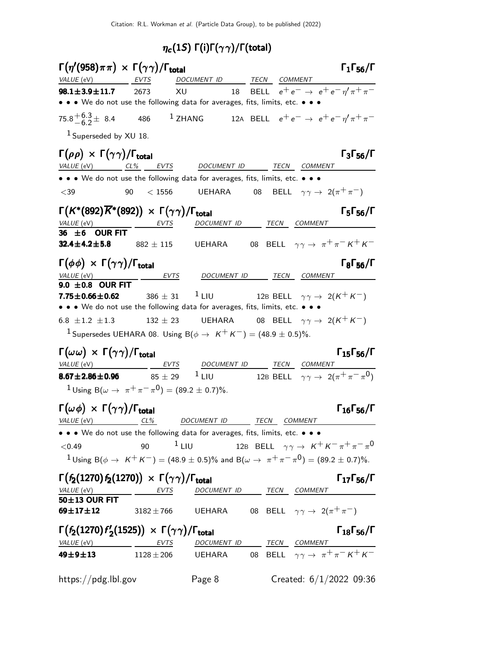## $\eta_c(1S)$  Γ(i)Γ( $\gamma\gamma)$ /Γ(total)

|                                                                                               | $\Gamma(\eta'(958)\pi\pi) \times \Gamma(\gamma\gamma)/\Gamma_{\rm total}$                    |                          |                          | $\Gamma_1\Gamma_{56}/\Gamma$                                                                                    |
|-----------------------------------------------------------------------------------------------|----------------------------------------------------------------------------------------------|--------------------------|--------------------------|-----------------------------------------------------------------------------------------------------------------|
| VALUE (eV)                                                                                    | EVTS                                                                                         | DOCUMENT ID TECN COMMENT |                          |                                                                                                                 |
| $98.1 \pm 3.9 \pm 11.7$                                                                       | 2673<br>XU                                                                                   | 18                       |                          | BELL $e^+e^- \rightarrow e^+e^-\eta^{\prime}\pi^+\pi^-$                                                         |
|                                                                                               | • • We do not use the following data for averages, fits, limits, etc. • • •                  |                          |                          |                                                                                                                 |
| $75.8^{+6.3}_{-6.2} \pm 8.4$ 486                                                              |                                                                                              | $^1$ ZHANG               |                          | 12A BELL $e^+e^- \rightarrow e^+e^- \eta^{\prime} \pi^+\pi^-$                                                   |
| $1$ Superseded by XU 18.                                                                      |                                                                                              |                          |                          |                                                                                                                 |
| $\Gamma(\rho\rho) \times \Gamma(\gamma\gamma)/\Gamma_{\rm total}$<br>$VALUE$ (eV) $CL\%$ EVTS |                                                                                              | DOCUMENT ID TECN COMMENT |                          | $\Gamma_3\Gamma_{56}/\Gamma$                                                                                    |
|                                                                                               | • • • We do not use the following data for averages, fits, limits, etc. • • •                |                          |                          |                                                                                                                 |
| $<$ 39                                                                                        | 90<br>< 1556                                                                                 | <b>UEHARA</b>            |                          | 08 BELL $\gamma \gamma \rightarrow 2(\pi^+ \pi^-)$                                                              |
| <i>VALUE</i> (eV)                                                                             | $\Gamma(K^*(892)\overline{K}^*(892)) \times \Gamma(\gamma\gamma)/\Gamma_{\rm total}$<br>EVTS |                          | DOCUMENT ID TECN COMMENT | $\Gamma_5\Gamma_{56}/\Gamma$                                                                                    |
| 36 $\pm$ 6 OUR FIT                                                                            |                                                                                              |                          |                          |                                                                                                                 |
| $32.4 \pm 4.2 \pm 5.8$                                                                        | $882\,\pm\,115$                                                                              | UEHARA                   |                          | 08 BELL $\gamma \gamma \rightarrow \pi^+ \pi^- K^+ K^-$                                                         |
| $\Gamma(\phi\phi) \times \Gamma(\gamma\gamma)/\Gamma_{\text{total}}$                          |                                                                                              |                          |                          | $\Gamma_8 \Gamma_{56}/\Gamma$                                                                                   |
| VALUE (eV)                                                                                    | <u>EVTS</u>                                                                                  |                          | DOCUMENT ID TECN COMMENT |                                                                                                                 |
| 9.0 $\pm$ 0.8 OUR FIT<br>$7.75 \pm 0.66 \pm 0.62$                                             | $386 \pm 31$                                                                                 | $1$ LIU                  |                          | 12B BELL $\gamma \gamma \rightarrow 2(K^+ K^-)$                                                                 |
|                                                                                               | • • • We do not use the following data for averages, fits, limits, etc. • • •                |                          |                          |                                                                                                                 |
| 6.8 $\pm 1.2$ $\pm 1.3$                                                                       | $132 \pm 23$                                                                                 |                          |                          | UEHARA 08 BELL $\gamma\gamma\to\ 2(K^+K^-)$                                                                     |
|                                                                                               | <sup>1</sup> Supersedes UEHARA 08. Using $B(\phi \rightarrow K^+ K^-) = (48.9 \pm 0.5)\%$ .  |                          |                          |                                                                                                                 |
| $\Gamma(\omega\omega) \times \Gamma(\gamma\gamma)/\Gamma_{\text{total}}$                      |                                                                                              |                          |                          | $\Gamma_{15}\Gamma_{56}/\Gamma$                                                                                 |
| $8.67 \pm 2.86 \pm 0.96$ $85 \pm 29$                                                          | VALUE (eV) <b>EVTS</b> DOCUMENT ID TECN COMMENT                                              |                          |                          | <sup>1</sup> LIU 12B BELL $\gamma \gamma \rightarrow 2(\pi^+ \pi^- \pi^0)$                                      |
|                                                                                               | <sup>1</sup> Using B( $\omega \to \pi^+ \pi^- \pi^0$ ) = (89.2 ± 0.7)%.                      |                          |                          |                                                                                                                 |
| $\Gamma(\omega \phi) \times \Gamma(\gamma \gamma) / \Gamma_{\text{total}}$                    |                                                                                              |                          |                          | $\Gamma_{16}\Gamma_{56}/\Gamma$                                                                                 |
| VALUE (eV)                                                                                    | $CL\%$                                                                                       | DOCUMENT ID              | TECN COMMENT             |                                                                                                                 |
|                                                                                               | • • • We do not use the following data for averages, fits, limits, etc. • • •                |                          |                          |                                                                                                                 |
| < 0.49                                                                                        | $1$ LIU<br>90                                                                                |                          |                          | 12B BELL $\gamma \gamma \rightarrow K^+ K^- \pi^+ \pi^- \pi^0$                                                  |
|                                                                                               |                                                                                              |                          |                          | $1$ Using B( $\phi \to K^+K^-$ ) = (48.9 $\pm$ 0.5)% and B( $\omega \to \pi^+\pi^-\pi^0$ ) = (89.2 $\pm$ 0.7)%. |
| VALUE (eV)                                                                                    | $\Gamma(f_2(1270) f_2(1270)) \times \Gamma(\gamma \gamma) / \Gamma_{\text{total}}$<br>EVTS   |                          | DOCUMENT ID TECN COMMENT | $\Gamma_{17}\Gamma_{56}/\Gamma$                                                                                 |
| 50±13 OUR FIT                                                                                 |                                                                                              |                          |                          |                                                                                                                 |
| $69 + 17 + 12$                                                                                | $3182 \pm 766$                                                                               | UEHARA                   |                          | 08 BELL $\gamma \gamma \rightarrow 2(\pi^+ \pi^-)$                                                              |
|                                                                                               | $\Gamma(f_2(1270) f_2'(1525)) \times \Gamma(\gamma\gamma)/\Gamma_{\text{total}}$             |                          |                          | $\Gamma_{18}\Gamma_{56}/\Gamma$                                                                                 |
| VALUE (eV)<br>49±9±13                                                                         | EVTS<br>$1128 \pm 206$                                                                       | UEHARA                   |                          | <u>DOCUMENT ID</u> TECN COMMENT<br>UEHARA 08 BELL $\gamma \gamma \rightarrow \pi^+ \pi^- K^+ K^-$               |
|                                                                                               |                                                                                              |                          |                          |                                                                                                                 |
| https://pdg.lbl.gov                                                                           |                                                                                              | Page 8                   |                          | Created: $6/1/2022$ 09:36                                                                                       |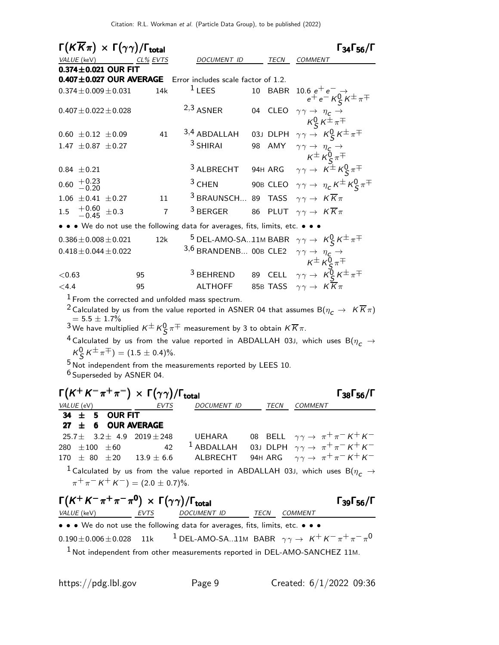Citation: R.L. Workman et al. (Particle Data Group), to be published (2022)

 $\Gamma(K\overline{K}\pi) \times \Gamma(\gamma\gamma)/\Gamma_{\text{total}}$  Γ<sub>34</sub>Γ<sub>56</sub>/Γ  $\Gamma_{34}\Gamma_{56}/\Gamma$ VALUE (keV)  $CL\%$  EVTS DOCUMENT ID TECN COMMENT  $0.374 \pm 0.021$  OUR FIT  $0.407 \pm 0.027$  OUR AVERAGE Error includes scale factor of 1.2.  $0.374\pm0.009\pm0.031$  14k  $^1$  LEES 10 BABR 10.6  $e^+$   $e^ \rightarrow$  $e^+e^-$  K<sub>S</sub> $K^{\pm}\pi^{\mp}$  $0.407 \pm 0.022 \pm 0.028$  2,3 ASNER 04 CLEO  $\gamma \gamma \rightarrow \eta_c \rightarrow$  $\kappa_S^0 \kappa^{\pm} \pi^{\mp}$  $0.60 \pm 0.12 \pm 0.09$  41  $3,4$  ABDALLAH 03J DLPH  $\gamma \gamma \rightarrow K_S^0 K^{\pm} \pi^{\mp}$ 1.47  $\pm$  0.87  $\pm$  0.27 <sup>3</sup> SHIRAI 98 AMY  $\gamma \gamma \rightarrow \eta_{\zeta} \rightarrow$  $\kappa^{\pm} \kappa_{\mathcal{S}_{i}}^{0} \pi^{\mp}$ 0.84  $\pm$  0.21 <sup>3</sup> ALBRECHT 94H ARG  $\gamma \gamma \rightarrow K^{\pm} K^0_S \pi^{\mp}$  $0.60$   $\begin{array}{c} +0.23 \\ -0.20 \end{array}$ <sup>3</sup> CHEN 90B CLEO  $\gamma \gamma \rightarrow \eta_c K^{\pm} K_S^0 \pi^{\mp}$ 1.06  $\pm$  0.41  $\pm$  0.27 11 <sup>3</sup> BRAUNSCH... 89 TASS  $\gamma \gamma \rightarrow K \overline{K} \pi$ 1.5  $^{+0.60}_{-0.45}$   $\pm$ 0.3  $7 \frac{3}{5}$  BERGER 86 PLUT  $\gamma \gamma \rightarrow K \overline{K} \pi$ • • • We do not use the following data for averages, fits, limits, etc. • • •  $0.386\pm0.008\pm0.021$  12k  $^{\textstyle 5}$  DEL-AMO-SA..11M BABR  $\hskip 1mm \gamma \gamma \rightarrow \hskip 1mm \mathcal{K}^{\textstyle 0}_{\textstyle \mathsf{S}} \, \mathcal{K}^{\textstyle \pm} \, \pi^{\mp}$  $0.360 \pm 0.000 \pm 0.021$  12K DEL-AMO-SAMING BABK  $\gamma \gamma \rightarrow N \frac{1}{S}N$ <br> $3.6$  BRANDENB... 00B CLE2  $\gamma \gamma \rightarrow \eta \frac{1}{S} \rightarrow$  $\kappa^{\pm} \kappa_{\mathsf{S}}^{0} \pi^{\mp}$  $<$ 0.63 95 95 3 BEHREND 89 CELL  $γγ → K_{S}^{0}K^{\pm}π^{\mp}$ <4.4 95 ALTHOFF 85B TASS γ γ → K K π

 $<sup>1</sup>$  From the corrected and unfolded mass spectrum.</sup>

<sup>2</sup> Calculated by us from the value reported in ASNER 04 that assumes B $(\eta_c \rightarrow K \overline{K} \pi)$  $= 5.5 \pm 1.7 \%$ 

 $^3$ We have multiplied  $\kappa^\pm\,\kappa_S^0\,\pi^\mp$  measurement by 3 to obtain  $\kappa\,\overline{\kappa}\,\pi.$ 

<sup>4</sup> Calculated by us from the value reported in ABDALLAH 03J, which uses B( $\eta_c \rightarrow$  $\mathcal{K}^0_S \, \mathcal{K}^{\pm} \, \pi^{\mp}) = (1.5 \pm 0.4)\%.$ 

 $5$  Not independent from the measurements reported by LEES 10.

<sup>6</sup> Superseded by ASNER 04.

| $\Gamma(K^+K^-\pi^+\pi^-) \times \Gamma(\gamma\gamma)/\Gamma_{\text{total}}$      |             |                    |      | $\Gamma_{38}\Gamma_{56}/\Gamma$                                                                           |
|-----------------------------------------------------------------------------------|-------------|--------------------|------|-----------------------------------------------------------------------------------------------------------|
| VALUE (eV)                                                                        | EVTS        | <b>DOCUMENT ID</b> | TECN | <b>COMMENT</b>                                                                                            |
| $34 \pm 5$ OUR FIT                                                                |             |                    |      |                                                                                                           |
| 27 $\pm$ 6 OUR AVERAGE                                                            |             |                    |      |                                                                                                           |
| $25.7\pm$ 3.2 $\pm$ 4.9 2019 $\pm$ 248                                            |             | UEHARA             |      | 08 BELL $\gamma \gamma \rightarrow \pi^+ \pi^- K^+ K^-$                                                   |
| 280 $\pm 100$ $\pm 60$                                                            | 42          | $1$ ABDALLAH       |      | 03J DLPH $\gamma \gamma \rightarrow \pi^+ \pi^- K^+ K^-$                                                  |
| $170 \pm 80 \pm 20$ $13.9 \pm 6.6$                                                |             | ALBRECHT           |      | 94H ARG $\gamma \gamma \rightarrow \pi^+ \pi^- K^+ K^-$                                                   |
| $\pi^+ \pi^- K^+ K^-$ = (2.0 $\pm$ 0.7)%.                                         |             |                    |      | <sup>1</sup> Calculated by us from the value reported in ABDALLAH 03J, which uses B( $\eta_c \rightarrow$ |
| $\Gamma(K^+K^-\pi^+\pi^-\pi^0) \times \Gamma(\gamma\gamma)/\Gamma_{\text{total}}$ |             |                    |      | $\Gamma$ <sub>39</sub> $\Gamma$ <sub>56</sub> /Г                                                          |
| VALUE (keV)                                                                       | <b>EVTS</b> | <b>DOCUMENT ID</b> | TECN | <b>COMMENT</b>                                                                                            |
| • • • We do not use the following data for averages, fits, limits, etc. • • •     |             |                    |      |                                                                                                           |
| $0.190 \pm 0.006 \pm 0.028$ 11k                                                   |             |                    |      | <sup>1</sup> DEL-AMO-SA11M BABR $\gamma \gamma \rightarrow K^+ K^- \pi^+ \pi^- \pi^0$                     |
|                                                                                   |             |                    |      | $M_{\odot}$ Met independent from other measurements are set of in DEL AMO CANCUEZ 11M                     |

1 Not independent from other measurements reported in DEL-AMO-SANCHEZ 11M.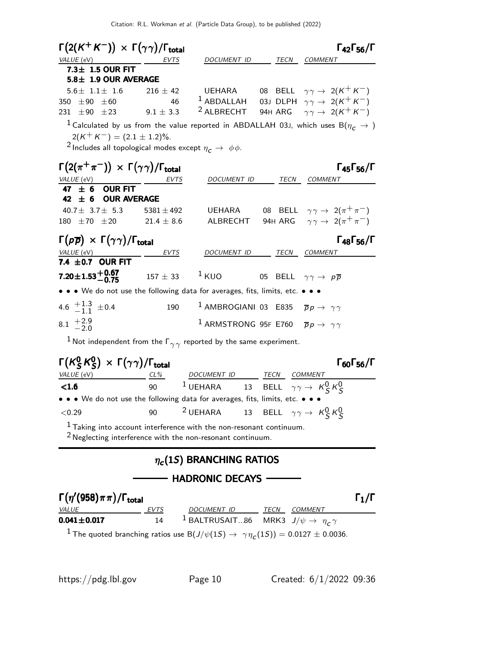|                                                                           | $\Gamma(2(K^+K^-)) \times \Gamma(\gamma\gamma)/\Gamma_{\rm total}$                     |                                                                          |                                                    | $\Gamma_{42}\Gamma_{56}/\Gamma$                                                                                               |
|---------------------------------------------------------------------------|----------------------------------------------------------------------------------------|--------------------------------------------------------------------------|----------------------------------------------------|-------------------------------------------------------------------------------------------------------------------------------|
| VALUE (eV)                                                                | EVTS                                                                                   | DOCUMENT ID                                                              | TECN                                               | <b>COMMENT</b>                                                                                                                |
| $7.3 \pm 1.5$ OUR FIT                                                     |                                                                                        |                                                                          |                                                    |                                                                                                                               |
| 5.8± 1.9 OUR AVERAGE                                                      |                                                                                        |                                                                          |                                                    |                                                                                                                               |
| $5.6 \pm 1.1 \pm 1.6$                                                     | $216 \pm 42$                                                                           |                                                                          |                                                    | UEHARA 08 BELL $\gamma \gamma \rightarrow 2(K^{+}K^{-})$                                                                      |
| 350 $\pm 90$ $\pm 60$                                                     | 46                                                                                     |                                                                          |                                                    | 1 ABDALLAH 03J DLPH $\gamma \gamma \rightarrow 2(K^{+} K^{-})$                                                                |
| 231 $\pm 90$ $\pm 23$                                                     | $9.1 \pm 3.3$                                                                          |                                                                          |                                                    | <sup>2</sup> ALBRECHT 94H ARG $\gamma \gamma \rightarrow 2(K^+ K^-)$                                                          |
|                                                                           |                                                                                        |                                                                          |                                                    | $^1$ Calculated by us from the value reported in ABDALLAH 03J, which uses B $(\eta_{\scriptstyle \text{C}} \rightarrow \rho)$ |
|                                                                           | $2(K^+ K^-) = (2.1 \pm 1.2)\%$ .                                                       |                                                                          |                                                    |                                                                                                                               |
|                                                                           | <sup>2</sup> Includes all topological modes except $\eta_c \rightarrow \phi \phi$ .    |                                                                          |                                                    |                                                                                                                               |
|                                                                           |                                                                                        |                                                                          |                                                    |                                                                                                                               |
| $\Gamma(2(\pi^+\pi^-)) \times \Gamma(\gamma\gamma)/\Gamma_{\rm total}$    |                                                                                        |                                                                          |                                                    | $\Gamma_{45}\Gamma_{56}/\Gamma$                                                                                               |
| VALUE (eV)                                                                | <b>EVTS</b>                                                                            | DOCUMENT ID                                                              | <b>TECN</b>                                        | <b>COMMENT</b>                                                                                                                |
| <b>OUR FIT</b><br>47 $\pm$ 6                                              |                                                                                        |                                                                          |                                                    |                                                                                                                               |
| 42 $\pm$ 6 OUR AVERAGE                                                    |                                                                                        |                                                                          |                                                    |                                                                                                                               |
| 40.7 $\pm$ 3.7 $\pm$ 5.3                                                  | $5381 \pm 492$                                                                         | UEHARA                                                                   |                                                    | 08 BELL $\gamma \gamma \rightarrow 2(\pi^+ \pi^-)$                                                                            |
| $180 \pm 70 \pm 20$ 21.4 $\pm$ 8.6                                        |                                                                                        | ALBRECHT                                                                 |                                                    | 94H ARG $\gamma \gamma \rightarrow 2(\pi^+ \pi^-)$                                                                            |
| $\Gamma(p\overline{p}) \times \Gamma(\gamma\gamma)/\Gamma_{\text{total}}$ |                                                                                        |                                                                          |                                                    | $\Gamma_{48}\Gamma_{56}/\Gamma$                                                                                               |
| VALUE (eV)                                                                | EVTS                                                                                   | DOCUMENT ID TECN COMMENT                                                 |                                                    |                                                                                                                               |
| 7.4 $\pm$ 0.7 OUR FIT                                                     |                                                                                        |                                                                          |                                                    |                                                                                                                               |
| $7.20 \pm 1.53 \pm 0.67$                                                  | $157 + 33$                                                                             | $1$ KUO                                                                  | 05 BELL $\gamma \gamma \rightarrow p \overline{p}$ |                                                                                                                               |
|                                                                           | • • • We do not use the following data for averages, fits, limits, etc. • • •          |                                                                          |                                                    |                                                                                                                               |
|                                                                           |                                                                                        |                                                                          |                                                    |                                                                                                                               |
| 4.6 $\pm \begin{matrix} 1.3 \\ -1.1 \end{matrix}$ ± 0.4                   | 190                                                                                    | <sup>1</sup> AMBROGIANI 03 E835 $\overline{p}p \rightarrow \gamma\gamma$ |                                                    |                                                                                                                               |
| $8.1 \tfrac{+2.9}{-2.0}$                                                  |                                                                                        | <sup>1</sup> ARMSTRONG 95F E760 $\overline{p}p \rightarrow \gamma\gamma$ |                                                    |                                                                                                                               |
|                                                                           | $^1$ Not independent from the $\Gamma_{\gamma\gamma}$ reported by the same experiment. |                                                                          |                                                    |                                                                                                                               |

| $\Gamma(K_S^0 K_S^0) \times \Gamma(\gamma \gamma) / \Gamma_{\text{total}}$                                                                                                                                                     |     |             |      | $\Gamma_{60}\Gamma_{56}/\Gamma$                                     |  |
|--------------------------------------------------------------------------------------------------------------------------------------------------------------------------------------------------------------------------------|-----|-------------|------|---------------------------------------------------------------------|--|
| <i>VALUE</i> (eV)                                                                                                                                                                                                              | CL% | DOCUMENT ID | TECN | COMMENT                                                             |  |
| $\leq 1.6$                                                                                                                                                                                                                     | 90  |             |      | <sup>1</sup> UEHARA 13 BELL $\gamma \gamma \rightarrow K_S^0 K_S^0$ |  |
| • • • We do not use the following data for averages, fits, limits, etc. • • •                                                                                                                                                  |     |             |      |                                                                     |  |
| ${<}0.29$                                                                                                                                                                                                                      | 90  |             |      | <sup>2</sup> UEHARA 13 BELL $\gamma\gamma \rightarrow K_S^0 K_S^0$  |  |
| $1 - i$ . The set of the set of the set of the set of the set of the set of the set of the set of the set of the set of the set of the set of the set of the set of the set of the set of the set of the set of the set of the |     |             |      |                                                                     |  |

 $1$  Taking into account interference with the non-resonant continuum.

 $2$  Neglecting interference with the non-resonant continuum.

### $\eta_c(1S)$  BRANCHING RATIOS

## - HADRONIC DECAYS -

| $\Gamma(\eta'(958)\pi\pi)/\Gamma_{\rm total}$ |             |                                                                                                                     |      |                |  |
|-----------------------------------------------|-------------|---------------------------------------------------------------------------------------------------------------------|------|----------------|--|
| <i>VALUE</i>                                  | <i>EVTS</i> | DOCUMENT ID                                                                                                         | TECN | <i>COMMENT</i> |  |
| $0.041 \pm 0.017$                             | 14          | <sup>1</sup> BALTRUSAIT86 MRK3 $J/\psi \rightarrow \eta_c \gamma$                                                   |      |                |  |
|                                               |             | <sup>1</sup> The quoted branching ratios use B( $J/\psi(1S) \rightarrow \gamma \eta_c(1S)$ ) = 0.0127 $\pm$ 0.0036. |      |                |  |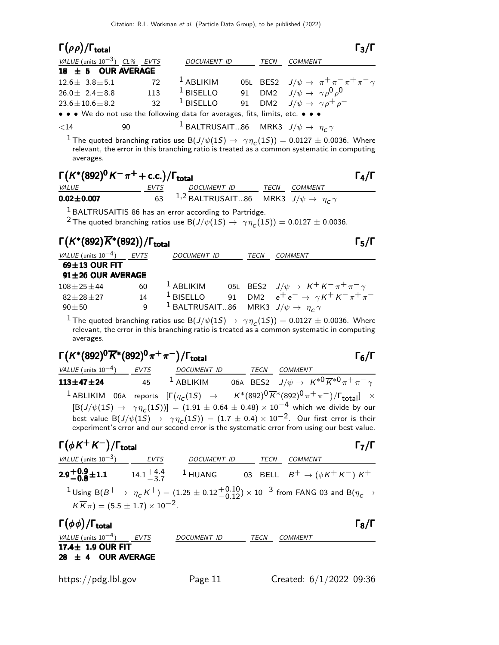| $\Gamma(\rho\rho)/\Gamma_{\rm total}$                                         |     |                                                                   |             |                                                                                              | $\Gamma_3/\Gamma$ |
|-------------------------------------------------------------------------------|-----|-------------------------------------------------------------------|-------------|----------------------------------------------------------------------------------------------|-------------------|
| VALUE (units $10^{-3}$ ) CL% EVTS                                             |     | DOCUMENT ID                                                       | <b>TECN</b> | <b>COMMENT</b>                                                                               |                   |
| $18 \pm 5$ OUR AVERAGE                                                        |     |                                                                   |             |                                                                                              |                   |
| $12.6 \pm 3.8 \pm 5.1$                                                        | 72  | $1$ ABLIKIM                                                       |             | 05L BES2 $J/\psi \to \pi^+\pi^-\pi^+\pi^-\gamma$<br>91 DM2 $J/\psi \to \gamma \rho^0 \rho^0$ |                   |
| $26.0 \pm 2.4 \pm 8.8$                                                        | 113 | $1$ BISELLO                                                       |             |                                                                                              |                   |
| $23.6 \pm 10.6 \pm 8.2$                                                       | 32  | $1$ BISELLO                                                       |             | 91 DM2 $J/\psi \rightarrow \gamma \rho^+ \rho^-$                                             |                   |
| • • • We do not use the following data for averages, fits, limits, etc. • • • |     |                                                                   |             |                                                                                              |                   |
| $<$ 14                                                                        | 90  | <sup>1</sup> BALTRUSAIT86 MRK3 $J/\psi \rightarrow \eta_c \gamma$ |             |                                                                                              |                   |

 $^1$  The quoted branching ratios use B $(J/\psi(1S) \to~\gamma \eta_{\textit{C}}(1S)) = 0.0127 \pm 0.0036$ . Where relevant, the error in this branching ratio is treated as a common systematic in computing averages.

# $\Gamma(K^*(892)^0 K^-\pi^+ + \text{c.c.})/\Gamma_{\text{total}}$  Γ<sub>4</sub>/Γ

|                      |                                                                        |                     | - 71 |
|----------------------|------------------------------------------------------------------------|---------------------|------|
| <i>VALUE</i>         |                                                                        | <i>TECN COMMENT</i> |      |
| $0.02 \!\pm\! 0.007$ | 63 <sup>1,2</sup> BALTRUSAIT86 MRK3 $J/\psi \rightarrow \eta_c \gamma$ |                     |      |

<sup>1</sup> BALTRUSAITIS 86 has an error according to Partridge.

<sup>2</sup> The quoted branching ratios use B $(J/\psi(1S) \rightarrow \gamma \eta_{C}(1S)) = 0.0127 \pm 0.0036.$ 

# $\Gamma(K^*(892)\overline{K}^*(892))/\Gamma_{\text{total}}$ Γ (και προσπαθεί το προσπαθεί της προσπαθεί της προσπαθείας προσπαθεί το προσπαθεί το πρ

| VALUE (units $10^{-4}$ ) EVTS |    | <b>DOCUMENT ID</b>                                                | <b>TECN</b> | <b>COMMENT</b>                                           |
|-------------------------------|----|-------------------------------------------------------------------|-------------|----------------------------------------------------------|
| $69 \pm 13$ OUR FIT           |    |                                                                   |             |                                                          |
| $91 \pm 26$ OUR AVERAGE       |    |                                                                   |             |                                                          |
| $108 + 25 + 44$               | 60 | $1$ ABLIKIM                                                       |             | 05L BES2 $J/\psi \rightarrow K^+ K^- \pi^+ \pi^- \gamma$ |
| $82 + 28 + 27$                | 14 | $^1$ BISELLO                                                      |             | 91 DM2 $e^+e^- \rightarrow \gamma K^+ K^- \pi^+ \pi^-$   |
| $90 \pm 50$                   | 9  | <sup>1</sup> BALTRUSAIT86 MRK3 $J/\psi \rightarrow \eta_c \gamma$ |             |                                                          |
|                               |    |                                                                   |             |                                                          |

 $^1$  The quoted branching ratios use B $(J/\psi(1S) \to~\gamma \eta_{\textit{C}}(1S)) = 0.0127 \pm 0.0036$ . Where relevant, the error in this branching ratio is treated as a common systematic in computing averages.

# $\Gamma(K^*(892)^0\overline{K}^*(892)^0\pi^+\pi^-)/\Gamma_{\text{total}}$  Γ<sub>6</sub>/Γ

total and  $\overline{6}/\overline{1}$ 

VALUE (units 10<sup>-4</sup>) EVTS DOCUMENT ID TECN COMMENT  ${\bf 113\pm 47\pm 24}$  45  $^1$  ABLIKIM 06A BES2  $J/\psi\rightarrow\ K^{*0}\overline{K}^{*0}\pi^+\pi^-\gamma$  $^1$  ABLIKIM 06A reports  $[\Gamma(\eta_c(1S) \rightarrow K^*(892)^{\textsf{0}} \overline{K}^*(892)^{\textsf{0}} \pi^+\pi^-)/\Gamma_{\textsf{total}}] \times$  $[B(J/\psi(1S) \to \gamma \eta_c(1S))] = (1.91 \pm 0.64 \pm 0.48) \times 10^{-4}$  which we divide by our best value  ${\rm B}(J/\psi(1S) \to~\gamma \eta_{\tt C}(1S)) = (1.7 \pm 0.4) \times 10^{-2}$ . Our first error is their experiment's error and our second error is the systematic error from using our best value.

### $\Gamma(\phi K^+ K^-)/\Gamma_{\text{total}}$ /Γ<sub>total</sub> Γ<sub>7</sub>/Γ

VALUE (units  $10^{-3}$ ) EVTS DOCUMENT ID TECN COMMENT  $2.9 \substack{+0.9 \ 0.9}$  $2.9^{+0.9}_{-0.8}$ ±1.1  $2.9^{+0.9}_{-0.8}$ ±1.1  $14.1^{+4.4}_{-3.7}$  $^{+4.4}_{-3.7}$  1 HUANG 03 BELL  $B^+$  → ( $\phi K^+ K^-$ ) K<sup>+</sup>  $^1$ Using B $(B^+ \to~\eta_{\cal C}\, K^+)=(1.25\pm0.12{+0.10\atop -0.12})\times10^{-3}$  from FANG 03 and B $(\eta_{\cal C}\to$  $K \overline{K} \pi$ ) = (5.5 ± 1.7) × 10<sup>-2</sup>.

| $\Gamma(\phi\phi)/\Gamma_{\rm total}$ |             |                         | $\Gamma_8/\Gamma$ |
|---------------------------------------|-------------|-------------------------|-------------------|
| VALUE (units $10^{-4}$ )<br>EVTS      | DOCUMENT ID | TECN<br><i>COMMENT</i>  |                   |
| 17.4 $\pm$ 1.9 OUR FIT                |             |                         |                   |
| 28 $\pm$ 4 OUR AVERAGE                |             |                         |                   |
|                                       |             |                         |                   |
| https://pdg.lbl.gov                   | Page 11     | Created: 6/1/2022 09:36 |                   |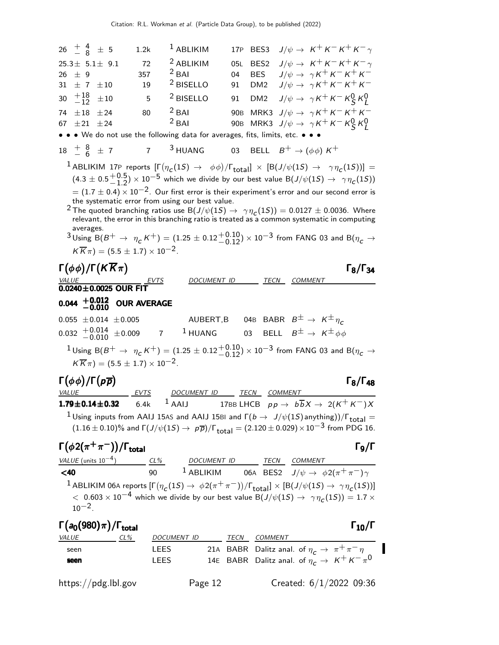| $26^{+4}_{-8}$ $\pm$ 5                                                                               | 1.2k               | $1$ ABLIKIM                                     | 17P | BES3             | $J/\psi \rightarrow K^+ K^- K^+ K^- \gamma$                                                                                                                                                                                       |  |
|------------------------------------------------------------------------------------------------------|--------------------|-------------------------------------------------|-----|------------------|-----------------------------------------------------------------------------------------------------------------------------------------------------------------------------------------------------------------------------------|--|
| $25.3 \pm 5.1 \pm 9.1$                                                                               | 72                 | <sup>2</sup> ABLIKIM                            | 05L | BES <sub>2</sub> | $J/\psi \rightarrow K^+ K^- K^+ K^- \gamma$                                                                                                                                                                                       |  |
| $26 \pm 9$                                                                                           | 357                | $2$ BAI                                         | 04  | <b>BES</b>       | $J/\psi \rightarrow \gamma K^+ K^- K^+ K^-$                                                                                                                                                                                       |  |
| $31 \pm 7 \pm 10$                                                                                    | 19                 | <sup>2</sup> BISELLO                            | 91  | DM <sub>2</sub>  | $J/\psi \rightarrow \gamma K^+ K^- K^+ K^-$                                                                                                                                                                                       |  |
| $^{+18}_{-12}$<br>30<br>$\pm\,10$                                                                    | - 5                | <sup>2</sup> BISELLO                            |     |                  | 91 DM2 $J/\psi \rightarrow \gamma K^+ K^- K^0_S K^0_I$                                                                                                                                                                            |  |
| 74 $\pm 18$ $\pm 24$<br>$\pm 21 \pm 24$                                                              | 80                 | $2$ BAI<br>$2$ BAI                              |     |                  | 90B MRK3 $J/\psi \rightarrow \gamma K^+ K^- K^+ K^-$                                                                                                                                                                              |  |
| 67<br>• • • We do not use the following data for averages, fits, limits, etc. • • •                  |                    |                                                 |     |                  | 90B MRK3 $J/\psi \rightarrow \gamma K^+ K^- K^0_S K^0_I$                                                                                                                                                                          |  |
| 18 $\frac{1}{2}$ $\frac{8}{6}$ $\pm$ 7 $\frac{3}{2}$ HUANG 03 BELL $B^+ \rightarrow (\phi \phi) K^+$ |                    |                                                 |     |                  |                                                                                                                                                                                                                                   |  |
|                                                                                                      |                    |                                                 |     |                  | <sup>1</sup> ABLIKIM 17P reports $[\Gamma(\eta_c(1S) \rightarrow \phi\phi)/\Gamma_{\text{total}}] \times [B(J/\psi(1S) \rightarrow \gamma\eta_c(1S))] =$                                                                          |  |
|                                                                                                      |                    |                                                 |     |                  | $(4.3 \pm 0.5\frac{+0.5}{-1.2}) \times 10^{-5}$ which we divide by our best value B $(J/\psi(1S) \rightarrow \gamma\eta_c(1S))$                                                                                                   |  |
|                                                                                                      |                    |                                                 |     |                  | $\sigma = (1.7 \pm 0.4) \times 10^{-2}$ . Our first error is their experiment's error and our second error is                                                                                                                     |  |
|                                                                                                      |                    | the systematic error from using our best value. |     |                  |                                                                                                                                                                                                                                   |  |
|                                                                                                      |                    |                                                 |     |                  | <sup>2</sup> The quoted branching ratios use B $(J/\psi(1S) \rightarrow \gamma \eta_c(1S)) = 0.0127 \pm 0.0036$ . Where<br>relevant, the error in this branching ratio is treated as a common systematic in computing             |  |
| averages.                                                                                            |                    |                                                 |     |                  | $^3$ Using B $(B^+ \rightarrow \eta_c\,K^+)=(1.25\pm0.12{+0.10\atop -0.12})\times10^{-3}$ from FANG 03 and B $(\eta_c\rightarrow$                                                                                                 |  |
| $K\overline{K}\pi$ = (5.5 $\pm$ 1.7) $\times$ 10 <sup>-2</sup> .                                     |                    |                                                 |     |                  |                                                                                                                                                                                                                                   |  |
|                                                                                                      |                    |                                                 |     |                  |                                                                                                                                                                                                                                   |  |
| $\Gamma(\phi\phi)/\Gamma(K\overline{K}\pi)$                                                          |                    |                                                 |     |                  | $\Gamma_8/\Gamma_{34}$<br>DOCUMENT ID TECN COMMENT                                                                                                                                                                                |  |
| $\frac{VALUE}{0.0240 \pm 0.0025}$ OUR FIT                                                            |                    |                                                 |     |                  |                                                                                                                                                                                                                                   |  |
| $0.044$ $^{+0.012}_{-0.010}$                                                                         | <b>OUR AVERAGE</b> |                                                 |     |                  |                                                                                                                                                                                                                                   |  |
|                                                                                                      |                    |                                                 |     |                  | 0.055 $\pm$ 0.014 $\pm$ 0.005 AUBERT,B 04B BABR $B^{\pm} \rightarrow K^{\pm} \eta_c$                                                                                                                                              |  |
| $0.032$ $^{+0.014}_{-0.010}$                                                                         |                    |                                                 |     |                  | $\pm 0.009$ 7 <sup>1</sup> HUANG 03 BELL $B^{\pm} \rightarrow K^{\pm} \phi \phi$                                                                                                                                                  |  |
|                                                                                                      |                    |                                                 |     |                  | $^1$ Using B $(B^+ \rightarrow \ \eta_{\texttt{C}}\,K^+)=(1.25\pm0.12 {+0.10\atop -0.12})\times10^{-3}$ from FANG 03 and B $(\eta_{\texttt{C}}\rightarrow0.12)$                                                                   |  |
|                                                                                                      |                    |                                                 |     |                  |                                                                                                                                                                                                                                   |  |
| $K\overline{K}\pi$ = (5.5 $\pm$ 1.7) $\times$ 10 <sup>-2</sup> .                                     |                    |                                                 |     |                  |                                                                                                                                                                                                                                   |  |
|                                                                                                      |                    |                                                 |     |                  |                                                                                                                                                                                                                                   |  |
| $\Gamma(\phi\phi)/\Gamma(p\overline{p})$<br>VALUE                                                    | EVTS               | DOCUMENT ID TECN COMMENT                        |     |                  | $\Gamma_8/\Gamma_{48}$                                                                                                                                                                                                            |  |
| $179 + 014 + 032$                                                                                    | 6.4k               |                                                 |     |                  | <sup>1</sup> AAIJ 17BB LHCB $p p \rightarrow b \overline{b} X \rightarrow 2(K^+ K^-) X$                                                                                                                                           |  |
|                                                                                                      |                    |                                                 |     |                  | <sup>1</sup> Using inputs from AAIJ 15AS and AAIJ 15BI and $\Gamma(b \to J/\psi(1S)$ anything))/ $\Gamma_{\text{total}} =$                                                                                                        |  |
|                                                                                                      |                    |                                                 |     |                  | $(1.16\pm0.10)\%$ and $\Gamma(J/\psi(1S)\rightarrow p\overline{p})/\Gamma_{\text{total}} = (2.120\pm0.029)\times10^{-3}$ from PDG 16.                                                                                             |  |
| $\Gamma(\phi 2(\pi^+\pi^-))/\Gamma_{\rm total}$                                                      |                    |                                                 |     |                  | $\Gamma$ θ/Γ                                                                                                                                                                                                                      |  |
|                                                                                                      |                    |                                                 |     |                  |                                                                                                                                                                                                                                   |  |
|                                                                                                      |                    |                                                 |     |                  | $\frac{VALUE \text{ (units 10}^{-4})}{VALUE \text{ (units 10}^{-4})}$ $\frac{CL\%}{90}$ $\frac{DOCUMENT \text{ ID}}{1 \text{ ABLIKIM}}$ $\frac{TECN}{06A}$ $\frac{COMMENT}{BES2}$ $J/\psi \rightarrow \phi 2(\pi^+ \pi^-) \gamma$ |  |
|                                                                                                      |                    |                                                 |     |                  | <sup>1</sup> ABLIKIM 06A reports $[\Gamma(\eta_c(1S) \to \phi 2(\pi^+\pi^-))/\Gamma_{\text{total}}] \times [B(J/\psi(1S) \to \gamma\eta_c(1S))]$                                                                                  |  |
|                                                                                                      |                    |                                                 |     |                  | $<~0.603\times 10^{-4}$ which we divide by our best value B $(J/\psi(1S) \to~\gamma \eta_{\scriptsize \textsf{C}}(1S)) = 1.7\times 10^{-4}$                                                                                       |  |
| $10^{-2}$ .                                                                                          |                    |                                                 |     |                  |                                                                                                                                                                                                                                   |  |
| $\Gamma(a_0(980)\pi)/\Gamma_{\rm total}$                                                             |                    |                                                 |     |                  | $\Gamma_{10}/\Gamma$                                                                                                                                                                                                              |  |
| $VALUE$ $CL\%$                                                                                       |                    | DOCUMENT ID TECN COMMENT                        |     |                  |                                                                                                                                                                                                                                   |  |
| seen<br>seen                                                                                         | LEES               | LEES                                            |     |                  | 21A BABR Dalitz anal. of $\eta_c \to \pi^+ \pi^- \eta$<br>14E BABR Dalitz anal. of $\eta_c \to K^+ K^- \pi^0$                                                                                                                     |  |

https://pdg.lbl.gov Page 12 Created: 6/1/2022 09:36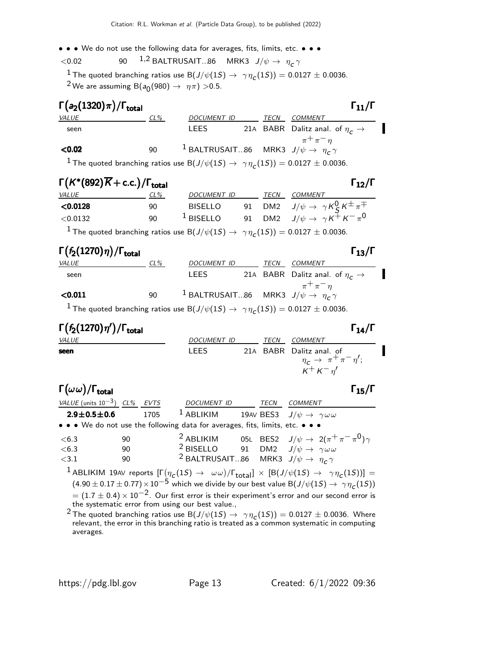• • • We do not use the following data for averages, fits, limits, etc. • • •

 $<$ 0.02 90  $1,2$  BALTRUSAIT...86 MRK3  $J/\psi \rightarrow \eta_c \gamma$ 

 $\frac{1}{2}$  The quoted branching ratios use B $(J/\psi(1S) \to \gamma \eta_{\text{C}}(1S)) = 0.0127 \pm 0.0036$ .  $^2$ We are assuming B(a $_0$ (980)  $\rightarrow$   $~\eta\pi)$   $>$ 0.5.

| $\Gamma(a_2(1320)\pi)/\Gamma_{\rm total}$ |        |                                                                   |      | $\Gamma_{11}/\Gamma$                          |  |
|-------------------------------------------|--------|-------------------------------------------------------------------|------|-----------------------------------------------|--|
| <i>VALUE</i>                              | $CL\%$ | DOCUMENT ID                                                       | TECN | <i>COMMENT</i>                                |  |
| seen                                      |        | <b>LEES</b>                                                       |      | 21A BABR Dalitz anal. of $\eta_c \rightarrow$ |  |
| < 0.02                                    | 90     | <sup>1</sup> BALTRUSAIT86 MRK3 $J/\psi \rightarrow \eta_c \gamma$ |      | $\pi^+\pi^-$                                  |  |

 $^{\displaystyle 1}$  The quoted branching ratios use B $(\displaystyle J/\psi(1S) \rightarrow \ \gamma \eta_{\boldsymbol{C}}(1S)) = 0.0127 \pm 0.0036.$ 

# $\Gamma(K^*(892)\overline{K}+\text{c.c.})/\Gamma_{\text{total}}$  Γ<sub>12</sub>/Γ

| $1(N (092)N + C.C.)/1_{total}$ | 112/1 |                    |      |                                                            |
|--------------------------------|-------|--------------------|------|------------------------------------------------------------|
| <i>VALUE</i>                   | CL%   | <b>DOCUMENT ID</b> | TECN | COMMENT                                                    |
| $<$ 0.0128                     | 90    | <b>BISELLO</b>     |      | 91 DM2 $J/\psi \rightarrow \gamma K_S^0 K^{\pm} \pi^{\mp}$ |
| $<$ 0.0132                     | 90    | $1$ BISELLO        |      | 91 DM2 $J/\psi \rightarrow \gamma K^{\pm} K^{-} \pi^{0}$   |
|                                |       |                    |      |                                                            |

 $^{\displaystyle 1}$  The quoted branching ratios use B $(\displaystyle J/\psi(1S) \rightarrow \ \gamma \eta_{\boldsymbol{C}}(1S)) = 0.0127 \pm 0.0036.$ 

### Γ $(f_2(1270)\eta)/\Gamma_{\text{total}}$ Γ VALUE CL<sup>%</sup> DOCUMENT ID TECN COMMENT seen LEES 21A BABR Dalitz anal. of  $\eta_c \rightarrow$  $\pi^+ \pi^- \eta$ **<0.011** 90  $^1$  BALTRUSAIT...86 MRK3  $J/\psi \rightarrow \eta_c^2 \gamma$

 $^{\displaystyle 1}$  The quoted branching ratios use B $(\displaystyle J/\psi(1S) \rightarrow \ \gamma \eta_{\boldsymbol{C}}(1S)) = 0.0127 \pm 0.0036.$ 

# Γ $(f_2(1270)η')$ /Γ<sub>total</sub> Γ VALUE MERICULARI DOCUMENT ID TECN COMMENT **seen** LEES 21A BABR Dalitz anal. of  $\eta_c \to \pi^+ \pi^- \eta'$ ;  $\kappa^+ \kappa^- \eta'$ Γ $(\omega \omega)/$ Γ<sub>total</sub> Γιαμ

| VALUE (units $10^{-3}$ ) CL% EVTS |    |      | <b>DOCUMENT ID</b>                                                            | TECN | COMMENT                                             |                                                |
|-----------------------------------|----|------|-------------------------------------------------------------------------------|------|-----------------------------------------------------|------------------------------------------------|
| $2.9 \pm 0.5 \pm 0.6$             |    | 1705 | $^1$ ABLIKIM                                                                  |      | 19AV BES3 $J/\psi \rightarrow \gamma \omega \omega$ |                                                |
|                                   |    |      | • • • We do not use the following data for averages, fits, limits, etc. • • • |      |                                                     |                                                |
| <6.3                              | 90 |      | <sup>2</sup> ABLIKIM                                                          |      |                                                     | 05L BES2 $J/\psi \to 2(\pi^+\pi^-\pi^0)\gamma$ |
| <6.3                              | 90 |      | <sup>2</sup> BISELLO 91 DM2 $J/\psi \rightarrow \gamma \omega \omega$         |      |                                                     |                                                |
| $\leq$ 3.1                        | 90 |      | <sup>2</sup> BALTRUSAIT86 MRK3 $J/\psi \rightarrow \eta_c \gamma$             |      |                                                     |                                                |
|                                   |    |      |                                                                               |      |                                                     |                                                |

 $^1$ ABLIKIM 19AV reports  $[\Gamma\big(\eta_{\bf C}(1S) \to~\omega\omega)/\Gamma_{\bf total}]\, \times\, [\mbox{B}(J/\psi(1S) \to~\gamma\eta_{\bf C}(1S))] =$  $(4.90 \pm 0.17 \pm 0.77) \times 10^{-5}$  which we divide by our best value B $(J/\psi(1S) \rightarrow \gamma \eta_c(1S))$  $= (1.7 \pm 0.4) \times 10^{-2}$ . Our first error is their experiment's error and our second error is the systematic error from using our best value.,

 $^2$ The quoted branching ratios use B $(J/\psi(1S) \to ~\gamma \eta_{\textit{C}}(1S)) = 0.0127 \pm 0.0036$ . Where relevant, the error in this branching ratio is treated as a common systematic in computing averages.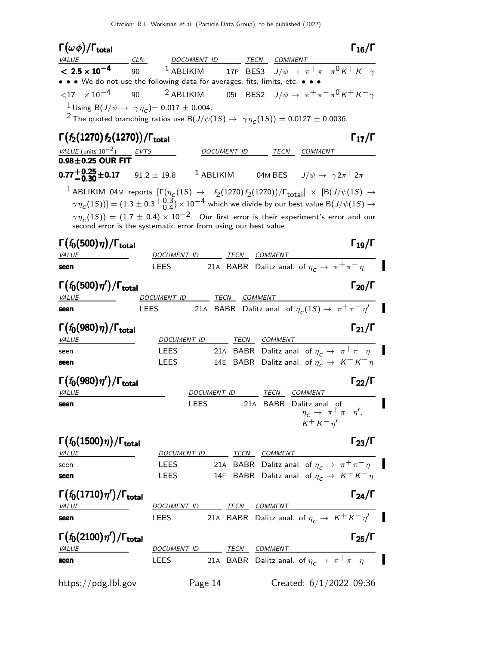| $\Gamma(\omega\phi)/\Gamma_{\rm total}$                                                                                                                                                                                                                                                                                                                                                                                                                                             |                          |                    |                     |                                                                                                  | $\Gamma_{16}/\Gamma$ |
|-------------------------------------------------------------------------------------------------------------------------------------------------------------------------------------------------------------------------------------------------------------------------------------------------------------------------------------------------------------------------------------------------------------------------------------------------------------------------------------|--------------------------|--------------------|---------------------|--------------------------------------------------------------------------------------------------|----------------------|
| <b>VALUE</b><br>CL%<br>$< 2.5 \times 10^{-4}$<br>90 0                                                                                                                                                                                                                                                                                                                                                                                                                               | DOCUMENT ID              |                    |                     | TECN COMMENT<br><sup>1</sup> ABLIKIM 17P BES3 $J/\psi \rightarrow \pi^+\pi^-\pi^0 K^+ K^-\gamma$ |                      |
| • • • We do not use the following data for averages, fits, limits, etc. • • •                                                                                                                                                                                                                                                                                                                                                                                                       |                          |                    |                     |                                                                                                  |                      |
| $\langle 17 \rangle \times 10^{-4}$<br>90                                                                                                                                                                                                                                                                                                                                                                                                                                           | $2$ ABLIKIM              |                    |                     | 05L BES2 $J/\psi \rightarrow \pi^+\pi^-\pi^0\,K^+\,K^-\gamma$                                    |                      |
| <sup>1</sup> Using B( $J/\psi \to \gamma \eta_c$ ) = 0.017 ± 0.004.                                                                                                                                                                                                                                                                                                                                                                                                                 |                          |                    |                     |                                                                                                  |                      |
| <sup>2</sup> The quoted branching ratios use B( $J/\psi(1S) \rightarrow \gamma \eta_c(1S)$ ) = 0.0127 ± 0.0036.                                                                                                                                                                                                                                                                                                                                                                     |                          |                    |                     |                                                                                                  |                      |
|                                                                                                                                                                                                                                                                                                                                                                                                                                                                                     |                          |                    |                     |                                                                                                  |                      |
| $\Gamma(f_2(1270)f_2(1270))/\Gamma_{\rm total}$                                                                                                                                                                                                                                                                                                                                                                                                                                     |                          |                    |                     |                                                                                                  | $\Gamma_{17}/\Gamma$ |
| <b>VALUE</b> (units $10^{-2}$ ) EVTS<br><b>0.98±0.25 OUR FIT</b>                                                                                                                                                                                                                                                                                                                                                                                                                    |                          | DOCUMENT ID        |                     | <b>COMMENT</b><br>TECN                                                                           |                      |
|                                                                                                                                                                                                                                                                                                                                                                                                                                                                                     |                          |                    |                     |                                                                                                  |                      |
| <b>0.77</b> $\frac{+0.25}{0.30}$ ± 0.17 91.2 $\pm$ 19.8                                                                                                                                                                                                                                                                                                                                                                                                                             |                          |                    |                     | <sup>1</sup> ABLIKIM 04M BES $J/\psi \rightarrow \gamma 2\pi^+ 2\pi^-$                           |                      |
| $^1$ ABLIKIM 04M reports $[\Gamma(\eta_{\,\bm{C}}(1S) \ \rightarrow \ \ f_2(1270) \, f_2(1270))/\Gamma_{\,\bm{total}}] \ \times \ [B(J/\psi(1S) \ \rightarrow \ \$<br>$[\gamma\eta_{\bm{C}}(1S))] = (1.3\pm0.3{+0.3\atop -0.4})\times10^{-4}$ which we divide by our best value B $(J/\psi(1S)\to0)$<br>$\gamma\eta_c(15)) = (1.7 \pm 0.4) \times 10^{-2}$ . Our first error is their experiment's error and our<br>second error is the systematic error from using our best value. |                          |                    |                     |                                                                                                  |                      |
| $\Gamma(f_0(500)\eta)/\Gamma_{\rm total}$<br><b>VALUE</b>                                                                                                                                                                                                                                                                                                                                                                                                                           | DOCUMENT ID              |                    | <u>TECN COMMENT</u> |                                                                                                  | $\Gamma_{19}/\Gamma$ |
| seen                                                                                                                                                                                                                                                                                                                                                                                                                                                                                | <b>LEES</b>              |                    |                     | 21A BABR Dalitz anal. of $\eta_c \to \pi^+ \pi^- \eta$                                           |                      |
|                                                                                                                                                                                                                                                                                                                                                                                                                                                                                     |                          |                    |                     |                                                                                                  |                      |
| $\Gamma(f_0(500)\eta')/\Gamma_{\rm total}$                                                                                                                                                                                                                                                                                                                                                                                                                                          |                          |                    |                     |                                                                                                  | $\Gamma_{20}/\Gamma$ |
| VALUE                                                                                                                                                                                                                                                                                                                                                                                                                                                                               | DOCUMENT ID              |                    | TECN COMMENT        |                                                                                                  |                      |
| seen                                                                                                                                                                                                                                                                                                                                                                                                                                                                                | LEES                     |                    |                     | 21A BABR Dalitz anal. of $\eta_c(1S) \to \pi^+ \pi^- \eta'$                                      |                      |
| $\Gamma(f_0(980)\eta)/\Gamma_{\rm total}$<br><b>VALUE</b>                                                                                                                                                                                                                                                                                                                                                                                                                           | DOCUMENT ID              |                    | TECN COMMENT        |                                                                                                  | $\Gamma_{21}/\Gamma$ |
| seen                                                                                                                                                                                                                                                                                                                                                                                                                                                                                | LEES                     |                    |                     | 21A BABR Dalitz anal. of $\eta_c \to \pi^+ \pi^- \eta$                                           |                      |
| seen                                                                                                                                                                                                                                                                                                                                                                                                                                                                                | LEES                     |                    |                     | 14E BABR Dalitz anal. of $\eta_c \to K^+ K^- \eta$                                               |                      |
| $\Gamma(f_0(980)\eta')/\Gamma_{\rm total}$<br>VALUE                                                                                                                                                                                                                                                                                                                                                                                                                                 |                          | <i>DOCUMENT ID</i> |                     | <u>TECN COMMENT</u>                                                                              | $\Gamma_{22}/\Gamma$ |
| seen                                                                                                                                                                                                                                                                                                                                                                                                                                                                                | LEES                     |                    |                     | 21A BABR Dalitz anal. of $\eta_c \rightarrow \pi^+ \pi^- \eta'$ ,<br>$K^+ K^- \eta'$             |                      |
| $\Gamma(f_0(1500)\eta)/\Gamma_{\rm total}$<br><b>VALUE</b>                                                                                                                                                                                                                                                                                                                                                                                                                          | DOCUMENT ID TECN COMMENT |                    |                     |                                                                                                  | $\Gamma_{23}/\Gamma$ |
| seen                                                                                                                                                                                                                                                                                                                                                                                                                                                                                |                          |                    |                     | LEES 21A BABR Dalitz anal. of $\eta_c \to \pi^+ \pi^- \eta$                                      |                      |
| seen                                                                                                                                                                                                                                                                                                                                                                                                                                                                                | <b>LEES</b>              |                    |                     | 14E BABR Dalitz anal. of $\eta_c \to K^+ K^- \eta$                                               |                      |
| $\Gamma(f_0(1710)\eta')/\Gamma_{\rm total}$<br><b>VALUE</b>                                                                                                                                                                                                                                                                                                                                                                                                                         | DOCUMENT ID TECN COMMENT |                    |                     |                                                                                                  | $\Gamma_{24}/\Gamma$ |
| seen                                                                                                                                                                                                                                                                                                                                                                                                                                                                                |                          |                    |                     | LEES 21A BABR Dalitz anal. of $\eta_c \to K^+ K^- \eta'$                                         |                      |
| $\Gamma(f_0(2100)\eta')/\Gamma_{\rm total}$<br><b>VALUE</b>                                                                                                                                                                                                                                                                                                                                                                                                                         | DOCUMENT ID TECN COMMENT |                    |                     |                                                                                                  | $\Gamma_{25}/\Gamma$ |
| seen                                                                                                                                                                                                                                                                                                                                                                                                                                                                                | LEES                     |                    |                     | 21A BABR Dalitz anal. of $\eta_c \to \pi^+ \pi^- \eta$                                           |                      |
| https://pdg.lbl.gov                                                                                                                                                                                                                                                                                                                                                                                                                                                                 |                          | Page 14            |                     | Created: $6/1/2022$ 09:36                                                                        |                      |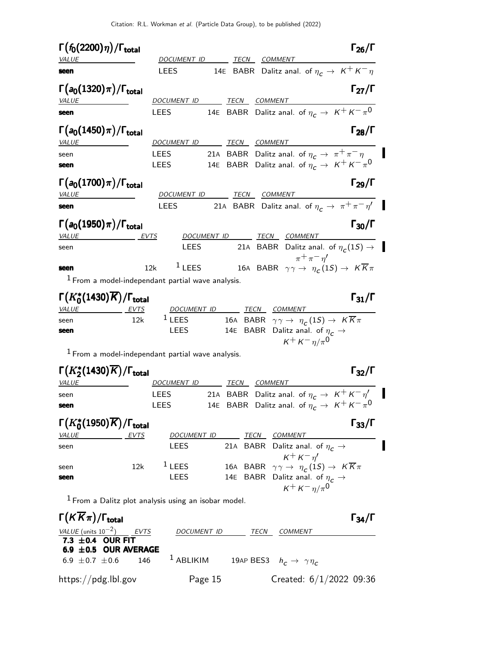$\blacksquare$ 

Π

I

Π

 $\blacksquare$ 

| $\Gamma(f_0(2200)\eta)/\Gamma_{\rm total}$                    | $\Gamma_{26}/\Gamma$                                                                                |
|---------------------------------------------------------------|-----------------------------------------------------------------------------------------------------|
| <b>VALUE</b><br>seen                                          | DOCUMENT ID<br>TECN<br>COMMENT<br>14E BABR Dalitz anal. of $\eta_c \to K^+ K^- \eta$<br><b>LEES</b> |
|                                                               |                                                                                                     |
| $\Gamma(a_0(1320)\pi)/\Gamma_{\rm total}$                     | $\Gamma_{27}/\Gamma$                                                                                |
| <b>VALUE</b>                                                  | DOCUMENT ID<br><b>TECN COMMENT</b>                                                                  |
| seen                                                          | 14E BABR Dalitz anal. of $\eta_c \to K^+ K^- \pi^0$<br>LEES                                         |
| $\Gamma(a_0(1450)\pi)/\Gamma_{\rm total}$<br>VALUE            | $\Gamma_{28}/\Gamma$<br>DOCUMENT ID TECN COMMENT                                                    |
| seen                                                          | 21A BABR Dalitz anal. of $\eta_c \to \pi^+ \pi^- \eta$<br><b>LEES</b>                               |
| seen                                                          | 14E BABR Dalitz anal. of $\eta_c \to K^+ K^- \pi^0$<br><b>LEES</b>                                  |
| $\Gamma(a_0(1700)\pi)/\Gamma_{\rm total}$<br><b>VALUE</b>     | $\Gamma_{29}/\Gamma$<br><b>TECN</b><br><b>COMMENT</b><br>DOCUMENT ID                                |
| seen                                                          | 21A BABR Dalitz anal. of $\eta_c \to \pi^+ \pi^- \eta'$<br>LEES                                     |
|                                                               |                                                                                                     |
| $\Gamma(a_0(1950)\pi)/\Gamma_{\rm total}$                     | $\Gamma_{30}/\Gamma$                                                                                |
| <b>VALUE</b>                                                  | DOCUMENT ID<br>TECN<br>COMMENT<br>EVTS                                                              |
| seen                                                          | 21A BABR Dalitz anal. of $\eta_c(1S) \rightarrow$<br>LEES<br>$\pi^+\pi^-\eta'$                      |
| seen                                                          | $1$ LEES<br>16A BABR $\gamma \gamma \rightarrow \eta_c(1S) \rightarrow K \overline{K} \pi$<br>12k   |
|                                                               | $1$ From a model-independant partial wave analysis.                                                 |
|                                                               |                                                                                                     |
| $\Gamma(K_0^*(1430)\overline{K})/\Gamma_{\rm total}$<br>VALUE | $\Gamma_{31}/\Gamma$<br>DOCUMENT ID TECN COMMENT<br><b>EVTS</b>                                     |
| seen                                                          | $1$ LEES<br>16A BABR $\gamma \gamma \rightarrow \eta_c(1S) \rightarrow K \overline{K} \pi$<br>12k   |
| seen                                                          | 14E BABR Dalitz anal. of $\eta_c \rightarrow$<br>LEES<br>$K^+ K^- \eta / \pi^0$                     |
|                                                               | $1$ From a model-independant partial wave analysis.                                                 |
| $\Gamma(K^*_2(1430)\overline{K})/\Gamma_{\text{total}}$       | $\Gamma_{32}/\Gamma$                                                                                |
| <b>VALUE</b>                                                  | DOCUMENT ID<br>TECN<br>COMMENT                                                                      |
| seen                                                          | 21A BABR Dalitz anal. of $\eta_c \to K^+ K^- \eta'$<br><b>LEES</b>                                  |
| seen                                                          | 14E BABR Dalitz anal. of $\eta_c \to K^+ K^- \pi^0$<br>LEES                                         |
| $\Gamma(K_0^*(1950)\overline{K})/\Gamma_{\text{total}}$       | $\Gamma_{33}/\Gamma$                                                                                |
| <i>VALUE</i>                                                  | <b>COMMENT</b><br>DOCUMENT ID<br>TECN<br>EVTS                                                       |
| seen                                                          | 21A BABR Dalitz anal. of $\eta_c \rightarrow$<br>LEES                                               |
|                                                               | $K^+ K^- \eta'$                                                                                     |
| seen                                                          | $1$ LEES<br>16A BABR $\gamma \gamma \rightarrow \eta_c(1S) \rightarrow K \overline{K} \pi$<br>12k   |
| seen                                                          | 14E BABR Dalitz anal. of $\eta_c \rightarrow$<br>LEES                                               |
|                                                               | $K^{+} K^{-} \eta / \pi^{0}$<br>$1$ From a Dalitz plot analysis using an isobar model.              |
|                                                               |                                                                                                     |
| $\Gamma(K\overline{K}\pi)/\Gamma_{\rm total}$                 | $\Gamma_{34}/\Gamma$                                                                                |

VALUE (units  $10^{-2}$ ) EVTS DOCUMENT ID TECN COMMENT  $7.3 \pm 0.4$  OUR FIT 6.9  $\pm$  0.5 OUR AVERAGE 6.9 ± 0.7 ± 0.6 146 <sup>1</sup> ABLIKIM 19AP BES3  $h_c \rightarrow \gamma \eta_c$ https://pdg.lbl.gov Page 15 Created: 6/1/2022 09:36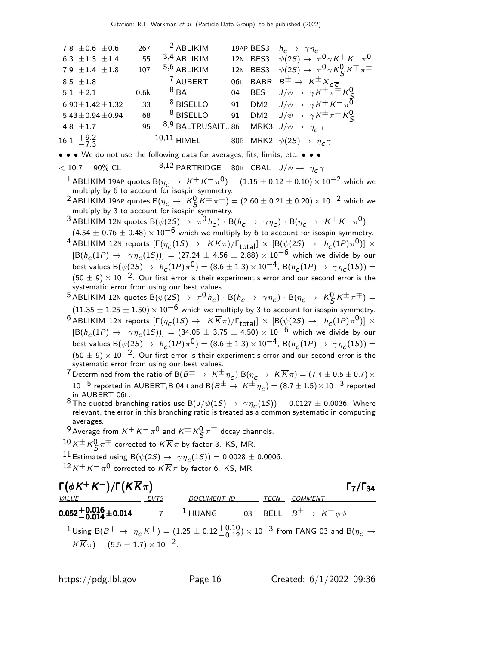7.8  $\pm$  0.6  $\pm$  0.6 267  $\pm$  2 ABLIKIM 19AP BES3  $h_c \rightarrow \gamma \eta_c$ 6.3  $\pm$ 1.3  $\pm$ 1.4 55 <sup>3,4</sup> ABLIKIM 12N BES3  $\psi(2S) \to \pi^0 \gamma K^+ K^- \pi^0$ 7.9  $\pm$ 1.4  $\pm$ 1.8 107 <sup>5,6</sup> ABLIKIM 12N BES3  $\psi(2S) \to \pi^0 \gamma K_S^0 K^{\mp} \pi^{\pm}$  $8.5 \pm 1.8$  $\frac{7}{10}$  AUBERT 06E BABR  $B^{\pm} \rightarrow K^{\pm} X_{c\bar{c}}$  $5.1 \pm 2.1$  0.6k  $8$  BAI 04 BES  $J/\psi \to \gamma K^{\pm} \pi^{\mp} K^0_S$ <br> $6.90 \pm 1.42 \pm 1.32$  33  $8$  BISELLO 91 DM2  $J/\psi \to \gamma K^+ K^- \pi^0$  $5.43\pm0.94\pm0.94$  68  $^8$  BISELLO 91 DM2  $J/\psi \rightarrow \gamma K^{\pm} \pi^{\mp} K^0_S$  $4.8 \pm 1.7$  95  $8.9 \text{ BALTRUSAIT}$ ...86 MRK3  $J/\psi \rightarrow \eta_c \gamma$  $16.1 \pm 9.2$  $-7.3$  $^{10,11}$  HIMEL  $^{80\text{B}}$  MRK2  $\,\psi(2S) \rightarrow \,\eta_{\textit{c}}^{\,\,\gamma}$ • • • We do not use the following data for averages, fits, limits, etc. • • •  $<$  10.7 90% CL  $^{8,12}$  PARTRIDGE 80B CBAL  $J/\psi \rightarrow \eta_c \gamma$  $^1$  ABLIKIM 19AP quotes B $(\eta_c \rightarrow~K^+ \,$ K $^{-} \, \pi^0)=(1.15 \pm 0.12 \pm 0.10) \times 10^{-2}$  which we multiply by 6 to account for isospin symmetry.  $^2$ ABLIKIM 19AP quotes B $(\eta_c\to\ K_S^0\,K^\pm\pi^\mp)=(2.60\pm0.21\pm0.20)\times10^{-2}$  which we multiply by 3 to account for isospin symmetry.  $^3$ ABLIKIM 12N quotes B $(\psi(2{\cal S})\rightarrow\ \pi^0\,h_c)\cdot{\rm B}(h_c\rightarrow\ \gamma\eta_c)\cdot{\rm B}(\eta_c\rightarrow\ K^+\,K^-\,\pi^0)=$  $(4.54 \pm 0.76 \pm 0.48) \times 10^{-6}$  which we multiply by 6 to account for isospin symmetry.  $^4$  ABLIKIM 12N reports  $[\Gamma(\eta_{\cal L}(1S) \to~K\overline K\pi)/\Gamma_{\rm total}]\times[{\sf B}(\psi(2S) \to~h_{\cal L}(1P)\pi^{\rm 0})]\times$  $[ B(h_c(1P) \to \gamma \eta_c(1S) ) ] = (27.24 \pm 4.56 \pm 2.88) \times 10^{-6}$  which we divide by our best values  ${\rm B}(\psi(2S) \to ~h^{}_C(1P) \pi^0) = (8.6 \pm 1.3) \times 10^{-4}$ ,  ${\rm B}(h^{}_C(1P) \to ~\gamma \eta^{}_C(1S)) =$  $(50 \pm 9) \times 10^{-2}$ . Our first error is their experiment's error and our second error is the systematic error from using our best values.  $^5$ ABLIKIM 12N quotes B $(\psi(2S) \to~\pi^0\,h_{\rm c})\cdot$  B $(h_{\rm c}\to~\gamma\eta_{\rm c})\cdot$  B $(\eta_{\rm c}\to~\kappa^0_S\,\kappa^{\pm}\,\pi^{\mp})=0$  $(11.35 \pm 1.25 \pm 1.50) \times 10^{-6}$  which we multiply by 3 to account for isospin symmetry.  $^6$ ABLIKIM 12N reports  $[\Gamma(\eta_{\cal L}(1S) \to~K\overline K\pi)/\Gamma_{\rm total}]\times[{\sf B}(\psi(2S) \to~h_{\cal L}(1P)\pi^{\rm 0})]\times$  $[B(h_c(1P) \to \gamma \eta_c(1S))] = (34.05 \pm 3.75 \pm 4.50) \times 10^{-6}$  which we divide by our best values  ${\rm B}(\psi(2S) \to ~h^{}_C(1P) \pi^0) = (8.6 \pm 1.3) \times 10^{-4}$ ,  ${\rm B}(h^{}_C(1P) \to ~\gamma \eta^{}_C(1S)) =$  $(50 \pm 9) \times 10^{-2}$ . Our first error is their experiment's error and our second error is the systematic error from using our best values.  $^7$  Determined from the ratio of B(  $B^\pm\to~$  K  $^\pm\eta_\mathcal{C})$  B( $\eta_\mathcal{C}\to~$  K  $\overline K\pi)$   $=($   $7.4\pm0.5\pm0.7)\times$ 10 $^{-5}$  reported in AUBERT,B 04B and B $(B^{\pm} \rightarrow K^{\pm} \eta_c) = (8.7 \pm 1.5) \times 10^{-3}$  reported in AUBERT 06E.  $^8$ The quoted branching ratios use B $(J/\psi(1S) \to ~\gamma \eta_{\textit{C}}(1S)) = 0.0127 \pm 0.0036$ . Where relevant, the error in this branching ratio is treated as a common systematic in computing averages.  $^9$  Average from  $K^+ K^- \pi^0$  and  $K^\pm K^0_S \pi^\mp$  decay channels.  $\frac{10}{10}$  K<sup> $\pm$ </sup> K $\frac{0}{5}$   $\pi$   $\mp$  corrected to  $K \overline{K}$   $\pi$  by factor 3. KS, MR. 11 Estimated using B $(\psi(2S) \rightarrow \gamma \eta_c(1S)) = 0.0028 \pm 0.0006.$  $^{12}$  K $^+$  K $^ \pi^0$  corrected to K $\overline{K}\pi$  by factor 6. KS, MR  $\Gamma(\phi K^+ K^-)/\Gamma(K \overline{K} \pi)$  Γ<sub>7</sub>/Γ<sub>34</sub>  $\Gamma$ <sub>7</sub>/Γ<sub>34</sub> <u>VALUE EVTS</u> DOCUMENT ID TECN COMMENT

 $^1$ Using B $(B^+ \to~\eta_{\cal C}\,K^+)=(1.25\pm0.12{+0.10\atop -0.12})\times10^{-3}$  from FANG 03 and B $(\eta_{\cal C}\to0.12)$  $K \overline{K} \pi$ ) = (5.5 ± 1.7) × 10<sup>-2</sup>.

 $^1$  HUANG  $\qquad$  03 BELL  $\,B^\pm \rightarrow \,$  K $^\pm$   $\phi\phi$ 

 $0.052 + 0.016 + 0.014$  7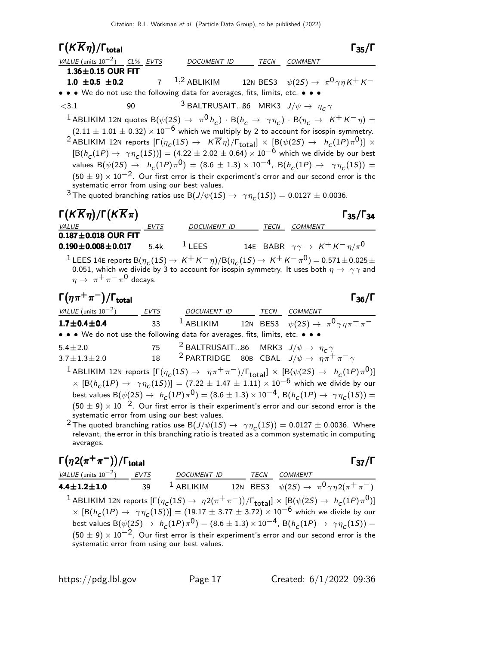# Γ $(K\overline{K}\eta)/\Gamma_{\text{total}}$  Γ<sub>35</sub>/Γ

| VALUE (units $10^{-2}$ ) CL% EVTS                                                                                                                               | DOCUMENT ID                                                       | TECN COMMENT                                                                                                                                                                                                                                                                                                                                                                                                                                                                                                                                                                                                                                                                                                                                                                  |
|-----------------------------------------------------------------------------------------------------------------------------------------------------------------|-------------------------------------------------------------------|-------------------------------------------------------------------------------------------------------------------------------------------------------------------------------------------------------------------------------------------------------------------------------------------------------------------------------------------------------------------------------------------------------------------------------------------------------------------------------------------------------------------------------------------------------------------------------------------------------------------------------------------------------------------------------------------------------------------------------------------------------------------------------|
| $1.36 \pm 0.15$ OUR FIT                                                                                                                                         |                                                                   |                                                                                                                                                                                                                                                                                                                                                                                                                                                                                                                                                                                                                                                                                                                                                                               |
|                                                                                                                                                                 |                                                                   | <b>1.0 ±0.5 ±0.2</b> 7 <sup>1,2</sup> ABLIKIM 12N BES3 $\psi(2S) \to \pi^0 \gamma \eta K^+ K^-$                                                                                                                                                                                                                                                                                                                                                                                                                                                                                                                                                                                                                                                                               |
| • • • We do not use the following data for averages, fits, limits, etc. • • •                                                                                   |                                                                   |                                                                                                                                                                                                                                                                                                                                                                                                                                                                                                                                                                                                                                                                                                                                                                               |
| $<$ 3.1                                                                                                                                                         | <sup>3</sup> BALTRUSAIT86 MRK3 $J/\psi \rightarrow \eta_c \gamma$ |                                                                                                                                                                                                                                                                                                                                                                                                                                                                                                                                                                                                                                                                                                                                                                               |
| systematic error from using our best values.<br><sup>3</sup> The quoted branching ratios use B( $J/\psi(1S) \rightarrow \gamma \eta_c(1S)$ ) = 0.0127 ± 0.0036. |                                                                   | <sup>1</sup> ABLIKIM 12N quotes B $(\psi(2S) \rightarrow \pi^0 h_c) \cdot B(h_c \rightarrow \gamma \eta_c) \cdot B(\eta_c \rightarrow K^+ K^- \eta) =$<br>$(2.11 \pm 1.01 \pm 0.32) \times 10^{-6}$ which we multiply by 2 to account for isospin symmetry.<br><sup>2</sup> ABLIKIM 12N reports $[\Gamma(\eta_c(1S) \to K\overline{K}\eta)/\Gamma_{\rm total}]\times [B(\psi(2S) \to h_c(1P)\pi^0)] \times$<br>$[{\rm B}(h_C(1P) \to \gamma \eta_C(1S))] = (4.22 \pm 2.02 \pm 0.64) \times 10^{-6}$ which we divide by our best<br>values B( $\psi(2S) \rightarrow h_c(1P)\pi^0$ ) = (8.6 ± 1.3) × 10 <sup>-4</sup> , B( $h_c(1P) \rightarrow \gamma \eta_c(1S)$ ) =<br>$(50 \pm 9) \times 10^{-2}$ . Our first error is their experiment's error and our second error is the |
| $\Gamma(K\overline{K}\eta)/\Gamma(K\overline{K}\pi)$                                                                                                            |                                                                   | $\Gamma_{35}/\Gamma_{34}$                                                                                                                                                                                                                                                                                                                                                                                                                                                                                                                                                                                                                                                                                                                                                     |
| <u>VALUE EVTS</u>                                                                                                                                               | DOCUMENT ID TECN COMMENT                                          |                                                                                                                                                                                                                                                                                                                                                                                                                                                                                                                                                                                                                                                                                                                                                                               |
| $0.187 \pm 0.018$ OUR FIT                                                                                                                                       |                                                                   |                                                                                                                                                                                                                                                                                                                                                                                                                                                                                                                                                                                                                                                                                                                                                                               |
| <b>0.190±0.008±0.017</b> 5.4k <sup>1</sup> LEES 14E BABR $\gamma \gamma \to K^+ K^- \eta / \pi^0$                                                               |                                                                   |                                                                                                                                                                                                                                                                                                                                                                                                                                                                                                                                                                                                                                                                                                                                                                               |
|                                                                                                                                                                 |                                                                   | <sup>1</sup> LEES 14E reports B $(\eta_c(1S) \to K^+K^-\eta)/B(\eta_c(1S) \to K^+K^-\pi^0) = 0.571 \pm 0.025 \pm 0.025$<br>0.051, which we divide by 3 to account for isospin symmetry. It uses both $\eta \to \gamma \gamma$ and                                                                                                                                                                                                                                                                                                                                                                                                                                                                                                                                             |
| $\eta \rightarrow \pi^+ \pi^- \pi^0$ decays.                                                                                                                    |                                                                   |                                                                                                                                                                                                                                                                                                                                                                                                                                                                                                                                                                                                                                                                                                                                                                               |

 $\Gamma(\eta \pi^+ \pi^-)/\Gamma_{\text{total}}$  Γ<sub>36</sub>/Γ /Γ $\Gamma$ total $\Gamma_{36}/\Gamma$ 

VALUE (units  $10^{-2}$ ) EVTS DOCUMENT ID TECN COMMENT 1.7 $\pm$ 0.4 $\pm$ 0.4  $\phantom{00}$  33  $\phantom{0}^1$  Ablikim  $\phantom{00}$  12n bes3  $\psi(2S) \rightarrow \phantom{0} \pi^0 \gamma \eta \pi^+ \pi^-$ • • • We do not use the following data for averages, fits, limits, etc. • • • 5.4 $\pm$ 2.0 75 <sup>2</sup> BALTRUSAIT...86 MRK3  $J/\psi \rightarrow \eta_c \gamma$  $3.7\pm1.3\pm2.0$  18 <sup>2</sup> PARTRIDGE 80B CBAL  $J/\psi \rightarrow \eta \pi^+ \pi^- \gamma$ 

 $^1$ ABLIKIM 12N reports  $[\Gamma(\eta_c(1S) \to~\eta\pi^+\pi^-)/\Gamma_{\rm total}]\times[{\rm B}(\psi(2S) \to~\hbar_c(1P)\pi^0)]$  $\times$   $[ B(h_c(1P) \rightarrow \gamma \eta_c(1S))] = (7.22 \pm 1.47 \pm 1.11) \times 10^{-6}$  which we divide by our best values B $(\psi(2S) \to h_c(1P)\pi^0) = (8.6 \pm 1.3) \times 10^{-4}$ , B $(h_c(1P) \to \gamma \eta_c(1S)) =$  $(50 \pm 9) \times 10^{-2}$ . Our first error is their experiment's error and our second error is the systematic error from using our best values.

 $^2$  The quoted branching ratios use B $(J/\psi(1S) \to \ \gamma \eta_{\text{\textit{C}}}(1S)) = 0.0127 \pm 0.0036$ . Where relevant, the error in this branching ratio is treated as a common systematic in computing averages.

$$
\begin{array}{ll}\n\text{F}(\eta 2(\pi^+\pi^-))/\text{Total} & \text{F}_{37}/\text{F} \\
\frac{\text{VALUE (units 10}^{-2})}{4.4 \pm 1.2 \pm 1.0} & \frac{\text{EVTS}}{39} & \frac{\text{DOCUMENT ID}}{1 \text{ ABLIKIM}} & \frac{\text{TECN}}{12 \text{ BES3}} & \frac{\text{COMMENT}}{\psi(2S) \rightarrow \pi^0 \gamma \eta 2(\pi^+\pi^-)} \\
1 \text{ ABLIKIM 12N reports } [\Gamma(\eta_C(1S) \rightarrow \eta 2(\pi^+\pi^-))/\Gamma_{\text{total}}] \times [\text{B}(\psi(2S) \rightarrow h_C(1P)\pi^0)] \\
\times [\text{B}(h_C(1P) \rightarrow \gamma \eta_C(1S))] = (19.17 \pm 3.77 \pm 3.72) \times 10^{-6} \text{ which we divide by our best values } \text{B}(\psi(2S) \rightarrow h_C(1P)\pi^0) = (8.6 \pm 1.3) \times 10^{-4}, \text{ B}(h_C(1P) \rightarrow \gamma \eta_C(1S)) = (50 \pm 9) \times 10^{-2}. \text{ Our first error is their experiment's error and our second error is the systematic error from using our best values.}\n\end{array}
$$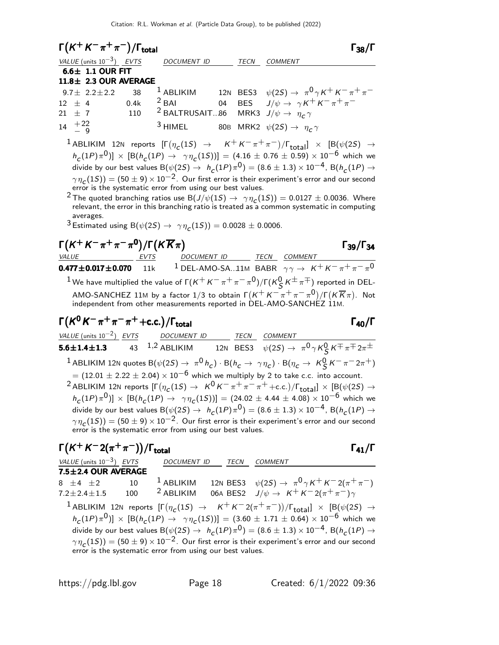| $\Gamma(K^+K^-\pi^+\pi^-)/\Gamma_{\text{total}}$                             |                                                                  |             | $\Gamma_{38}/\Gamma$                                                                          |
|------------------------------------------------------------------------------|------------------------------------------------------------------|-------------|-----------------------------------------------------------------------------------------------|
| VALUE (units $10^{-3}$ ) EVTS DOCUMENT ID                                    |                                                                  | <b>TECN</b> | COMMENT                                                                                       |
| $6.6 \pm 1.1$ OUR FIT                                                        |                                                                  |             |                                                                                               |
| 11.8± 2.3 OUR AVERAGE                                                        |                                                                  |             |                                                                                               |
|                                                                              |                                                                  |             | 9.7± 2.2±2.2 38 <sup>1</sup> ABLIKIM 12N BES3 $\psi(2S) \to \pi^0 \gamma K^+ K^- \pi^+ \pi^-$ |
|                                                                              |                                                                  |             | 12 ± 4 0.4k $^{2}$ BAI 04 BES $J/\psi \to \gamma K^{+} K^{-} \pi^{+} \pi^{-}$                 |
| 21 ± 7 110 <sup>2</sup> BALTRUSAIT86 MRK3 $J/\psi \rightarrow \eta_c \gamma$ |                                                                  |             |                                                                                               |
| $14 \tfrac{+22}{-9}$                                                         | <sup>3</sup> HIMEL 80B MRK2 $\psi(2S) \rightarrow \eta_c \gamma$ |             |                                                                                               |

 $^1$ ABLIKIM 12N reports  $[\Gamma(\eta_c(1S) \rightarrow K^+K^-\pi^+\pi^-)/\Gamma_{\rm total}]\times [B(\psi(2S) \rightarrow$  $h_c(1P)\pi^0\text{)}] \times [\text{B}(h_c(1P) \to \gamma\eta_c(1S))] = (4.16 \pm 0.76 \pm 0.59) \times 10^{-6}$  which we divide by our best values B $(\psi(2S) \to ~h_{\cal C}(1P) \pi^{\textsf{O}}) = (8.6 \pm 1.3) \times 10^{-4}$ , B $(h_{\cal C}(1P) \to$  $\gamma\,\eta_{_{\boldsymbol{C}}}(1S)) = (50\pm9)\times10^{-2}.$  Our first error is their experiment's error and our second error is the systematic error from using our best values.

 $^2$ The quoted branching ratios use B $(J/\psi(1S) \to~ \gamma \eta_{\textit{C}}(1S)) = 0.0127 \pm 0.0036$ . Where relevant, the error in this branching ratio is treated as a common systematic in computing averages.

 $^3$  Estimated using B $(\psi(2S) \rightarrow \gamma \eta_{\text{C}}(1S)) = 0.0028 \pm 0.0006.$ 

| $\Gamma(K^+ K^-\pi^+\pi^-\pi^0)/\Gamma(K\overline{K}\pi)$                                                                                                                                                                                                                                               | $\Gamma_{39}/\Gamma_{34}$ |                        |                                                   |
|---------------------------------------------------------------------------------------------------------------------------------------------------------------------------------------------------------------------------------------------------------------------------------------------------------|---------------------------|------------------------|---------------------------------------------------|
| 0.477 ± 0.017 ± 0.070                                                                                                                                                                                                                                                                                   | 11k                       | 1 DEL-AMO-SA..11M BABR | $\gamma\gamma \rightarrow K^+ K^-\pi^+\pi^-\pi^0$ |
| 1 We have multiplied the value of $\Gamma(K^+ K^-\pi^+\pi^-\pi^0)/\Gamma(K_S^0 K^{\pm}\pi^{\mp})$ reported in DEL-<br>AMO-SANCHEZ 11M by a factor 1/3 to obtain $\Gamma(K^+ K^-\pi^+\pi^-\pi^0)/\Gamma(K\overline{K}\pi)$ . Not<br>independent from other measurements reported in DEL-AMO-SANCHEZ 11M. |                           |                        |                                                   |

$$
\Gamma(K^0 K^-\pi^+\pi^-\pi^+ + c.c.)/\Gamma_{\text{total}}
$$

VALUE (units  $10^{-2}$ ) EVTS DOCUMENT ID TECN COMMENT 5.6 $\pm$ 1.4 $\pm$ 1.3 43 <sup>1,2</sup> ABLIKIM 12N BES3  $\psi(2S) \rightarrow \pi^0 \gamma K_S^0 K^{\mp} \pi^{\mp} 2\pi^{\pm}$  $^1$  ABLIKIM 12N quotes B $(\psi(2S) \to \pi^0 \, h_{\rm c}) \cdot B(h_{\rm c} \to \gamma \eta_{\rm c}) \cdot B(\eta_{\rm c} \to \, K_S^0 \, K^- \, \pi^- \, 2 \pi^+)$  $= (12.01 \pm 2.22 \pm 2.04) \times 10^{-6}$  which we multiply by 2 to take c.c. into account.  $^2$ ABLIKIM 12N reports  $[\Gamma(\eta_c(1S) \to K^0 K^-\pi^+\pi^-\pi^+ + \text{c.c.})/\Gamma_{\text{total}}] \times [B(\psi(2S) \to K^0 K^-\pi^+\pi^-\pi^+ + \text{c.c.})]$  $h_c(1P)\pi^0$ ]  $\times$   $[{\sf B}(h_c(1P) \to \gamma\eta_c(1S))] = (24.02 \pm 4.44 \pm 4.08) \times 10^{-6}$  which we divide by our best values B $(\psi(2S) \to ~h_c(1P)\pi^0)=(8.6 \pm 1.3)\times 10^{-4}$ , B $(h_c(1P) \to$  $\gamma\,\eta_{\bm{C}}(1S)) = (50\pm9)\times 10^{-2}$  . Our first error is their experiment's error and our second error is the systematic error from using our best values.

$$
\Gamma(K^+K^-2(\pi^+\pi^-))/\Gamma_{\text{total}}
$$

VALUE (units  $10^{-3}$ ) EVTS DOCUMENT ID TECN COMMENT  $7.5 \pm 2.4$  OUR AVERAGE 8  $\pm$ 4  $\pm$ 2 10  $^{-1}$  ABLIKIM 12N BES3  $\psi(2S) \rightarrow \pi^{0}\gamma K^{+}K^{-}2(\pi^{+}\pi^{-})$ 7.2±2.4±1.5 100 <sup>2</sup> ABLIKIM 06A BES2  $J/\psi \to K^+ K^- 2(\pi^+ \pi^-) \gamma$  $1$  ABLIKIM 12N reports  $[\Gamma(\eta_c(1S) \rightarrow K^+K^-2(\pi^+\pi^-))/\Gamma_{\text{total}}] \times [B(\psi(2S) \rightarrow$  $h_c(1P)\pi^0$ ] ×  $[ B(h_c(1P) \to \gamma\eta_c(1S))] = (3.60 \pm 1.71 \pm 0.64) \times 10^{-6}$  which we divide by our best values B $(\psi(2S) \to ~h_c(1P)\pi^0) = (8.6 \pm 1.3) \times 10^{-4}$ , B $(h_c(1P) \to$  $\gamma\,\eta_{_{\boldsymbol{C}}}(1S)) = (50\pm9)\times10^{-2}.$  Our first error is their experiment's error and our second error is the systematic error from using our best values.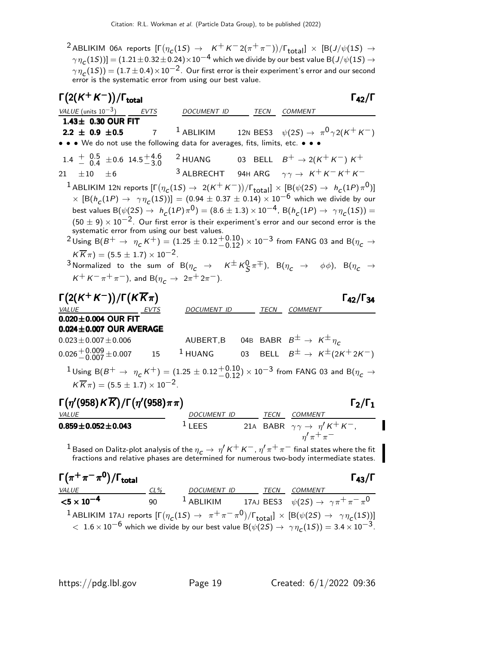$^2$ ABLIKIM 06A reports  $[\Gamma(\eta_{\cal C}(1S) \to \ K^+ K^- 2(\pi^+ \pi^-))/\Gamma_{\tt total}] \ \times \ [B(J/\psi(1S) \to \ K^+ K^- 2(\pi^+ \pi^+))/\Gamma_{\tt total}]$  $\gamma\,\eta_{\bf C}(1S))]=(1.21\pm0.32\pm0.24)\times10^{-4}$  which we divide by our best value B $(J/\psi(1S)\rightarrow0.24)$  $\gamma\,\eta_{_{\boldsymbol{C}}}(1S)) = (1.7\pm0.4)\!\times\!10^{-2}.$  Our first error is their experiment's error and our second error is the systematic error from using our best value.

| $\Gamma\big(2({\mathsf{K}}^+{\mathsf{K}}^-)\big)/\Gamma_{\textsf{total}}$                                                                                                         |                          |                                                | $\Gamma_{42}/\Gamma$                                                                                                                                                                                                                                                                                                                                                                                                                                                                                                                                                                                                                                                                                                                                                                                                                            |
|-----------------------------------------------------------------------------------------------------------------------------------------------------------------------------------|--------------------------|------------------------------------------------|-------------------------------------------------------------------------------------------------------------------------------------------------------------------------------------------------------------------------------------------------------------------------------------------------------------------------------------------------------------------------------------------------------------------------------------------------------------------------------------------------------------------------------------------------------------------------------------------------------------------------------------------------------------------------------------------------------------------------------------------------------------------------------------------------------------------------------------------------|
|                                                                                                                                                                                   | DOCUMENT ID TECN COMMENT |                                                |                                                                                                                                                                                                                                                                                                                                                                                                                                                                                                                                                                                                                                                                                                                                                                                                                                                 |
| 1.43± 0.30 OUR FIT                                                                                                                                                                |                          |                                                |                                                                                                                                                                                                                                                                                                                                                                                                                                                                                                                                                                                                                                                                                                                                                                                                                                                 |
| $2.2 \pm 0.9 \pm 0.5$<br>$\overline{7}$                                                                                                                                           |                          |                                                | <sup>1</sup> ABLIKIM 12N BES3 $\psi(2S) \rightarrow \pi^0 \gamma 2(K^+ K^-)$                                                                                                                                                                                                                                                                                                                                                                                                                                                                                                                                                                                                                                                                                                                                                                    |
| • • We do not use the following data for averages, fits, limits, etc. • •                                                                                                         |                          |                                                |                                                                                                                                                                                                                                                                                                                                                                                                                                                                                                                                                                                                                                                                                                                                                                                                                                                 |
| 1.4 $\frac{+}{-}$ 0.5 $\pm$ 0.6 14.5 $\frac{+4.6}{-3.0}$ 2 HUANG 03 BELL $B^+ \rightarrow 2(K^+K^-)K^+$                                                                           |                          |                                                |                                                                                                                                                                                                                                                                                                                                                                                                                                                                                                                                                                                                                                                                                                                                                                                                                                                 |
| 21 $\pm 10$ $\pm 6$                                                                                                                                                               |                          |                                                | <sup>3</sup> ALBRECHT 94H ARG $\gamma \gamma \rightarrow K^+ K^- K^+ K^-$                                                                                                                                                                                                                                                                                                                                                                                                                                                                                                                                                                                                                                                                                                                                                                       |
| systematic error from using our best values.<br>$K\overline{K}\pi$ = (5.5 $\pm$ 1.7) $\times$ 10 <sup>-2</sup> .<br>$K^+ K^- \pi^+ \pi^-$ ), and B( $\eta_c \to 2\pi^+ 2\pi^-$ ). |                          |                                                | <sup>1</sup> ABLIKIM 12N reports $[\Gamma(\eta_C(1S) \to 2(K^+K^-))/\Gamma_{\rm total}]\times [B(\psi(2S) \to h_C(1P)\pi^0)]$<br>$\times$ $[\textsf{B}(h_{\small{\mathcal{C}}}(1P) \rightarrow \ \gamma\eta_{\small{\mathcal{C}}}(1S))] = (0.94 \pm 0.37 \pm 0.14) \times 10^{-6}$ which we divide by our<br>best values B $(\psi(2S) \to h_c(1P)\pi^0) = (8.6 \pm 1.3) \times 10^{-4}$ , B $(h_c(1P) \to \gamma \eta_c(1S)) =$<br>$(50 \pm 9) \times 10^{-2}$ . Our first error is their experiment's error and our second error is the<br><sup>2</sup> Using B(B <sup>+</sup> $\rightarrow \eta_c K^+$ ) = (1.25 $\pm$ 0.12 $^{+0.10}_{-0.12}$ ) × 10 <sup>-3</sup> from FANG 03 and B( $\eta_c \rightarrow$<br>3 Normalized to the sum of B $(\eta_c \to K^{\pm} K^0_S \pi^{\mp})$ , B $(\eta_c \to \phi \phi)$ , B $(\eta_c \to \phi \phi)$ |
| $\Gamma(2(K^+K^-))/\Gamma(K\overline{K}\pi)$                                                                                                                                      |                          |                                                | $\Gamma_{42}/\Gamma_{34}$                                                                                                                                                                                                                                                                                                                                                                                                                                                                                                                                                                                                                                                                                                                                                                                                                       |
| $\frac{\text{VALUE}}{\text{0.020} \pm 0.004 \text{ OUR FIT}} \frac{\text{EVTS}}{\text{EVTS}}$                                                                                     | DOCUMENT ID              | TECN                                           | <b>COMMENT</b>                                                                                                                                                                                                                                                                                                                                                                                                                                                                                                                                                                                                                                                                                                                                                                                                                                  |
| $0.024 \pm 0.007$ OUR AVERAGE                                                                                                                                                     |                          |                                                |                                                                                                                                                                                                                                                                                                                                                                                                                                                                                                                                                                                                                                                                                                                                                                                                                                                 |
| $0.023 \pm 0.007 \pm 0.006$                                                                                                                                                       |                          |                                                | AUBERT,B 04B BABR $B^{\pm} \rightarrow K^{\pm} \eta_c$                                                                                                                                                                                                                                                                                                                                                                                                                                                                                                                                                                                                                                                                                                                                                                                          |
| $0.026 + 0.009 + 0.007$ 15                                                                                                                                                        |                          |                                                | <sup>1</sup> HUANG 03 BELL $B^{\pm} \rightarrow K^{\pm}(2K^{\pm}2K^{-})$                                                                                                                                                                                                                                                                                                                                                                                                                                                                                                                                                                                                                                                                                                                                                                        |
| $K\overline{K}\pi$ = (5.5 $\pm$ 1.7) $\times$ 10 <sup>-2</sup> .                                                                                                                  |                          |                                                | $^1$ Using B $(B^+ \rightarrow \eta_c\,K^+)=(1.25\pm0.12{+0.10\atop -0.12})\times10^{-3}$ from FANG 03 and B $(\eta_c\rightarrow0.12)$                                                                                                                                                                                                                                                                                                                                                                                                                                                                                                                                                                                                                                                                                                          |
| $\Gamma(\eta'(958)\text{K}\overline{\text{K}})/\Gamma(\eta'(958)\pi\pi)$<br><i>VALUE</i>                                                                                          | DOCUMENT ID TECN COMMENT |                                                | $\Gamma_2/\Gamma_1$                                                                                                                                                                                                                                                                                                                                                                                                                                                                                                                                                                                                                                                                                                                                                                                                                             |
| $0.859 \pm 0.052 \pm 0.043$                                                                                                                                                       | $1$ LEES                 |                                                | 21A BABR $\gamma \gamma \rightarrow \eta' K^+ K^-$ ,<br>$n'$ $\pi$ <sup>+</sup> $\pi$ <sup>-</sup>                                                                                                                                                                                                                                                                                                                                                                                                                                                                                                                                                                                                                                                                                                                                              |
| $\blacksquare$                                                                                                                                                                    |                          | $\mathbf{r}$ and $\mathbf{r}$ and $\mathbf{r}$ |                                                                                                                                                                                                                                                                                                                                                                                                                                                                                                                                                                                                                                                                                                                                                                                                                                                 |

 $^1$  Based on Dalitz-plot analysis of the  $\eta_{\bm c}\to\,\eta'$  K $^+$  K $^-$  ,  $\eta'\pi^+\pi^-$  final states where the fit fractions and relative phases are determined for numerous two-body intermediate states.

| $\Gamma(\pi^+\pi^-\pi^0)/\Gamma_{\rm total}$ |              |             |      | $\Gamma_{43}/\Gamma$                                                                                                                                                                                                                                                          |  |
|----------------------------------------------|--------------|-------------|------|-------------------------------------------------------------------------------------------------------------------------------------------------------------------------------------------------------------------------------------------------------------------------------|--|
| <i>VALUE</i>                                 | $CL\%$       | DOCUMENT ID | TECN | COMMENT                                                                                                                                                                                                                                                                       |  |
| $<$ 5 $\times$ 10 <sup>-4</sup>              | $90^{\circ}$ |             |      | <sup>1</sup> ABLIKIM 17AJ BES3 $\psi(2S) \rightarrow \gamma \pi^+ \pi^- \pi^0$                                                                                                                                                                                                |  |
|                                              |              |             |      | <sup>1</sup> ABLIKIM 17AJ reports $[\Gamma(\eta_c(1S) \to \pi^+\pi^-\pi^0)/\Gamma_{\text{total}}] \times [B(\psi(2S) \to \gamma\eta_c(1S))]$<br>$1.6 \times 10^{-6}$ which we divide by our best value B( $\psi(2S) \rightarrow \gamma \eta_c(1S)$ ) = 3.4 $\times 10^{-3}$ . |  |

П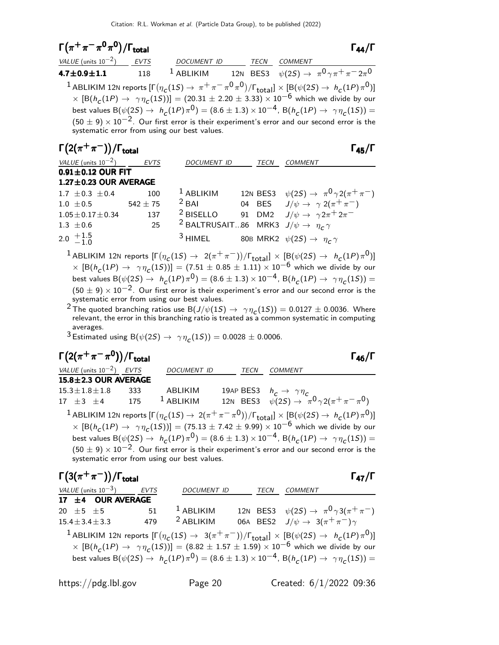| $\Gamma(\pi^+\pi^-\pi^0\pi^0)/\Gamma_{\rm total}$ |     |                                              |          |                                                                                                                                                  |  |
|---------------------------------------------------|-----|----------------------------------------------|----------|--------------------------------------------------------------------------------------------------------------------------------------------------|--|
| VALUE (units $10^{-2}$ ) EVTS                     |     | DOCUMENT ID TECN COMMENT                     |          |                                                                                                                                                  |  |
| $4.7 \pm 0.9 \pm 1.1$ 118                         |     |                                              |          | <sup>1</sup> ABLIKIM 12N BES3 $\psi(2S) \to \pi^0 \gamma \pi^+ \pi^- 2 \pi^0$                                                                    |  |
|                                                   |     |                                              |          | <sup>1</sup> ABLIKIM 12N reports $[\Gamma(\eta_c(1S) \to \pi^+ \pi^- \pi^0 \pi^0)/\Gamma_{\text{total}}] \times [B(\psi(2S) \to h_c(1P) \pi^0)]$ |  |
|                                                   |     |                                              |          | $\times$ [B(h <sub>c</sub> (1P) $\to \gamma \eta_c(15)$ ] = (20.31 $\pm$ 2.20 $\pm$ 3.33) $\times$ 10 <sup>-6</sup> which we divide by our       |  |
|                                                   |     |                                              |          | best values B( $\psi(2S) \to h_c(1P)\pi^0$ ) = (8.6 ± 1.3) × 10 <sup>-4</sup> , B( $h_c(1P) \to \gamma \eta_c(1S)$ ) =                           |  |
|                                                   |     |                                              |          | $(50 \pm 9) \times 10^{-2}$ . Our first error is their experiment's error and our second error is the                                            |  |
|                                                   |     | systematic error from using our best values. |          |                                                                                                                                                  |  |
| $\Gamma(2(\pi^+\pi^-))/\Gamma_{\rm total}$        |     |                                              |          | $\Gamma_{45}/\Gamma$                                                                                                                             |  |
| VALUE (units $10^{-2}$ ) EVTS                     |     | <b>DOCUMENT ID</b>                           | TECN     | <b>COMMENT</b>                                                                                                                                   |  |
| $0.91 \pm 0.12$ OUR FIT                           |     |                                              |          |                                                                                                                                                  |  |
| $1.27 \pm 0.23$ OUR AVERAGE                       |     |                                              |          |                                                                                                                                                  |  |
| $1.7 \pm 0.3 \pm 0.4$                             | 100 | $1$ ABLIKIM                                  | 12N BES3 | $\psi(2S) \rightarrow \pi^0 \gamma 2(\pi^+\pi^-)$                                                                                                |  |
| $1.0 \pm 0.5$ 542 $\pm$ 75                        |     | $2$ BAI                                      | 04 BES   | $J/\psi \rightarrow \gamma 2(\pi^+\pi^-)$                                                                                                        |  |
| $1.05 + 0.17 + 0.34$                              | 137 | $2$ BISELLO                                  |          | 91 DM2 $J/\psi \rightarrow \gamma 2\pi^+ 2\pi^-$                                                                                                 |  |
| $1.3 \pm 0.6$                                     | 25  | <sup>2</sup> BALTRUSAIT86 MRK3               |          | $J/\psi \rightarrow \eta_c \gamma$                                                                                                               |  |
|                                                   |     |                                              |          |                                                                                                                                                  |  |

2.0  $+1.5$  $-1.0$ <sup>3</sup> HIMEL 80B MRK2  $\psi(2S) \rightarrow \eta_c \gamma$ 

 $^1$ ABLIKIM 12N reports  $[\Gamma(\eta_c(1S) \to 2(\pi^+\pi^-))/\Gamma_{\rm total}]\times[\mathcal{B}(\psi(2S) \to h_c(1P)\pi^0)]$  $\times$   $[ B(h_c(1P) \rightarrow \gamma \eta_c(1S))] = (7.51 \pm 0.85 \pm 1.11) \times 10^{-6}$  which we divide by our best values B $(\psi(2S) \to h_c(1P)\pi^0) = (8.6 \pm 1.3) \times 10^{-4}$ , B $(h_c(1P) \to \gamma \eta_c(1S)) =$  $(50 \pm 9) \times 10^{-2}$ . Our first error is their experiment's error and our second error is the systematic error from using our best values.

 $^2$  The quoted branching ratios use B $(J/\psi(1S) \to \ \gamma \eta_{\textit{C}}(1S)) = 0.0127 \pm 0.0036$ . Where relevant, the error in this branching ratio is treated as a common systematic in computing averages.

 $^3$  Estimated using B $(\psi(2S) \rightarrow \gamma \eta_{\text{C}}(1S)) = 0.0028 \pm 0.0006.$ 

| $\Gamma(2(\pi^+\pi^-\pi^0))/\Gamma_{\rm total}$ |     |                                              |      | Габ/Г                                                                                                                                      |
|-------------------------------------------------|-----|----------------------------------------------|------|--------------------------------------------------------------------------------------------------------------------------------------------|
| VALUE (units $10^{-2}$ ) EVTS                   |     | <b>DOCUMENT ID</b>                           | TECN | COMMENT                                                                                                                                    |
| 15.8±2.3 OUR AVERAGE                            |     |                                              |      |                                                                                                                                            |
| $15.3 \pm 1.8 \pm 1.8$                          | 333 | ABLIKIM                                      |      | 19AP BES3 $h_c \rightarrow \gamma \eta_c$                                                                                                  |
| $17 \pm 3 \pm 4$ 175                            |     | $1$ ABLIKIM                                  |      | 12N BES3 $\psi(2S) \to \pi^0 \gamma 2(\pi^+ \pi^- \pi^0)$                                                                                  |
|                                                 |     |                                              |      | <sup>1</sup> ABLIKIM 12N reports $[\Gamma(\eta_c(1S) \to 2(\pi^+\pi^-\pi^0))/\Gamma_{\text{total}}] \times [B(\psi(2S) \to h_c(1P)\pi^0)]$ |
|                                                 |     |                                              |      | $\times$ [B(h <sub>c</sub> (1P) $\rightarrow \gamma \eta_c(15)$ ] = (75.13 ± 7.42 ± 9.99) × 10 <sup>-6</sup> which we divide by our        |
|                                                 |     |                                              |      | best values B $(\psi(2S) \to h_c(1P)\pi^0) = (8.6 \pm 1.3) \times 10^{-4}$ , B $(h_c(1P) \to \gamma \eta_c(1S)) =$                         |
|                                                 |     | systematic error from using our best values. |      | $(50\pm9)\times10^{-2}.$ Our first error is their experiment's error and our second error is the                                           |

| $\Gamma(3(\pi^+\pi^-))/\Gamma_{\text{total}}$                                                                                         |             |                                                                                                                                    |      |                                                     | $\Gamma_{47}/I$ |
|---------------------------------------------------------------------------------------------------------------------------------------|-------------|------------------------------------------------------------------------------------------------------------------------------------|------|-----------------------------------------------------|-----------------|
| VALUE (units $10^{-3}$ )                                                                                                              | <b>EVTS</b> | <b>DOCUMENT ID</b>                                                                                                                 | TECN | COMMENT                                             |                 |
| 17 ±4 OUR AVERAGE                                                                                                                     |             |                                                                                                                                    |      |                                                     |                 |
| 20 $\pm$ 5 $\pm$ 5                                                                                                                    | 51          | $^1$ ABLIKIM                                                                                                                       |      | 12N BES3 $\psi(2S) \to \pi^0 \gamma 3(\pi^+ \pi^-)$ |                 |
| $15.4 \pm 3.4 \pm 3.3$                                                                                                                | 479         | $2$ ABI IKIM                                                                                                                       |      | 06A BES2 $J/\psi \rightarrow 3(\pi^+\pi^-)\gamma$   |                 |
| <sup>1</sup> ABLIKIM 12N reports $[\Gamma(\eta_c(1S) \to 3(\pi^+\pi^-))/\Gamma_{\text{total}}] \times [B(\psi(2S) \to h_c(1P)\pi^0)]$ |             |                                                                                                                                    |      |                                                     |                 |
|                                                                                                                                       |             | $\times$ [B(h <sub>c</sub> (1P) $\rightarrow \gamma \eta_c(15)$ ] = (8.82 ± 1.57 ± 1.59) × 10 <sup>-6</sup> which we divide by our |      |                                                     |                 |
|                                                                                                                                       |             | best values B( $\psi(2S) \to h_c(1P)\pi^0$ ) = (8.6 ± 1.3) × 10 <sup>-4</sup> , B( $h_c(1P) \to \gamma \eta_c(1S)$ ) =             |      |                                                     |                 |
|                                                                                                                                       |             |                                                                                                                                    |      |                                                     |                 |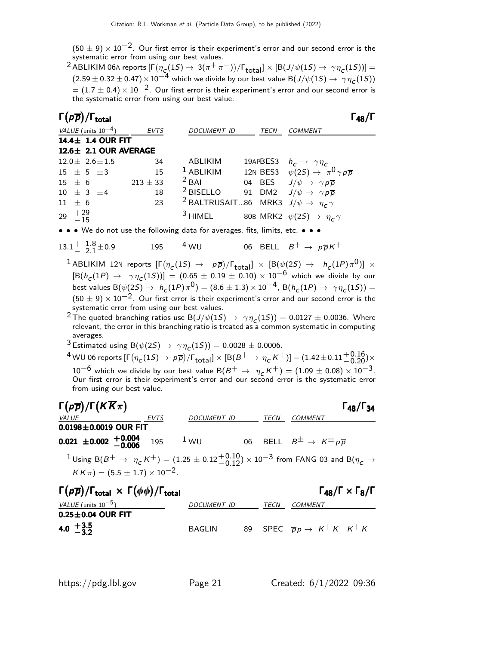$(50 \pm 9) \times 10^{-2}$ . Our first error is their experiment's error and our second error is the systematic error from using our best values.

 $^2$  ABLIKIM 06A reports  $[\Gamma(\eta_{\bm{C}}(1S) \to 3(\pi^+\pi^-))/\Gamma_{\bm{\mathrm{total}}}]\times[{\mathsf B}(J/\psi(1S) \to \gamma\eta_{\bm{C}}(1S))] =$  $(2.59 \pm 0.32 \pm 0.47) \times 10^{-4}$  which we divide by our best value B $(J/\psi(1S) \rightarrow \gamma \eta_c(1S))$  $= (1.7 \pm 0.4) \times 10^{-2}$ . Our first error is their experiment's error and our second error is the systematic error from using our best value.

|                 | $\Gamma(p\overline{p})/\Gamma_{\rm total}$ |                       |                                                                        |      | $\mathsf{\Gamma}_{\mathbf{48}}/\mathsf{\Gamma}$                                                               |
|-----------------|--------------------------------------------|-----------------------|------------------------------------------------------------------------|------|---------------------------------------------------------------------------------------------------------------|
|                 | VALUE (units $10^{-4}$ )                   | <b>EVTS</b>           | <b>DOCUMENT ID</b>                                                     | TECN | <b>COMMENT</b>                                                                                                |
|                 | 14.4 ± 1.4 OUR FIT                         |                       |                                                                        |      |                                                                                                               |
|                 |                                            | 12.6± 2.1 OUR AVERAGE |                                                                        |      |                                                                                                               |
|                 | $12.0 \pm 2.6 \pm 1.5$                     | 34                    | ABLIKIM                                                                |      |                                                                                                               |
|                 | $15 \pm 5 \pm 3$                           | 15                    | $1$ ABLIKIM                                                            |      | 19APBES3 $h_c \rightarrow \gamma \eta_c$<br>12N BES3 $\psi(2S) \rightarrow \pi^0 \gamma \rho \overline{\rho}$ |
|                 |                                            | $15 \pm 6$ 213 ± 33   | $2$ BAI                                                                |      | 04 BES $J/\psi \rightarrow \gamma p \overline{p}$                                                             |
|                 | $10 \pm 3 \pm 4$                           | 18                    | <sup>2</sup> BISELLO 91 DM2 $J/\psi \rightarrow \gamma p \overline{p}$ |      |                                                                                                               |
| $11 \pm 6$      |                                            | 23                    | <sup>2</sup> BALTRUSAIT86 MRK3 $J/\psi \rightarrow \eta_c \gamma$      |      |                                                                                                               |
| 29 $+29$<br>-15 |                                            |                       | $3$ HIMEL                                                              |      | 80B MRK2 $\psi(2S) \rightarrow \eta_c \gamma$                                                                 |

• • • We do not use the following data for averages, fits, limits, etc. • • •

13.1<sup>+</sup> 
$$
\frac{1.8}{2.1}
$$
 ± 0.9 195 4 WU 06 BELL  $B^+ \rightarrow p\overline{p}K^+$ 

 $^1$ ABLIKIM 12N reports  $[\Gamma(\eta_c(1S) \ \to \ \ p\overline{p})/\Gamma_{\rm total}] \ \times \ [B(\psi(2S) \ \to \ \ h_c(1P)\pi^0)] \ \times$  $[ B(h_c(1P) \to \gamma \eta_c(1S) ) ] = (0.65 \pm 0.19 \pm 0.10) \times 10^{-6}$  which we divide by our best values  ${\rm B}(\psi(2S) \to ~h^{}_C(1P) \pi^0)=(8.6 \pm 1.3) \times 10^{-4}$ ,  ${\rm B}(h^{}_C(1P) \to ~\gamma \eta^{}_C(1S))=$  $(50 \pm 9) \times 10^{-2}$ . Our first error is their experiment's error and our second error is the systematic error from using our best values.

 $^2$ The quoted branching ratios use B $(J/\psi(1S) \to~\gamma \eta_{\textit{C}}(1S)) = 0.0127 \pm 0.0036$ . Where relevant, the error in this branching ratio is treated as a common systematic in computing averages.

 $^3$  Estimated using B $(\psi(2S) \rightarrow \gamma \eta_{\text{C}}(1S)) = 0.0028 \pm 0.0006.$ 

 $^4$  WU 06 reports  $[\Gamma(\eta_{\cal L}(1S) \to \not\! p\overline{\rho})/\Gamma_{\rm total}]\times[{\rm B}(B^+ \to \eta_{\cal L}\, K^+)]=(1.42\pm0.11 {+0.16\atop -0.20})\times$  $10^{-6}$  which we divide by our best value B $(B^+ \to \eta_c\,K^+)=(1.09\pm0.08)\times10^{-3}$ .<br>Our first error is their experiment's error and our second error is the systematic error from using our best value.

| $\Gamma(p\overline{p})/\Gamma(K\overline{K}\pi)$                     |             |             |      | $\Gamma_{48}/\Gamma_{34}$                                                                                                                                    |
|----------------------------------------------------------------------|-------------|-------------|------|--------------------------------------------------------------------------------------------------------------------------------------------------------------|
| <i>VALUE</i>                                                         | <b>EVTS</b> | DOCUMENT ID | TECN | COMMENT                                                                                                                                                      |
| $0.0198 \pm 0.0019$ OUR FIT                                          |             |             |      |                                                                                                                                                              |
| $0.021 \pm 0.002 \begin{array}{cc} +0.004 \\ -0.006 \end{array}$ 195 |             | $1$ WU      |      | 06 BELL $B^{\pm} \rightarrow K^{\pm} p \overline{p}$                                                                                                         |
|                                                                      |             |             |      | <sup>1</sup> Using B(B <sup>+</sup> $\rightarrow \eta_c K^+$ ) = (1.25 ± 0.12 <sup>+0.10</sup> ) × 10 <sup>-3</sup> from FANG 03 and B( $\eta_c \rightarrow$ |

$$
K\overline{K}\pi = (5.5 \pm 1.7) \times 10^{-2}.
$$

| $\Gamma(p\overline{p})/\Gamma_{\text{total}} \times \Gamma(\phi\phi)/\Gamma_{\text{total}}$ |               |      | $\Gamma_{48}/\Gamma \times \Gamma_8/\Gamma$      |
|---------------------------------------------------------------------------------------------|---------------|------|--------------------------------------------------|
| VALUE (units $10^{-5}$ )                                                                    | DOCUMENT ID   | TECN | COMMENT                                          |
| $0.25 \pm 0.04$ OUR FIT                                                                     |               |      |                                                  |
| 4.0 $+3.5$<br>-3.2                                                                          | <b>BAGLIN</b> |      | 89 SPEC $\overline{p}p \rightarrow K^+K^-K^+K^-$ |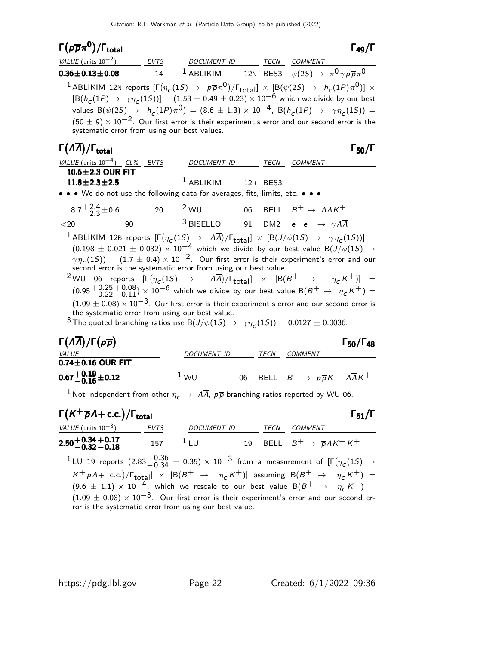# Γ $(p\overline{p}\pi^{\mathbf{0}})$

| $\Gamma(p\overline{p}\pi^{0})/\Gamma_{\rm total}$                                                                                                                                                                                                                                                                                                                                                                                                                                                                                                                                                                                                                                                                                 |     |                                                                                        |    |          |                                                              | $\Gamma_{49}/\Gamma$      |
|-----------------------------------------------------------------------------------------------------------------------------------------------------------------------------------------------------------------------------------------------------------------------------------------------------------------------------------------------------------------------------------------------------------------------------------------------------------------------------------------------------------------------------------------------------------------------------------------------------------------------------------------------------------------------------------------------------------------------------------|-----|----------------------------------------------------------------------------------------|----|----------|--------------------------------------------------------------|---------------------------|
| <i>VALUE</i> (units $10^{-2}$ )                                                                                                                                                                                                                                                                                                                                                                                                                                                                                                                                                                                                                                                                                                   |     | EVTS DOCUMENT ID TECN COMMENT                                                          |    |          |                                                              |                           |
| $0.36 \pm 0.13 \pm 0.08$                                                                                                                                                                                                                                                                                                                                                                                                                                                                                                                                                                                                                                                                                                          | 14  | <sup>1</sup> ABLIKIM 12N BES3 $\psi(2S) \rightarrow \pi^0 \gamma p \overline{p} \pi^0$ |    |          |                                                              |                           |
| $^1$ ABLIKIM 12N reports $[\Gamma(\eta_c(1S) \to p\overline{p}\pi^0)/\Gamma_{\rm total}]\times[{\rm B}(\psi(2S) \to ~h_c(1P)\pi^0)]\times$<br>$[ B(h_C(1P) \to \gamma \eta_C(1S) ) ] = (1.53 \pm 0.49 \pm 0.23) \times 10^{-6}$ which we divide by our best<br>values B( $\psi(2S) \to h_c(1P)\pi^0$ ) = (8.6 ± 1.3) × 10 <sup>-4</sup> , B( $h_c(1P) \to \gamma \eta_c(1S)$ ) =<br>$(50 \pm 9) \times 10^{-2}$ . Our first error is their experiment's error and our second error is the<br>systematic error from using our best values.                                                                                                                                                                                         |     |                                                                                        |    |          |                                                              |                           |
| $\Gamma(\Lambda\overline{\Lambda})/\Gamma_{\text{total}}$                                                                                                                                                                                                                                                                                                                                                                                                                                                                                                                                                                                                                                                                         |     |                                                                                        |    |          |                                                              | $\Gamma_{50}/\Gamma$      |
| <u>VALUE (units <math>10^{-4}</math>) CL% EVTS</u>                                                                                                                                                                                                                                                                                                                                                                                                                                                                                                                                                                                                                                                                                |     | DOCUMENT ID TECN COMMENT                                                               |    |          |                                                              |                           |
| 10.6±2.3 OUR FIT<br>$11.8 \pm 2.3 \pm 2.5$                                                                                                                                                                                                                                                                                                                                                                                                                                                                                                                                                                                                                                                                                        |     | $^1$ ABLIKIM                                                                           |    | 12B BES3 |                                                              |                           |
| • • • We do not use the following data for averages, fits, limits, etc. • • •                                                                                                                                                                                                                                                                                                                                                                                                                                                                                                                                                                                                                                                     |     |                                                                                        |    |          |                                                              |                           |
| $8.7\frac{+2.4}{2.3}\pm0.6$                                                                                                                                                                                                                                                                                                                                                                                                                                                                                                                                                                                                                                                                                                       | 20  | $2$ WU $06$ BELL $B^+ \rightarrow A\overline{A}K^+$                                    |    |          |                                                              |                           |
| $<$ 20<br>90<br>$^1$ ABLIKIM 12B reports $[\Gamma(\eta_{\textsf{C}}(1S) \rightarrow \Lambda \overline{\Lambda})/\Gamma_{\textsf{total}}] \times [B(J/\psi(1S) \rightarrow \gamma \eta_{\textsf{C}}(1S))] =$                                                                                                                                                                                                                                                                                                                                                                                                                                                                                                                       |     | $^3$ BISELLO 91 DM2 $e^+e^- \rightarrow \gamma A \overline{A}$                         |    |          |                                                              |                           |
| $\gamma\eta_c(15)) = (1.7 \pm 0.4) \times 10^{-2}$ . Our first error is their experiment's error and our<br>second error is the systematic error from using our best value.<br>$^2$ WU 06 reports $[\Gamma(\eta_c(1S) \rightarrow \Lambda\overline{\Lambda})/\Gamma_{total}] \times [B(B^+ \rightarrow \eta_c K^+)] =$<br>$(0.95 + 0.25 + 0.08) \times 10^{-6}$ which we divide by our best value B(B <sup>+</sup> $\rightarrow \eta_c K^+$ ) =<br>$(1.09 \pm 0.08) \times 10^{-3}$ . Our first error is their experiment's error and our second error is<br>the systematic error from using our best value.<br><sup>3</sup> The quoted branching ratios use B $(J/\psi(1S) \rightarrow \gamma \eta_c(1S)) = 0.0127 \pm 0.0036$ . |     |                                                                                        |    |          |                                                              |                           |
| $\Gamma(\Lambda\Lambda)/\Gamma(p\overline{p})$                                                                                                                                                                                                                                                                                                                                                                                                                                                                                                                                                                                                                                                                                    |     |                                                                                        |    |          |                                                              | $\Gamma_{50}/\Gamma_{48}$ |
| <i>VALUE</i><br>$0.74\pm0.16$ OUR FIT                                                                                                                                                                                                                                                                                                                                                                                                                                                                                                                                                                                                                                                                                             |     | DOCUMENT ID TECN COMMENT                                                               |    |          |                                                              |                           |
| $0.67 + 0.19 + 0.12$                                                                                                                                                                                                                                                                                                                                                                                                                                                                                                                                                                                                                                                                                                              |     | 1 <sub>WU</sub>                                                                        | 06 |          | BELL $B^+ \rightarrow p\overline{p}K^+$ , $A\overline{A}K^+$ |                           |
| $^1$ Not independent from other $\eta_c\to~A\overline{A}$ , $\rho\overline{\rho}$ branching ratios reported by WU 06.                                                                                                                                                                                                                                                                                                                                                                                                                                                                                                                                                                                                             |     |                                                                                        |    |          |                                                              |                           |
| $\Gamma(K^+\overline{p}A + c.c.)/\Gamma_{total}$                                                                                                                                                                                                                                                                                                                                                                                                                                                                                                                                                                                                                                                                                  |     |                                                                                        |    |          |                                                              | $\Gamma_{51}/\Gamma$      |
| VALUE (units $10^{-3}$ ) EVTS                                                                                                                                                                                                                                                                                                                                                                                                                                                                                                                                                                                                                                                                                                     |     | DOCUMENT ID TECN COMMENT                                                               |    |          |                                                              |                           |
| $2.50 + 0.34 + 0.17$<br>-0.32 -0.18                                                                                                                                                                                                                                                                                                                                                                                                                                                                                                                                                                                                                                                                                               | 157 | $1_{LU}$                                                                               |    |          | 19 BELL $B^+ \rightarrow \overline{p} \Lambda K^+ K^+$       |                           |
| $^1$ LU 19 reports $(2.83^{+0.36}_{-0.34}~\pm~0.35)\times10^{-3}$ from a measurement of $[\Gamma(\eta_c(1S)~\rightarrow~0.36)$                                                                                                                                                                                                                                                                                                                                                                                                                                                                                                                                                                                                    |     |                                                                                        |    |          |                                                              |                           |
| $K^+ \overline{p}A$ + c.c.)/ $\Gamma_{\text{total}}$ $\times$ [B(B <sup>+</sup> $\rightarrow$ $\eta_c K^+$ )] assuming B(B <sup>+</sup> $\rightarrow$ $\eta_c K^+$ ) =                                                                                                                                                                                                                                                                                                                                                                                                                                                                                                                                                            |     |                                                                                        |    |          |                                                              |                           |

 $(9.6 \pm 1.1) \times 10^{-4}$ , which we rescale to our best value  ${\rm B}(B^+ \rightarrow \eta_c^-\,K^+) =$  $(1.09 \pm 0.08) \times 10^{-3}$ . Our first error is their experiment's error and our second error is the systematic error from using our best value.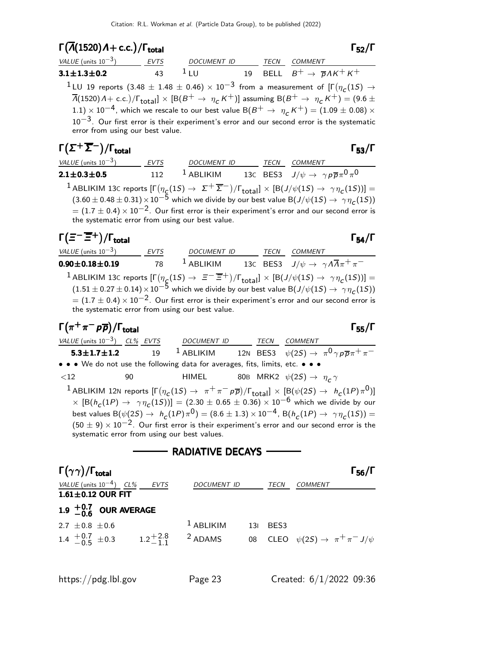| $\Gamma(\overline{A}(1520)A + c.c.)/\Gamma_{\text{total}}$                                                                                                                                                                                                                                                                                                                                                                                                                                                                                                                                                                                  |             |                    |             |                                                        | $T_{52}/\Gamma$      |
|---------------------------------------------------------------------------------------------------------------------------------------------------------------------------------------------------------------------------------------------------------------------------------------------------------------------------------------------------------------------------------------------------------------------------------------------------------------------------------------------------------------------------------------------------------------------------------------------------------------------------------------------|-------------|--------------------|-------------|--------------------------------------------------------|----------------------|
| VALUE (units $10^{-3}$ )                                                                                                                                                                                                                                                                                                                                                                                                                                                                                                                                                                                                                    | <b>EVTS</b> | DOCUMENT ID        | TECN        | <b>COMMENT</b>                                         |                      |
| $3.1 \pm 1.3 \pm 0.2$                                                                                                                                                                                                                                                                                                                                                                                                                                                                                                                                                                                                                       | 43          | $1_{\text{H}}$     |             | 19 BELL $B^+ \rightarrow \overline{p} \Lambda K^+ K^+$ |                      |
| <sup>1</sup> LU 19 reports (3.48 $\pm$ 1.48 $\pm$ 0.46) $\times$ 10 <sup>-3</sup> from a measurement of $[\Gamma(\eta_c(15) \rightarrow$<br>$\overline{\Lambda}$ (1520) A + c.c.)/ $\Gamma_{\text{total}}$ $\times$ [B(B <sup>+</sup> $\rightarrow \eta_c$ K <sup>+</sup> )] assuming B(B <sup>+</sup> $\rightarrow \eta_c$ K <sup>+</sup> ) = (9.6 ±<br>1.1) $\times$ 10 <sup>-4</sup> , which we rescale to our best value B(B <sup>+</sup> $\rightarrow \eta_c K^+$ ) = (1.09 $\pm$ 0.08) $\times$<br>$10^{-3}$ . Our first error is their experiment's error and our second error is the systematic<br>error from using our best value. |             |                    |             |                                                        |                      |
| $\Gamma(\Sigma^+\overline{\Sigma}^-)/\Gamma_{\rm total}$                                                                                                                                                                                                                                                                                                                                                                                                                                                                                                                                                                                    |             |                    |             |                                                        | $\Gamma_{53}/\Gamma$ |
| VALUE (units $10^{-3}$ )                                                                                                                                                                                                                                                                                                                                                                                                                                                                                                                                                                                                                    | <b>EVTS</b> | <b>DOCUMENT ID</b> | <i>TECN</i> | <i>COMMENT</i>                                         |                      |

2.1 $\pm$ 0.3 $\pm$ 0.5  $112$   $^1$  ABLIKIM  $13$ C BES3  $J/\psi\rightarrow\ \gamma\, \rho\, \overline{\rho}\, \pi^0\, \pi^0$  $^1$ ABLIKIM 13C reports  $[\Gamma(\eta_{\}eta(1S) \to \ \Sigma^+ \overline{\Sigma}^-)/\Gamma_{\text{total}}] \times [ \text{B}(J/\psi(1S) \to \ \gamma \eta_{\text{C}}(1S))] =$  $(3.60 \pm 0.48 \pm 0.31) \times 10^{-5}$  which we divide by our best value B $(J/\psi(1S) \rightarrow \gamma \eta_c(1S))$  $= (1.7 \pm 0.4) \times 10^{-2}$ . Our first error is their experiment's error and our second error is the systematic error from using our best value.

# $\Gamma(\Xi^-\overline{\Xi}{}^+)$ /Γ<sub>total</sub> Γ

VALUE (units  $10^{-3}$ ) EVTS DOCUMENT ID TECN COMMENT 0.90 $\pm$ 0.18 $\pm$ 0.19 78  $^1$  Ablikim 13C BES3 J/ $\psi \rightarrow \ \gamma \Lambda \overline{\Lambda} \pi^+ \pi^ ^1$ ABLIKIM 13C reports  $[\Gamma(\eta_{\cal L}(1S) \to \ \ \equiv^- \ \overline{\equiv}^+)/\Gamma_{\rm total}]\times [{\rm B}(J/\psi(1S) \to \ \ \gamma\eta_{\cal L}(1S))] =$  $(1.51 \pm 0.27 \pm 0.14) \times 10^{-5}$  which we divide by our best value B $(J/\psi(1S) \rightarrow \gamma \eta_c(1S))$  $= (1.7 \pm 0.4) \times 10^{-2}$ . Our first error is their experiment's error and our second error is the systematic error from using our best value.

# $\Gamma(\pi^+\pi^-\rho\overline{\rho})/\Gamma_{\rm total}$

VALUE (units 10<sup>-3</sup>) CL% EVTS DOCUMENT ID TECN COMMENT 5.3 $\pm$ 1.7 $\pm$ 1.2 19  $^1$  Ablikim 12n BES3  $\psi(2S) \to \ \pi^0 \gamma \rho \overline{\rho} \pi^+ \pi^-$ • • • We do not use the following data for averages, fits, limits, etc. • • •

 $\langle 12$  90 HIMEL 80B MRK2  $\psi(2S) \rightarrow \eta_c \gamma$ 

 $^1$ ABLIKIM 12N reports  $[\Gamma(\eta_c(1S) \to~\pi^+\pi^- \rho\overline{\rho})/\Gamma_{\rm total}]\times[ \underline{\beta}(\psi(2S) \to~\hbar_c(1P)\pi^0)]$  $\times$   $[ B(h_c(1P) \rightarrow \gamma \eta_c(1S))] = (2.30 \pm 0.65 \pm 0.36) \times 10^{-6}$  which we divide by our best values B $(\psi(2S) \to h_c(1P) \pi^0) = (8.6 \pm 1.3) \times 10^{-4}$ , B $(h_c(1P) \to \gamma \eta_c(1S)) =$  $(50 \pm 9) \times 10^{-2}$ . Our first error is their experiment's error and our second error is the systematic error from using our best values.

### RADIATIVE DECAYS

| $\Gamma(\gamma\gamma)/\Gamma_{\rm total}$                 |      |                    |          |                                                   | $\Gamma_{56}/\Gamma$ |
|-----------------------------------------------------------|------|--------------------|----------|---------------------------------------------------|----------------------|
| VALUE (units $10^{-4}$ ) CL%                              | EVTS | <b>DOCUMENT ID</b> | TECN     | COMMENT                                           |                      |
| $1.61 \pm 0.12$ OUR FIT                                   |      |                    |          |                                                   |                      |
| 1.9 $^{+0.7}_{-0.6}$ OUR AVERAGE                          |      |                    |          |                                                   |                      |
| 2.7 $\pm$ 0.8 $\pm$ 0.6                                   |      | $1$ ABLIKIM        | 131 BES3 |                                                   |                      |
| 1.4 $\frac{+0.7}{-0.5}$ $\pm 0.3$ 1.2 $\frac{+2.8}{-1.1}$ |      | <sup>2</sup> ADAMS |          | 08 CLEO $\psi(2S) \rightarrow \pi^+ \pi^- J/\psi$ |                      |
|                                                           |      |                    |          |                                                   |                      |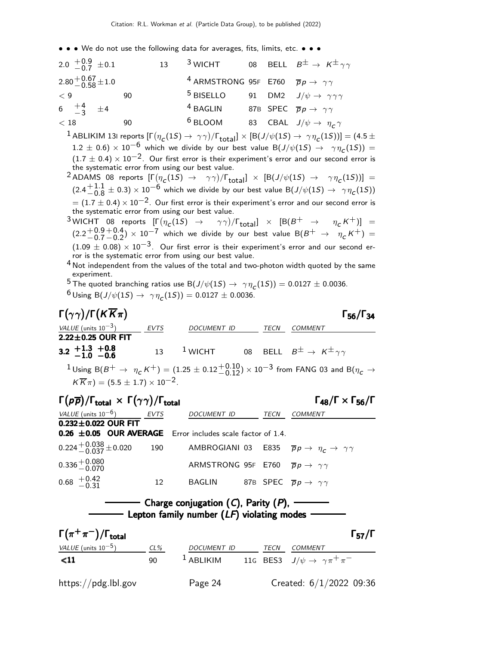• • • We do not use the following data for averages, fits, limits, etc. • • •

| 2.0 $\frac{+0.9}{-0.7}$ ± 0.1 |    | $13 -$ | $^3$ WICHT                                                               |  | 08 BELL $B^{\pm} \rightarrow K^{\pm} \gamma \gamma$ |
|-------------------------------|----|--------|--------------------------------------------------------------------------|--|-----------------------------------------------------|
| $2.80 + 0.67 + 1.0$           |    |        | <sup>4</sup> ARMSTRONG 95F E760 $\overline{p}p \rightarrow \gamma\gamma$ |  |                                                     |
| < 9                           | 90 |        | <sup>5</sup> BISELLO                                                     |  | 91 DM2 $J/\psi \rightarrow \gamma \gamma \gamma$    |
| 6 $\frac{+4}{-3}$ $\pm 4$     |    |        | <sup>4</sup> BAGLIN                                                      |  | 87B SPEC $\overline{p}p \rightarrow \gamma \gamma$  |
| < 18                          | 90 |        | $6$ BLOOM                                                                |  | 83 CBAL $J/\psi \rightarrow \eta_c \gamma$          |

 $^1$  ABLIKIM 13I reports  $[\Gamma(\eta_{\,\bm{C}}(1S) \to \ \gamma \gamma)/\Gamma_{\rm total}] \times [B(J/\psi(1S) \to \ \gamma \eta_{\,\bm{C}}(1S))] = (4.5 \pm 1.5)$ 1.2 ± 0.6) × 10<sup>-6</sup> which we divide by our best value B( $J/\psi(1S) \rightarrow \gamma \eta_c(1S)$ ) =  $(1.7 \pm 0.4) \times 10^{-2}$ . Our first error is their experiment's error and our second error is the systematic error from using our best value.

 $^2$ ADAMS 08 reports  $[\Gamma(\eta_c(1S) \rightarrow \gamma\gamma)/\Gamma_{\text{total}}] \times [B(J/\psi(1S) \rightarrow \gamma\eta_c(1S))] =$  $(2.4 + 1.1)$  $+1.1 \pm 0.3)\times 10^{-6}$  which we divide by our best value B $(J/\psi(1S) \rightarrow \ \ \gamma \eta_{\textit{C}}(1S))$  $= (1.7 \pm 0.4) \times 10^{-2}$ . Our first error is their experiment's error and our second error is the systematic error from using our best value.

 $3$ WICHT 08 reports  $[\Gamma(\eta_c(1S) \rightarrow \gamma\gamma)/\Gamma_{\rm total}] \times [B(B^+ \rightarrow \eta_c K^+)] =$  $(2.2 + 0.9)$  $-0.7$  $+0.4$  $^{+0.4}_{-0.2})\times10^{-7}$  which we divide by our best value B $(B^{+}\rightarrow$   $\eta_c\,K^{+})=$  $(1.09 \pm 0.08) \times 10^{-3}$ . Our first error is their experiment's error and our second error is the systematic error from using our best value.

 $4$  Not independent from the values of the total and two-photon width quoted by the same experiment.

<sup>5</sup> The quoted branching ratios use B $(J/\psi(1S) \rightarrow \gamma \eta_c(1S)) = 0.0127 \pm 0.0036$ .

 $^6$ Using B $(J/\psi(1S) \to \gamma \eta_{\texttt{C}}(1S)) = 0.0127 \pm 0.0036.$ 

| $\Gamma(\gamma\gamma)/\Gamma(K\overline{K}\pi)$           |      |                    |             | $\Gamma_{56}/\Gamma_{34}$                                                                                                                                      |  |
|-----------------------------------------------------------|------|--------------------|-------------|----------------------------------------------------------------------------------------------------------------------------------------------------------------|--|
| <i>VALUE</i> (units $10^{-3}$ )                           | EVTS | <b>DOCUMENT ID</b> | <b>TECN</b> | COMMENT                                                                                                                                                        |  |
| $2.22 \pm 0.25$ OUR FIT                                   |      |                    |             |                                                                                                                                                                |  |
| $3.2 \begin{array}{l} +1.3 +0.8 \\ -1.0 -0.6 \end{array}$ | 13   |                    |             | <sup>1</sup> WICHT 08 BELL $B^{\pm} \rightarrow K^{\pm} \gamma \gamma$                                                                                         |  |
|                                                           |      |                    |             | <sup>1</sup> Using B(B <sup>+</sup> $\rightarrow \eta_c K^+$ ) = (1.25 ± 0.12 $^{+0.10}_{-0.12}$ ) × 10 <sup>-3</sup> from FANG 03 and B( $\eta_c \rightarrow$ |  |

 $K \overline{K} \pi$ ) = (5.5  $\pm$  1.7)  $\times$  10<sup>-2</sup>.

Γ $(p\overline{p})$ /Γ<sub>total</sub> × Γ $(γγ)$ /Γ<sub>total</sub> Γ γ του Γ<sub>48</sub>/Γ × Γ<sub>56</sub>/Γ  $\Gamma_{48}/\Gamma \times \Gamma_{56}/\Gamma$ VALUE (units 10<sup>-6</sup>) EVTS DOCUMENT ID TECN COMMENT  $0.232 \pm 0.022$  OUR FIT  $0.26 \pm 0.05$  OUR AVERAGE Error includes scale factor of 1.4.  $0.224 + 0.038 + 0.020$ 190 AMBROGIANI 03 E835  $\bar{p}p \rightarrow \eta_c \rightarrow \gamma \gamma$  $0.336 + 0.080$ <br>-0.070 ARMSTRONG 95F E760  $\overline{p}p \rightarrow \gamma \gamma$  $0.68$   $+0.42$ <br> $-0.31$ 12 BAGLIN 87B SPEC  $\overline{p}p \rightarrow \gamma \gamma$ Charge conjugation (C), Parity (P), - Lepton family number  $(LF)$  violating modes - $\Gamma(\pi^+\pi^-)/\Gamma_{\rm total}$  Γ<sub>57</sub>/Γ

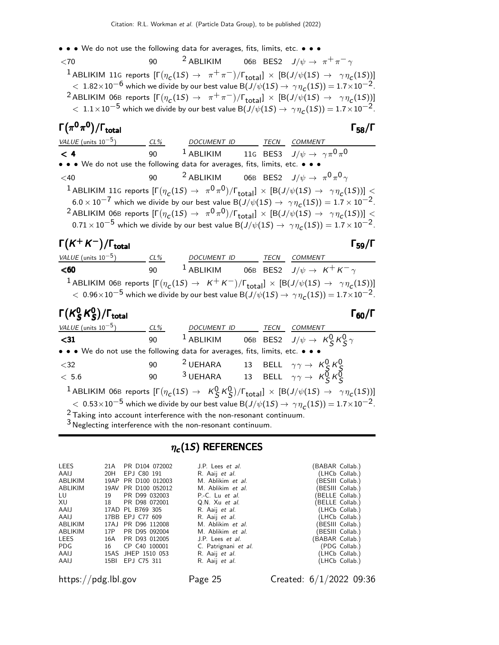• • • We do not use the following data for averages, fits, limits, etc. • • •

 $\langle 70$  90  $^2$  ABLIKIM 06B BES2  $J/\psi \rightarrow \pi^+ \pi^- \gamma$  $^1$ ABLIKIM 11G reports  $[\Gamma(\eta_c(1S) \to \pi^+\pi^-)/\Gamma_{\rm total}]\times[{\rm B}(J/\psi(1S) \to \gamma\eta_c(1S))]$  $< 1.82 \times 10^{-6}$  which we divide by our best value B( $J/\psi(1S) \rightarrow \gamma \eta_c(1S) = 1.7 \times 10^{-2}$ .  $^2$ ABLIKIM 06B reports  $[\Gamma(\eta_c(1S) \to~\pi^+\pi^-)/\Gamma_{\rm total}]\times[{\rm B}(J/\psi(1S) \to~\gamma\eta_c(1S))]$  $<~1.1\times10^{-5}$  which we divide by our best value B $(J/\psi(1S) \to~\gamma\eta_{\cal C}(1S)) = 1.7\times10^{-2}$ .

# Γ $(\pi^0 \pi^0)/\Gamma_{\rm total}$  Γ58/Γ

VALUE (units 10<sup>-5</sup>) CL% DOCUMENT ID TECN COMMENT  $<$  4  $\,$  90  $^{\,1}$  ABLIKIM  $\,$  11G BES3  $\,$  J/ $\psi \rightarrow \,$   $\gamma \pi^0 \pi^0$ • • • We do not use the following data for averages, fits, limits, etc. • • •  $<$ 40  $<$  90  $^2$  ABLIKIM 06B BES2  $J/\psi$   $\rightarrow$   $\pi^0\pi^0\gamma$  $^1$  ABLIKIM 11G reports  $[\Gamma(\eta_c(1S) \to~\pi^0\pi^0)/\Gamma_{\rm total}]\times[{\rm B}(J/\psi(1S) \to~\gamma\eta_c(1S))] \leq$  $6.0 \times 10^{-7}$  which we divide by our best value B $(J/\psi(1S) \to \gamma \eta_{\texttt{C}}(1S)) = 1.7 \times 10^{-2}$ .  $^2$ ABLIKIM 06B reports  $[\Gamma(\eta_c(1S) \to~\pi^0\pi^0)/\Gamma_{\rm total}]\times[{\rm B}(J/\psi(1S) \to~\gamma\eta_c(1S))] \leq$  $0.71\times10^{-5}$  which we divide by our best value  ${\rm B}(J/\psi(1S) \to~\gamma \eta_{\tt C}(1S)) = 1.7 \times 10^{-2}$ .

### $\Gamma(K^+K^-)/\Gamma_{\text{total}}$  Γ<sub>59</sub>/Γ /Γtotal Γ59/Γ

 $VALUE$  (units 10<sup>-5</sup>) CL% DOCUMENT ID TECN COMMENT  $\leq$ 60 90  $^{1}$  ABLIKIM 06B BES2  $J/\psi \rightarrow K^{+}K^{-} \gamma$  $^1$ ABLIKIM 06B reports  $[\Gamma(\eta_c(1S) \to K^+K^-)/\Gamma_{\rm total}]\times[{\rm B}(J/\psi(1S) \to \gamma\eta_c(1S))]$  $<\,$  0.96 $\times10^{-5}$  which we divide by our best value B $(J/\psi(1S) \to\, \gamma\eta_{\cal L}(1S))$   $= 1.7{\times}10^{-2}.$ 

### Γ $(\mathcal{K}^{0}_{S}% )^{L}=\mathcal{K}^{0}_{S}$  $^0_S$ K $^0_S$ Γ( $\kappa_S^0$   $\kappa_S^0$ )/Γ<sub>total</sub> 60 (Γ

Γ58/Γ

| VALUE (units $10^{-5}$ )                                                      | $CL\%$ | DOCUMENT ID TECN COMMENT                                                                                                                       |  |                                                                                                                                            |
|-------------------------------------------------------------------------------|--------|------------------------------------------------------------------------------------------------------------------------------------------------|--|--------------------------------------------------------------------------------------------------------------------------------------------|
| $31$                                                                          | 90     |                                                                                                                                                |  | <sup>1</sup> ABLIKIM 06B BES2 $J/\psi \rightarrow K_S^0 K_S^0 \gamma$                                                                      |
| • • • We do not use the following data for averages, fits, limits, etc. • • • |        |                                                                                                                                                |  |                                                                                                                                            |
| $<$ 32                                                                        |        | 90 <sup>2</sup> UEHARA 13 BELL $\gamma\gamma \rightarrow K_S^0 K_S^0$<br>90 <sup>3</sup> UEHARA 13 BELL $\gamma\gamma \rightarrow K_S^0 K_S^0$ |  |                                                                                                                                            |
| < 5.6                                                                         |        |                                                                                                                                                |  |                                                                                                                                            |
|                                                                               |        |                                                                                                                                                |  | <sup>1</sup> ABLIKIM 06B reports $[\Gamma(\eta_c(1S) \to K_S^0 K_S^0)/\Gamma_{\text{total}}] \times [B(J/\psi(1S) \to \gamma \eta_c(1S))]$ |
|                                                                               |        |                                                                                                                                                |  | $< 0.53 \times 10^{-5}$ which we divide by our best value B(J/ $\psi(1S) \rightarrow \gamma \eta_c(1S) = 1.7 \times 10^{-2}$ .             |
| $2$ Taking into account interference with the non-resonant continuum.         |        |                                                                                                                                                |  |                                                                                                                                            |
| $3$ Neglecting interference with the non-resonant continuum.                  |        |                                                                                                                                                |  |                                                                                                                                            |

### $\eta_c(1S)$  References

| <b>LEES</b><br>AAI.I | 21 A<br>20H | PR D104 072002<br>EPJ C80 191 | J.P. Lees <i>et al.</i><br>R. Aaij et al. | (BABAR Collab.)<br>(LHCb Collab.) |
|----------------------|-------------|-------------------------------|-------------------------------------------|-----------------------------------|
| ABLIKIM              |             | 19AP PR D100 012003           | M. Ablikim et al.                         | (BESIII Collab.)                  |
| ABLIKIM              |             | 19AV PR D100 052012           | M. Ablikim et al.                         | (BESIII Collab.)                  |
| LU                   | 19          | PR D99 032003                 | P.-C. Lu et al.                           | (BELLE Collab.)                   |
| XU                   | 18          | PR D98 072001                 | Q.N. Xu et al.                            | (BELLE Collab.)                   |
| AAIJ                 |             | 17AD PL B769 305              | R. Aaij et al.                            | (LHCb Collab.)                    |
| AAIJ                 |             | 17BB EPJ C77 609              | R. Aaij et al.                            | (LHCb Collab.)                    |
| ABLIKIM              |             | 17AJ PR D96 112008            | M. Ablikim et al.                         | (BESIII Collab.)                  |
| ABLIKIM              |             | 17P PR D95 092004             | M. Ablikim et al.                         | (BESIII Collab.)                  |
| <b>LEES</b>          | 16A         | PR D93 012005                 | J.P. Lees <i>et al.</i>                   | (BABAR Collab.)                   |
| PDG.                 | 16          | CP C40 100001                 | C. Patrignani et al.                      | (PDG Collab.)                     |
| AAIJ                 |             | 15AS JHEP 1510 053            | R. Aaij et al.                            | (LHCb Collab.)                    |
| AAIJ                 |             | 15BI EPJ C75 311              | R. Aaij <i>et al.</i>                     | (LHCb Collab.)                    |

https://pdg.lbl.gov Page 25 Created: 6/1/2022 09:36